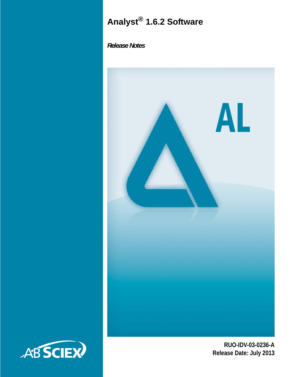# **Analyst® 1.6.2 Software**

*Release Notes*





**RUO-IDV-03-0236-A Release Date: July 2013**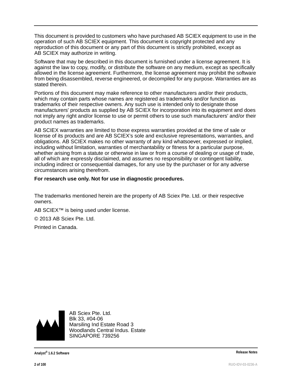This document is provided to customers who have purchased AB SCIEX equipment to use in the operation of such AB SCIEX equipment. This document is copyright protected and any reproduction of this document or any part of this document is strictly prohibited, except as AB SCIEX may authorize in writing.

Software that may be described in this document is furnished under a license agreement. It is against the law to copy, modify, or distribute the software on any medium, except as specifically allowed in the license agreement. Furthermore, the license agreement may prohibit the software from being disassembled, reverse engineered, or decompiled for any purpose. Warranties are as stated therein.

Portions of this document may make reference to other manufacturers and/or their products, which may contain parts whose names are registered as trademarks and/or function as trademarks of their respective owners. Any such use is intended only to designate those manufacturers' products as supplied by AB SCIEX for incorporation into its equipment and does not imply any right and/or license to use or permit others to use such manufacturers' and/or their product names as trademarks.

AB SCIEX warranties are limited to those express warranties provided at the time of sale or license of its products and are AB SCIEX's sole and exclusive representations, warranties, and obligations. AB SCIEX makes no other warranty of any kind whatsoever, expressed or implied, including without limitation, warranties of merchantability or fitness for a particular purpose, whether arising from a statute or otherwise in law or from a course of dealing or usage of trade, all of which are expressly disclaimed, and assumes no responsibility or contingent liability, including indirect or consequential damages, for any use by the purchaser or for any adverse circumstances arising therefrom.

#### **For research use only. Not for use in diagnostic procedures.**

The trademarks mentioned herein are the property of AB Sciex Pte. Ltd. or their respective owners.

AB SCIEX™ is being used under license.

© 2013 AB Sciex Pte. Ltd.

Printed in Canada.



AB Sciex Pte. Ltd. Blk 33, #04-06 Marsiling Ind Estate Road 3 Woodlands Central Indus. Estate SINGAPORE 739256

**Analyst® 1.6.2 Software Release Notes**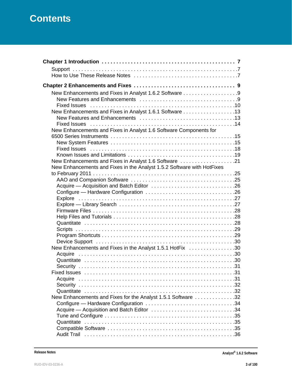# **Contents**

| New Enhancements and Fixes in Analyst 1.6.1 Software 13                |  |
|------------------------------------------------------------------------|--|
|                                                                        |  |
|                                                                        |  |
| New Enhancements and Fixes in Analyst 1.6 Software Components for      |  |
|                                                                        |  |
|                                                                        |  |
|                                                                        |  |
|                                                                        |  |
| New Enhancements and Fixes in Analyst 1.6 Software 21                  |  |
| New Enhancements and Fixes in the Analyst 1.5.2 Software with HotFixes |  |
|                                                                        |  |
|                                                                        |  |
|                                                                        |  |
|                                                                        |  |
|                                                                        |  |
|                                                                        |  |
|                                                                        |  |
|                                                                        |  |
|                                                                        |  |
|                                                                        |  |
|                                                                        |  |
| New Enhancements and Fixes in the Analyst 1.5.1 HotFix 30              |  |
|                                                                        |  |
|                                                                        |  |
|                                                                        |  |
|                                                                        |  |
| Acquire                                                                |  |
|                                                                        |  |
|                                                                        |  |
| New Enhancements and Fixes for the Analyst 1.5.1 Software 32           |  |
|                                                                        |  |
| Acquire - Acquisition and Batch Editor 34                              |  |
|                                                                        |  |
|                                                                        |  |
|                                                                        |  |
|                                                                        |  |

**Release Notes Analyst® 1.6.2 Software**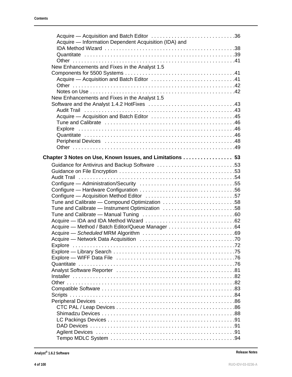| Acquire — Acquisition and Batch Editor 36<br>Acquire — Information Dependent Acquisition (IDA) and |  |
|----------------------------------------------------------------------------------------------------|--|
|                                                                                                    |  |
|                                                                                                    |  |
|                                                                                                    |  |
| New Enhancements and Fixes in the Analyst 1.5                                                      |  |
|                                                                                                    |  |
|                                                                                                    |  |
|                                                                                                    |  |
| New Enhancements and Fixes in the Analyst 1.5                                                      |  |
|                                                                                                    |  |
|                                                                                                    |  |
|                                                                                                    |  |
|                                                                                                    |  |
|                                                                                                    |  |
|                                                                                                    |  |
|                                                                                                    |  |
|                                                                                                    |  |
|                                                                                                    |  |
| Chapter 3 Notes on Use, Known Issues, and Limitations  53                                          |  |
| Guidance for Antivirus and Backup Software 53                                                      |  |
|                                                                                                    |  |
|                                                                                                    |  |
|                                                                                                    |  |
|                                                                                                    |  |
| Tune and Calibrate - Compound Optimization 58                                                      |  |
| Tune and Calibrate — Instrument Optimization 58                                                    |  |
|                                                                                                    |  |
|                                                                                                    |  |
|                                                                                                    |  |
|                                                                                                    |  |
|                                                                                                    |  |
|                                                                                                    |  |
|                                                                                                    |  |
|                                                                                                    |  |
|                                                                                                    |  |
|                                                                                                    |  |
|                                                                                                    |  |
|                                                                                                    |  |
|                                                                                                    |  |
|                                                                                                    |  |
|                                                                                                    |  |
|                                                                                                    |  |
|                                                                                                    |  |
|                                                                                                    |  |
|                                                                                                    |  |
|                                                                                                    |  |
|                                                                                                    |  |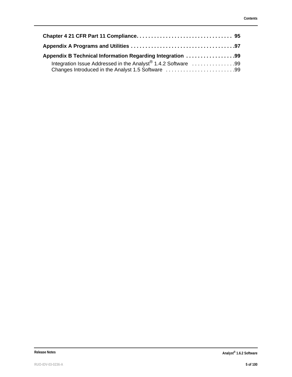| Appendix B Technical Information Regarding Integration 99     |  |
|---------------------------------------------------------------|--|
| Integration Issue Addressed in the Analyst® 1.4.2 Software 99 |  |
| Changes Introduced in the Analyst 1.5 Software 99             |  |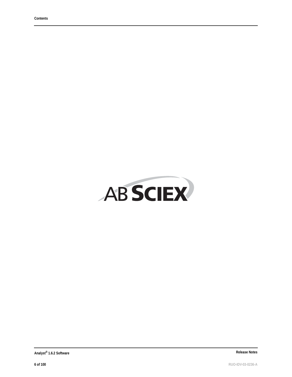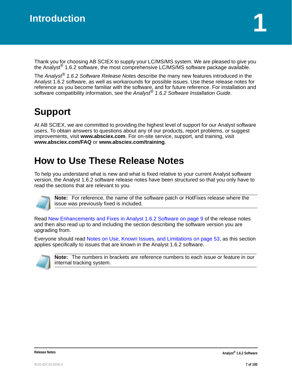<span id="page-6-0"></span>Thank you for choosing AB SCIEX to supply your LC/MS/MS system. We are pleased to give you the Analyst<sup>®</sup> 1.6.2 software, the most comprehensive LC/MS/MS software package available.

The *Analyst® 1.6.2 Software Release Notes* describe the many new features introduced in the Analyst 1.6.2 software, as well as workarounds for possible issues. Use these release notes for reference as you become familiar with the software, and for future reference. For installation and software compatibility information, see the *Analyst® 1.6.2 Software Installation Guide*.

# <span id="page-6-1"></span>**Support**

At AB SCIEX, we are committed to providing the highest level of support for our Analyst software users. To obtain answers to questions about any of our products, report problems, or suggest improvements, visit **www.absciex.com**. For on-site service, support, and training, visit **www.absciex.com/FAQ** or **www.absciex.com/training**.

# <span id="page-6-2"></span>**How to Use These Release Notes**

To help you understand what is new and what is fixed relative to your current Analyst software version, the Analyst 1.6.2 software release notes have been structured so that you only have to read the sections that are relevant to you.

**Note:** For reference, the name of the software patch or HotFixes release where the issue was previously fixed is included.

Read [New Enhancements and Fixes in Analyst 1.6.2 Software on page 9](#page-8-3) of the release notes and then also read up to and including the section describing the software version you are upgrading from.

Everyone should read [Notes on Use, Known Issues, and Limitations on page 53,](#page-52-3) as this section applies specifically to issues that are known in the Analyst 1.6.2 software.



**Note:** The numbers in brackets are reference numbers to each issue or feature in our internal tracking system.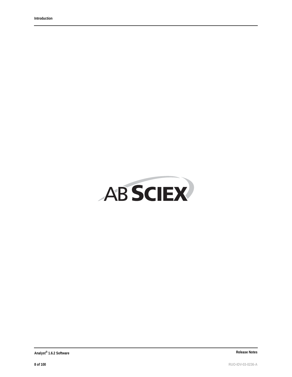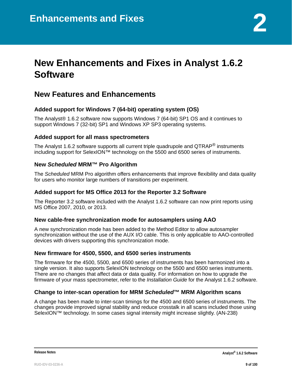# <span id="page-8-3"></span><span id="page-8-1"></span><span id="page-8-0"></span>**New Enhancements and Fixes in Analyst 1.6.2 Software**

# <span id="page-8-2"></span>**New Features and Enhancements**

# **Added support for Windows 7 (64-bit) operating system (OS)**

The Analyst® 1.6.2 software now supports Windows 7 (64-bit) SP1 OS and it continues to support Windows 7 (32-bit) SP1 and Windows XP SP3 operating systems.

# **Added support for all mass spectrometers**

The Analyst 1.6.2 software supports all current triple quadrupole and QTRAP<sup>®</sup> instruments including support for SelexION™ technology on the 5500 and 6500 series of instruments.

# **New** *Scheduled* **MRM™ Pro Algorithm**

The *Scheduled* MRM Pro algorithm offers enhancements that improve flexibility and data quality for users who monitor large numbers of transitions per experiment.

# **Added support for MS Office 2013 for the Reporter 3.2 Software**

The Reporter 3.2 software included with the Analyst 1.6.2 software can now print reports using MS Office 2007, 2010, or 2013.

# **New cable-free synchronization mode for autosamplers using AAO**

A new synchronization mode has been added to the Method Editor to allow autosampler synchronization without the use of the AUX I/O cable. This is only applicable to AAO-controlled devices with drivers supporting this synchronization mode.

# **New firmware for 4500, 5500, and 6500 series instruments**

The firmware for the 4500, 5500, and 6500 series of instruments has been harmonized into a single version. It also supports SelexION technology on the 5500 and 6500 series instruments. There are no changes that affect data or data quality. For information on how to upgrade the firmware of your mass spectrometer, refer to the *Installation Guide* for the Analyst 1.6.2 software.

# **Change to inter-scan operation for MRM** *Scheduled***™ MRM Algorithm scans**

A change has been made to inter-scan timings for the 4500 and 6500 series of instruments. The changes provide improved signal stability and reduce crosstalk in all scans included those using SelexION™ technology. In some cases signal intensity might increase slightly. (AN-238)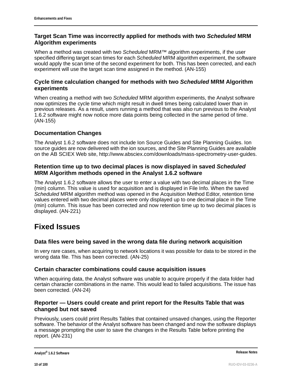# **Target Scan Time was incorrectly applied for methods with two** *Scheduled* **MRM Algorithm experiments**

When a method was created with two *Scheduled* MRM™ algorithm experiments, if the user specified differing target scan times for each *Scheduled* MRM algorithm experiment, the software would apply the scan time of the second experiment for both. This has been corrected, and each experiment will use the target scan time assigned in the method. (AN-155)

# **Cycle time calculation changed for methods with two** *Scheduled* **MRM Algorithm experiments**

When creating a method with two *Scheduled* MRM algorithm experiments, the Analyst software now optimizes the cycle time which might result in dwell times being calculated lower than in previous releases. As a result, users running a method that was also run previous to the Analyst 1.6.2 software might now notice more data points being collected in the same period of time. (AN-155)

# **Documentation Changes**

The Analyst 1.6.2 software does not include Ion Source Guides and Site Planning Guides. Ion source guides are now delivered with the ion sources, and the Site Planning Guides are available on the AB SCIEX Web site, http://www.absciex.com/downloads/mass-spectrometry-user-guides.

# **Retention time up to two decimal places is now displayed in saved** *Scheduled* **MRM Algorithm methods opened in the Analyst 1.6.2 software**

The Analyst 1.6.2 software allows the user to enter a value with two decimal places in the Time (min) column. This value is used for acquisition and is displayed in File Info. When the saved *Scheduled* MRM algorithm method was opened in the Acquisition Method Editor, retention time values entered with two decimal places were only displayed up to one decimal place in the Time (min) column. This issue has been corrected and now retention time up to two decimal places is displayed. (AN-221)

# <span id="page-9-0"></span>**Fixed Issues**

# **Data files were being saved in the wrong data file during network acquisition**

In very rare cases, when acquiring to network locations it was possible for data to be stored in the wrong data file. This has been corrected. (AN-25)

# **Certain character combinations could cause acquisition issues**

When acquiring data, the Analyst software was unable to acquire properly if the data folder had certain character combinations in the name. This would lead to failed acquisitions. The issue has been corrected. (AN-24)

# **Reporter — Users could create and print report for the Results Table that was changed but not saved**

Previously, users could print Results Tables that contained unsaved changes, using the Reporter software. The behavior of the Analyst software has been changed and now the software displays a message prompting the user to save the changes in the Results Table before printing the report. (AN-231)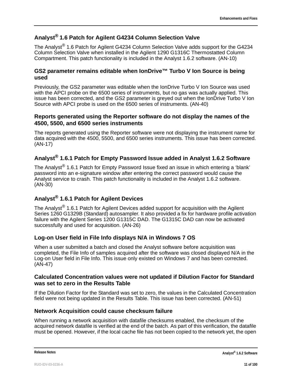# **Analyst® 1.6 Patch for Agilent G4234 Column Selection Valve**

The Analyst® 1.6 Patch for Agilent G4234 Column Selection Valve adds support for the G4234 Column Selection Valve when installed in the Agilent 1290 G1316C Thermostatted Column Compartment. This patch functionality is included in the Analyst 1.6.2 software. (AN-10)

# **GS2 parameter remains editable when IonDrive™ Turbo V Ion Source is being used**

Previously, the GS2 parameter was editable when the IonDrive Turbo V Ion Source was used with the APCI probe on the 6500 series of instruments, but no gas was actually applied. This issue has been corrected, and the GS2 parameter is greyed out when the IonDrive Turbo V Ion Source with APCI probe is used on the 6500 series of instruments. (AN-40)

# **Reports generated using the Reporter software do not display the names of the 4500, 5500, and 6500 series instruments**

The reports generated using the Reporter software were not displaying the instrument name for data acquired with the 4500, 5500, and 6500 series instruments. This issue has been corrected. (AN-17)

# **Analyst® 1.6.1 Patch for Empty Password Issue added in Analyst 1.6.2 Software**

The Analyst<sup>®</sup> 1.6.1 Patch for Empty Password Issue fixed an issue in which entering a 'blank' password into an e-signature window after entering the correct password would cause the Analyst service to crash. This patch functionality is included in the Analyst 1.6.2 software. (AN-30)

# **Analyst® 1.6.1 Patch for Agilent Devices**

The Analyst<sup>®</sup> 1.6.1 Patch for Agilent Devices added support for acquisition with the Agilent Series 1260 G1329B (Standard) autosampler. It also provided a fix for hardware profile activation failure with the Agilent Series 1200 G1315C DAD. The G1315C DAD can now be activated successfully and used for acquisition. (AN-26)

# **Log-on User field in File Info displays N/A in Windows 7 OS**

When a user submitted a batch and closed the Analyst software before acquisition was completed, the File Info of samples acquired after the software was closed displayed N/A in the Log-on User field in File Info. This issue only existed on Windows 7 and has been corrected. (AN-47)

# **Calculated Concentration values were not updated if Dilution Factor for Standard was set to zero in the Results Table**

If the Dilution Factor for the Standard was set to zero, the values in the Calculated Concentration field were not being updated in the Results Table. This issue has been corrected. (AN-51)

# **Network Acquisition could cause checksum failure**

When running a network acquisition with datafile checksums enabled, the checksum of the acquired network datafile is verified at the end of the batch. As part of this verification, the datafile must be opened. However, if the local cache file has not been copied to the network yet, the open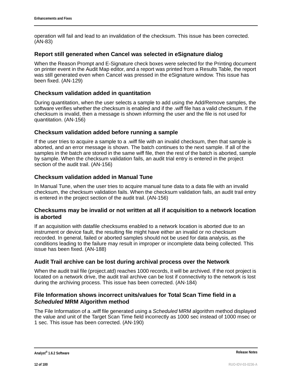operation will fail and lead to an invalidation of the checksum. This issue has been corrected. (AN-83)

# **Report still generated when Cancel was selected in eSignature dialog**

When the Reason Prompt and E-Signature check boxes were selected for the Printing document on printer event in the Audit Map editor, and a report was printed from a Results Table, the report was still generated even when Cancel was pressed in the eSignature window. This issue has been fixed. (AN-129)

# **Checksum validation added in quantitation**

During quantitation, when the user selects a sample to add using the Add/Remove samples, the software verifies whether the checksum is enabled and if the .wiff file has a valid checksum. If the checksum is invalid, then a message is shown informing the user and the file is not used for quantitation. (AN-156)

#### **Checksum validation added before running a sample**

If the user tries to acquire a sample to a .wiff file with an invalid checksum, then that sample is aborted, and an error message is shown. The batch continues to the next sample. If all of the samples in the batch are stored in the same wiff file, then the rest of the batch is aborted, sample by sample. When the checksum validation fails, an audit trial entry is entered in the project section of the audit trail. (AN-156)

#### **Checksum validation added in Manual Tune**

In Manual Tune, when the user tries to acquire manual tune data to a data file with an invalid checksum, the checksum validation fails. When the checksum validation fails, an audit trail entry is entered in the project section of the audit trail. (AN-156)

#### **Checksums may be invalid or not written at all if acquisition to a network location is aborted**

If an acquisition with datafile checksums enabled to a network location is aborted due to an instrument or device fault, the resulting file might have either an invalid or no checksum recorded. In general, failed or aborted samples should not be used for data analysis, as the conditions leading to the failure may result in improper or incomplete data being collected. This issue has been fixed. (AN-188)

#### **Audit Trail archive can be lost during archival process over the Network**

When the audit trail file (project.atd) reaches 1000 records, it will be archived. If the root project is located on a network drive, the audit trail archive can be lost if connectivity to the network is lost during the archiving process. This issue has been corrected. (AN-184)

# **File Information shows incorrect units/values for Total Scan Time field in a**  *Scheduled* **MRM Algorithm method**

The File Information of a .wiff file generated using a *Scheduled* MRM algorithm method displayed the value and unit of the Target Scan Time field incorrectly as 1000 sec instead of 1000 msec or 1 sec. This issue has been corrected. (AN-190)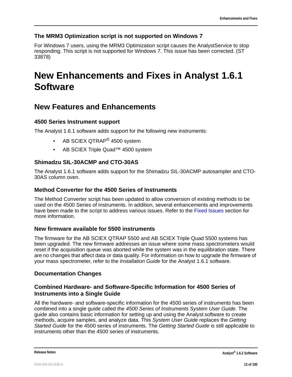# **The MRM3 Optimization script is not supported on Windows 7**

For Windows 7 users, using the MRM3 Optimization script causes the AnalystService to stop responding. This script is not supported for Windows 7. This issue has been corrected. (ST 33878)

# <span id="page-12-0"></span>**New Enhancements and Fixes in Analyst 1.6.1 Software**

# <span id="page-12-1"></span>**New Features and Enhancements**

# **4500 Series Instrument support**

The Analyst 1.6.1 software adds support for the following new instruments:

- AB SCIEX QTRAP<sup>®</sup> 4500 system
- AB SCIEX Triple Quad™ 4500 system

# **Shimadzu SIL-30ACMP and CTO-30AS**

The Analyst 1.6.1 software adds support for the Shimadzu SIL-30ACMP autosampler and CTO-30AS column oven.

# **Method Converter for the 4500 Series of Instruments**

The Method Converter script has been updated to allow conversion of existing methods to be used on the 4500 Series of instruments. In addition, several enhancements and improvements have been made to the script to address various issues. Refer to the [Fixed Issues](#page-13-0) section for more information.

# **New firmware available for 5500 instruments**

The firmware for the AB SCIEX QTRAP 5500 and AB SCIEX Triple Quad 5500 systems has been upgraded. The new firmware addresses an issue where some mass spectrometers would reset if the acquisition queue was aborted while the system was in the equilibration state. There are no changes that affect data or data quality. For information on how to upgrade the firmware of your mass spectrometer, refer to the *Installation Guide* for the Analyst 1.6.1 software.

# **Documentation Changes**

# **Combined Hardware- and Software-Specific Information for 4500 Series of Instruments into a Single Guide**

All the hardware- and software-specific information for the 4500 series of instruments has been combined into a single guide called the *4500 Series of Instruments System User Guide*. The guide also contains basic information for setting up and using the Analyst software to create methods, acquire samples, and analyze data. This *System User Guide* replaces the *Getting Started Guide* for the 4500 series of instruments. The *Getting Started Guide* is still applicable to instruments other than the 4500 series of instruments.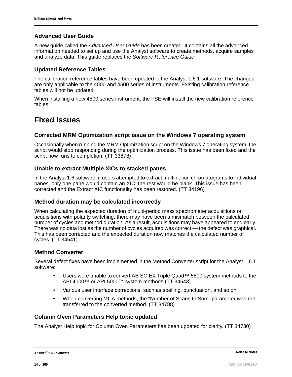# **Advanced User Guide**

A new guide called the *Advanced User Guide* has been created. It contains all the advanced information needed to set up and use the Analyst software to create methods, acquire samples and analyze data. This guide replaces the *Software Reference Guide*.

# **Updated Reference Tables**

The calibration reference tables have been updated in the Analyst 1.6.1 software. The changes are only applicable to the 4000 and 4500 series of instruments. Existing calibration reference tables will not be updated.

When installing a new 4500 series instrument, the FSE will install the new calibration reference tables.

# <span id="page-13-0"></span>**Fixed Issues**

# **Corrected MRM Optimization script issue on the Windows 7 operating system**

Occasionally when running the MRM Optimization script on the Windows 7 operating system, the script would stop responding during the optimization process. This issue has been fixed and the script now runs to completion. (TT 33878)

# **Unable to extract Multiple XICs to stacked panes**

In the Analyst 1.6 software, if users attempted to extract multiple ion chromatograms to individual panes, only one pane would contain an XIC; the rest would be blank. This issue has been corrected and the Extract XIC functionality has been restored. (TT 34196)

# **Method duration may be calculated incorrectly**

When calculating the expected duration of multi-period mass spectrometer acquisitions or acquisitions with polarity switching, there may have been a mismatch between the calculated number of cycles and method duration. As a result, acquisitions may have appeared to end early. There was no data lost as the number of cycles acquired was correct — the defect was graphical. This has been corrected and the expected duration now matches the calculated number of cycles. (TT 34541)

#### **Method Converter**

Several defect fixes have been implemented in the Method Converter script for the Analyst 1.6.1 software:

- Users were unable to convert AB SCIEX Triple Quad™ 5500 system methods to the API 4000™ or API 5000™ system methods.(TT 34543)
- Various user interface corrections, such as spelling, punctuation, and so on.
- When converting MCA methods, the "Number of Scans to Sum" parameter was not transferred to the converted method. (TT 34788)

#### **Column Oven Parameters Help topic updated**

The Analyst Help topic for Column Oven Parameters has been updated for clarity. (TT 34730)

```
Analyst® 1.6.2 Software Release Notes
```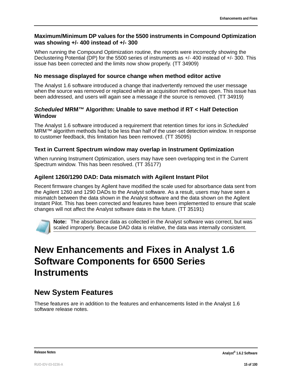# **Maximum/Minimum DP values for the 5500 instruments in Compound Optimization was showing +/- 400 instead of +/- 300**

When running the Compound Optimization routine, the reports were incorrectly showing the Declustering Potential (DP) for the 5500 series of instruments as +/- 400 instead of +/- 300. This issue has been corrected and the limits now show properly. (TT 34909)

# **No message displayed for source change when method editor active**

The Analyst 1.6 software introduced a change that inadvertently removed the user message when the source was removed or replaced while an acquisition method was open. This issue has been addressed, and users will again see a message if the source is removed. (TT 34919)

# *Scheduled* **MRM™ Algorithm: Unable to save method if RT < Half Detection Window**

The Analyst 1.6 software introduced a requirement that retention times for ions in *Scheduled* MRM™ algorithm methods had to be less than half of the user-set detection window. In response to customer feedback, this limitation has been removed. (TT 35095)

# **Text in Current Spectrum window may overlap in Instrument Optimization**

When running Instrument Optimization, users may have seen overlapping text in the Current Spectrum window. This has been resolved. (TT 35177)

# **Agilent 1260/1290 DAD: Data mismatch with Agilent Instant Pilot**

Recent firmware changes by Agilent have modified the scale used for absorbance data sent from the Agilent 1260 and 1290 DADs to the Analyst software. As a result, users may have seen a mismatch between the data shown in the Analyst software and the data shown on the Agilent Instant Pilot. This has been corrected and features have been implemented to ensure that scale changes will not affect the Analyst software data in the future. (TT 35191)



**Note:** The absorbance data as collected in the Analyst software was correct, but was scaled improperly. Because DAD data is relative, the data was internally consistent.

# <span id="page-14-0"></span>**New Enhancements and Fixes in Analyst 1.6 Software Components for 6500 Series Instruments**

# <span id="page-14-1"></span>**New System Features**

These features are in addition to the features and enhancements listed in the Analyst 1.6 software release notes.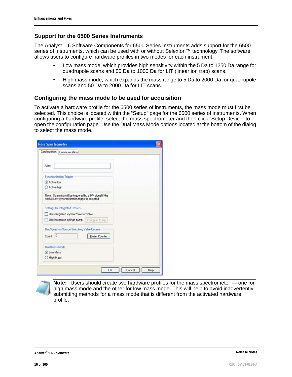# **Support for the 6500 Series Instruments**

The Analyst 1.6 Software Components for 6500 Series Instruments adds support for the 6500 series of instruments, which can be used with or without SelexIon™ technology. The software allows users to configure hardware profiles in two modes for each instrument:

- Low mass mode, which provides high sensitivity within the 5 Da to 1250 Da range for quadrupole scans and 50 Da to 1000 Da for LIT (linear ion trap) scans.
- High mass mode, which expands the mass range to 5 Da to 2000 Da for quadrupole scans and 50 Da to 2000 Da for LIT scans.

# **Configuring the mass mode to be used for acquisition**

To activate a hardware profile for the 6500 series of instruments, the mass mode must first be selected. This choice is located within the "Setup" page for the 6500 series of instruments. When configuring a hardware profile, select the mass spectrometer and then click "Setup Device" to open the configuration page. Use the Dual Mass Mode options located at the bottom of the dialog to select the mass mode.

**Note:** Users should create two hardware profiles for the mass spectrometer — one for high mass mode and the other for low mass mode. This will help to avoid inadvertently submitting methods for a mass mode that is different from the activated hardware profile.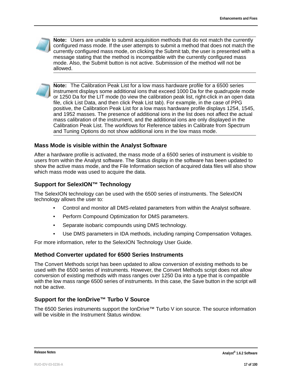**Note:** Users are unable to submit acquisition methods that do not match the currently configured mass mode. If the user attempts to submit a method that does not match the currently configured mass mode, on clicking the Submit tab, the user is presented with a message stating that the method is incompatible with the currently configured mass mode. Also, the Submit button is not active. Submission of the method will not be allowed.

**Note:** The Calibration Peak List for a low mass hardware profile for a 6500 series instrument displays some additional ions that exceed 1000 Da for the quadrupole mode or 1250 Da for the LIT mode (to view the calibration peak list, right-click in an open data file, click List Data, and then click Peak List tab). For example, in the case of PPG positive, the Calibration Peak List for a low mass hardware profile displays 1254, 1545, and 1952 masses. The presence of additional ions in the list does not affect the actual mass calibration of the instrument, and the additional ions are only displayed in the Calibration Peak List. The workflows for Reference tables in Calibrate from Spectrum and Tuning Options do not show additional ions in the low mass mode.

# **Mass Mode is visible within the Analyst Software**

After a hardware profile is activated, the mass mode of a 6500 series of instrument is visible to users from within the Analyst software. The Status display in the software has been updated to show the active mass mode, and the File Information section of acquired data files will also show which mass mode was used to acquire the data.

# **Support for SelexION™ Technology**

The SelexION technology can be used with the 6500 series of instruments. The SelexION technology allows the user to:

- Control and monitor all DMS-related parameters from within the Analyst software.
- Perform Compound Optimization for DMS parameters.
- Separate isobaric compounds using DMS technology.
- Use DMS parameters in IDA methods, including ramping Compensation Voltages.

For more information, refer to the SelexION Technology User Guide.

#### **Method Converter updated for 6500 Series Instruments**

The Convert Methods script has been updated to allow conversion of existing methods to be used with the 6500 series of instruments. However, the Convert Methods script does not allow conversion of existing methods with mass ranges over 1250 Da into a type that is compatible with the low mass range 6500 series of instruments. In this case, the Save button in the script will not be active.

# **Support for the IonDrive™ Turbo V Source**

The 6500 Series instruments support the IonDrive™ Turbo V ion source. The source information will be visible in the Instrument Status window.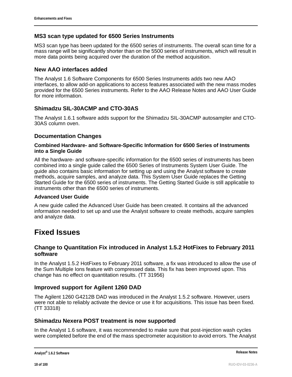# **MS3 scan type updated for 6500 Series Instruments**

MS3 scan type has been updated for the 6500 series of instruments. The overall scan time for a mass range will be significantly shorter than on the 5500 series of instruments, which will result in more data points being acquired over the duration of the method acquisition.

# **New AAO interfaces added**

The Analyst 1.6 Software Components for 6500 Series Instruments adds two new AAO interfaces, to allow add-on applications to access features associated with the new mass modes provided for the 6500 Series instruments. Refer to the AAO Release Notes and AAO User Guide for more information.

# **Shimadzu SIL-30ACMP and CTO-30AS**

The Analyst 1.6.1 software adds support for the Shimadzu SIL-30ACMP autosampler and CTO-30AS column oven.

# **Documentation Changes**

#### **Combined Hardware- and Software-Specific Information for 6500 Series of Instruments into a Single Guide**

All the hardware- and software-specific information for the 6500 series of instruments has been combined into a single guide called the 6500 Series of Instruments System User Guide. The guide also contains basic information for setting up and using the Analyst software to create methods, acquire samples, and analyze data. This System User Guide replaces the Getting Started Guide for the 6500 series of instruments. The Getting Started Guide is still applicable to instruments other than the 6500 series of instruments.

#### **Advanced User Guide**

A new guide called the Advanced User Guide has been created. It contains all the advanced information needed to set up and use the Analyst software to create methods, acquire samples and analyze data.

# <span id="page-17-0"></span>**Fixed Issues**

# **Change to Quantitation Fix introduced in Analyst 1.5.2 HotFixes to February 2011 software**

In the Analyst 1.5.2 HotFixes to February 2011 software, a fix was introduced to allow the use of the Sum Multiple Ions feature with compressed data. This fix has been improved upon. This change has no effect on quantitation results. (TT 31956)

# **Improved support for Agilent 1260 DAD**

The Agilent 1260 G4212B DAD was introduced in the Analyst 1.5.2 software. However, users were not able to reliably activate the device or use it for acquisitions. This issue has been fixed. (TT 33318)

# **Shimadzu Nexera POST treatment is now supported**

In the Analyst 1.6 software, it was recommended to make sure that post-injection wash cycles were completed before the end of the mass spectrometer acquisition to avoid errors. The Analyst

```
Analyst® 1.6.2 Software Release Notes
```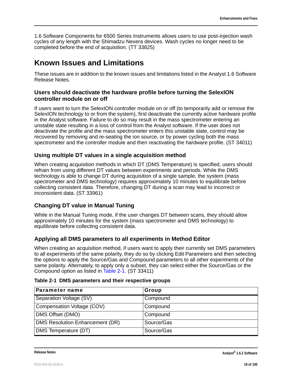1.6 Software Components for 6500 Series Instruments allows users to use post-injection wash cycles of any length with the Shimadzu Nexera devices. Wash cycles no longer need to be completed before the end of acquisition. (TT 33825)

# <span id="page-18-0"></span>**Known Issues and Limitations**

These issues are in addition to the known issues and limitations listed in the Analyst 1.6 Software Release Notes.

# **Users should deactivate the hardware profile before turning the SelexION controller module on or off**

If users want to turn the SelexION controller module on or off (to temporarily add or remove the SelexION technology to or from the system), first deactivate the currently active hardware profile in the Analyst software. Failure to do so may result in the mass spectrometer entering an unstable state resulting in a loss of control from the Analyst software. If the user does not deactivate the profile and the mass spectrometer enters this unstable state, control may be recovered by removing and re-seating the ion source, or by power cycling both the mass spectrometer and the controller module and then reactivating the hardware profile. (ST 34011)

# **Using multiple DT values in a single acquisition method**

When creating acquisition methods in which DT (DMS Temperature) is specified, users should refrain from using different DT values between experiments and periods. While the DMS technology is able to change DT during acquisition of a single sample, the system (mass spectrometer and DMS technology) requires approximately 10 minutes to equilibrate before collecting consistent data. Therefore, changing DT during a scan may lead to incorrect or inconsistent data. (ST 33961)

# **Changing DT value in Manual Tuning**

While in the Manual Tuning mode, if the user changes DT between scans, they should allow approximately 10 minutes for the system (mass spectrometer and DMS technology) to equilibrate before collecting consistent data.

# **Applying all DMS parameters to all experiments in Method Editor**

When creating an acquisition method, if users want to apply their currently set DMS parameters to all experiments of the same polarity, they do so by clicking Edit Parameters and then selecting the options to apply the Source/Gas and Compound parameters to all other experiments of the same polarity. Alternately, to apply only a subset, they can select either the Source/Gas or the Compound option as listed in Table 2-1. (ST 33411)

| <b>Parameter name</b>           | Group      |
|---------------------------------|------------|
| Separation Voltage (SV)         | Compound   |
| Compensation Voltage (COV)      | Compound   |
| DMS Offset (DMO)                | Compound   |
| DMS Resolution Enhancement (DR) | Source/Gas |
| DMS Temperature (DT)            | Source/Gas |

#### **Table 2-1 DMS parameters and their respective groups**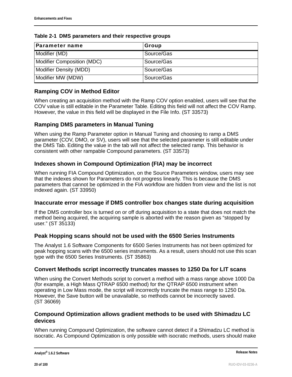| <b>Parameter name</b>      | Group      |
|----------------------------|------------|
| Modifier (MD)              | Source/Gas |
| Modifier Composition (MDC) | Source/Gas |
| Modifier Density (MDD)     | Source/Gas |
| Modifier MW (MDW)          | Source/Gas |

#### **Table 2-1 DMS parameters and their respective groups**

# **Ramping COV in Method Editor**

When creating an acquisition method with the Ramp COV option enabled, users will see that the COV value is still editable in the Parameter Table. Editing this field will not affect the COV Ramp. However, the value in this field will be displayed in the File Info. (ST 33573)

# **Ramping DMS parameters in Manual Tuning**

When using the Ramp Parameter option in Manual Tuning and choosing to ramp a DMS parameter (COV, DMO, or SV), users will see that the selected parameter is still editable under the DMS Tab. Editing the value in the tab will not affect the selected ramp. This behavior is consistent with other rampable Compound parameters. (ST 33573)

# **Indexes shown in Compound Optimization (FIA) may be incorrect**

When running FIA Compound Optimization, on the Source Parameters window, users may see that the indexes shown for Parameters do not progress linearly. This is because the DMS parameters that cannot be optimized in the FIA workflow are hidden from view and the list is not indexed again. (ST 33950)

# **Inaccurate error message if DMS controller box changes state during acquisition**

If the DMS controller box is turned on or off during acquisition to a state that does not match the method being acquired, the acquiring sample is aborted with the reason given as "stopped by user." (ST 35133)

# **Peak Hopping scans should not be used with the 6500 Series Instruments**

The Analyst 1.6 Software Components for 6500 Series Instruments has not been optimized for peak hopping scans with the 6500 series instruments. As a result, users should not use this scan type with the 6500 Series Instruments. (ST 35863)

# **Convert Methods script incorrectly truncates masses to 1250 Da for LIT scans**

When using the Convert Methods script to convert a method with a mass range above 1000 Da (for example, a High Mass QTRAP 6500 method) for the QTRAP 6500 instrument when operating in Low Mass mode, the script will incorrectly truncate the mass range to 1250 Da. However, the Save button will be unavailable, so methods cannot be incorrectly saved. (ST 36069)

# **Compound Optimization allows gradient methods to be used with Shimadzu LC devices**

When running Compound Optimization, the software cannot detect if a Shimadzu LC method is isocratic. As Compound Optimization is only possible with isocratic methods, users should make

```
Analyst® 1.6.2 Software Release Notes
```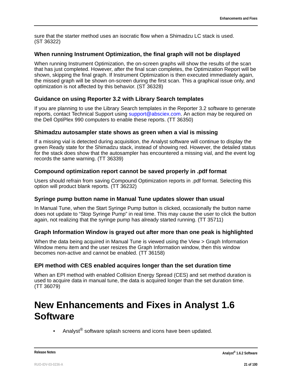sure that the starter method uses an isocratic flow when a Shimadzu LC stack is used. (ST 36322)

#### **When running Instrument Optimization, the final graph will not be displayed**

When running Instrument Optimization, the on-screen graphs will show the results of the scan that has just completed. However, after the final scan completes, the Optimization Report will be shown, skipping the final graph. If Instrument Optimization is then executed immediately again, the missed graph will be shown on-screen during the first scan. This a graphical issue only, and optimization is not affected by this behavior. (ST 36328)

# **Guidance on using Reporter 3.2 with Library Search templates**

If you are planning to use the Library Search templates in the Reporter 3.2 software to generate reports, contact Technical Support using support@absciex.com. An action may be required on the Dell OptiPlex 990 computers to enable these reports. (TT 36350)

#### **Shimadzu autosampler state shows as green when a vial is missing**

If a missing vial is detected during acquisition, the Analyst software will continue to display the green Ready state for the Shimadzu stack, instead of showing red. However, the detailed status for the stack does show that the autosampler has encountered a missing vial, and the event log records the same warning. (TT 36339)

# **Compound optimization report cannot be saved properly in .pdf format**

Users should refrain from saving Compound Optimization reports in .pdf format. Selecting this option will product blank reports. (TT 36232)

# **Syringe pump button name in Manual Tune updates slower than usual**

In Manual Tune, when the Start Syringe Pump button is clicked, occasionally the button name does not update to "Stop Syringe Pump" in real time. This may cause the user to click the button again, not realizing that the syringe pump has already started running. (TT 35711)

# **Graph Information Window is grayed out after more than one peak is highlighted**

When the data being acquired in Manual Tune is viewed using the View > Graph Information Window menu item and the user resizes the Graph Information window, then this window becomes non-active and cannot be enabled. (TT 36158)

# **EPI method with CES enabled acquires longer than the set duration time**

When an EPI method with enabled Collision Energy Spread (CES) and set method duration is used to acquire data in manual tune, the data is acquired longer than the set duration time. (TT 36079)

# <span id="page-20-0"></span>**New Enhancements and Fixes in Analyst 1.6 Software**

Analyst<sup>®</sup> software splash screens and icons have been updated.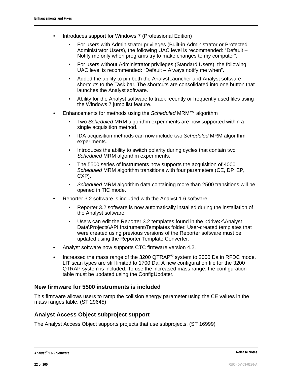- Introduces support for Windows 7 (Professional Edition)
	- For users with Administrator privileges (Built-in Administrator or Protected Administrator Users), the following UAC level is recommended: "Default – Notify me only when programs try to make changes to my computer".
	- For users without Administrator privileges (Standard Users), the following UAC level is recommended: "Default – Always notify me when".
	- Added the ability to pin both the AnalystLauncher and Analyst software shortcuts to the Task bar. The shortcuts are consolidated into one button that launches the Analyst software.
	- Ability for the Analyst software to track recently or frequently used files using the Windows 7 jump list feature.
- Enhancements for methods using the *Scheduled* MRM™ algorithm
	- Two *Scheduled* MRM algorithm experiments are now supported within a single acquisition method.
	- IDA acquisition methods can now include two *Scheduled* MRM algorithm experiments.
	- Introduces the ability to switch polarity during cycles that contain two *Scheduled* MRM algorithm experiments.
	- The 5500 series of instruments now supports the acquisition of 4000 *Scheduled* MRM algorithm transitions with four parameters (CE, DP, EP, CXP).
	- *Scheduled* MRM algorithm data containing more than 2500 transitions will be opened in TIC mode.
- Reporter 3.2 software is included with the Analyst 1.6 software
	- Reporter 3.2 software is now automatically installed during the installation of the Analyst software.
	- Users can edit the Reporter 3.2 templates found in the <drive>:\Analyst Data\Projects\API Instrument\Templates folder. User-created templates that were created using previous versions of the Reporter software must be updated using the Reporter Template Converter.
- Analyst software now supports CTC firmware version 4.2.
- Increased the mass range of the 3200 QTRAP<sup>®</sup> system to 2000 Da in RFDC mode. LIT scan types are still limited to 1700 Da. A new configuration file for the 3200 QTRAP system is included. To use the increased mass range, the configuration table must be updated using the ConfigUpdater.

# **New firmware for 5500 instruments is included**

This firmware allows users to ramp the collision energy parameter using the CE values in the mass ranges table. (ST 29645)

# **Analyst Access Object subproject support**

The Analyst Access Object supports projects that use subprojects. (ST 16999)

**Analyst® 1.6.2 Software Release Notes**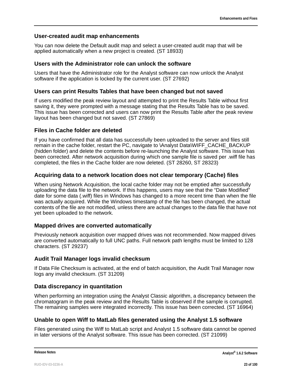# **User-created audit map enhancements**

You can now delete the Default audit map and select a user-created audit map that will be applied automatically when a new project is created. (ST 18933)

# **Users with the Administrator role can unlock the software**

Users that have the Administrator role for the Analyst software can now unlock the Analyst software if the application is locked by the current user. (ST 27692)

#### **Users can print Results Tables that have been changed but not saved**

If users modified the peak review layout and attempted to print the Results Table without first saving it, they were prompted with a message stating that the Results Table has to be saved. This issue has been corrected and users can now print the Results Table after the peak review layout has been changed but not saved. (ST 27869)

# **Files in Cache folder are deleted**

If you have confirmed that all data has successfully been uploaded to the server and files still remain in the cache folder, restart the PC, navigate to \Analyst Data\WIFF\_CACHE\_BACKUP (hidden folder) and delete the contents before re-launching the Analyst software. This issue has been corrected. After network acquisition during which one sample file is saved per .wiff file has completed, the files in the Cache folder are now deleted. (ST 28260, ST 28323)

# **Acquiring data to a network location does not clear temporary (Cache) files**

When using Network Acquisition, the local cache folder may not be emptied after successfully uploading the data file to the network. If this happens, users may see that the "Date Modified" date for some data (.wiff) files in Windows has changed to a more recent time than when the file was actually acquired. While the Windows timestamp of the file has been changed, the actual contents of the file are not modified, unless there are actual changes to the data file that have not yet been uploaded to the network.

# **Mapped drives are converted automatically**

Previously network acquisition over mapped drives was not recommended. Now mapped drives are converted automatically to full UNC paths. Full network path lengths must be limited to 128 characters. (ST 29237)

# **Audit Trail Manager logs invalid checksum**

If Data File Checksum is activated, at the end of batch acquisition, the Audit Trail Manager now logs any invalid checksum. (ST 31209)

#### **Data discrepancy in quantitation**

When performing an integration using the Analyst Classic algorithm, a discrepancy between the chromatogram in the peak review and the Results Table is observed if the sample is corrupted. The remaining samples were integrated incorrectly. This issue has been corrected. (ST 16964)

# **Unable to open Wiff to MatLab files generated using the Analyst 1.5 software**

Files generated using the Wiff to MatLab script and Analyst 1.5 software data cannot be opened in later versions of the Analyst software. This issue has been corrected. (ST 21099)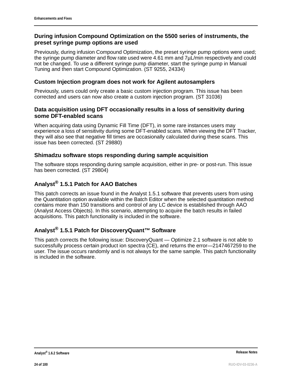# **During infusion Compound Optimization on the 5500 series of instruments, the preset syringe pump options are used**

Previously, during infusion Compound Optimization, the preset syringe pump options were used; the syringe pump diameter and flow rate used were 4.61 mm and 7µL/min respectively and could not be changed. To use a different syringe pump diameter, start the syringe pump in Manual Tuning and then start Compound Optimization. (ST 9255, 24334)

# **Custom Injection program does not work for Agilent autosamplers**

Previously, users could only create a basic custom injection program. This issue has been corrected and users can now also create a custom injection program. (ST 31036)

# **Data acquisition using DFT occasionally results in a loss of sensitivity during some DFT-enabled scans**

When acquiring data using Dynamic Fill Time (DFT), in some rare instances users may experience a loss of sensitivity during some DFT-enabled scans. When viewing the DFT Tracker, they will also see that negative fill times are occasionally calculated during these scans. This issue has been corrected. (ST 29880)

# **Shimadzu software stops responding during sample acquisition**

The software stops responding during sample acquisition, either in pre- or post-run. This issue has been corrected. (ST 29804)

# **Analyst® 1.5.1 Patch for AAO Batches**

This patch corrects an issue found in the Analyst 1.5.1 software that prevents users from using the Quantitation option available within the Batch Editor when the selected quantitation method contains more than 150 transitions and control of any LC device is established through AAO (Analyst Access Objects). In this scenario, attempting to acquire the batch results in failed acquisitions. This patch functionality is included in the software.

# **Analyst® 1.5.1 Patch for DiscoveryQuant™ Software**

This patch corrects the following issue: DiscoveryQuant — Optimize 2.1 software is not able to successfully process certain product ion spectra (CE), and returns the error—2147467259 to the user. The issue occurs randomly and is not always for the same sample. This patch functionality is included in the software.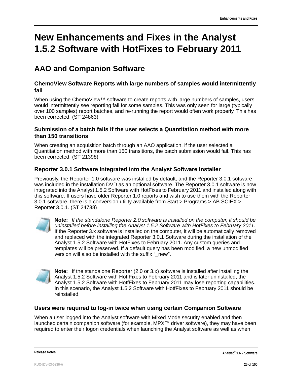# <span id="page-24-0"></span>**New Enhancements and Fixes in the Analyst 1.5.2 Software with HotFixes to February 2011**

# <span id="page-24-1"></span>**AAO and Companion Software**

# **ChemoView Software Reports with large numbers of samples would intermittently fail**

When using the ChemoView™ software to create reports with large numbers of samples, users would intermittently see reporting fail for some samples. This was only seen for large (typically over 100 samples) report batches, and re-running the report would often work properly. This has been corrected. (ST 24863)

# **Submission of a batch fails if the user selects a Quantitation method with more than 150 transitions**

When creating an acquisition batch through an AAO application, if the user selected a Quantitation method with more than 150 transitions, the batch submission would fail. This has been corrected. (ST 21398)

# **Reporter 3.0.1 Software Integrated into the Analyst Software Installer**

Previously, the Reporter 1.0 software was installed by default, and the Reporter 3.0.1 software was included in the installation DVD as an optional software. The Reporter 3.0.1 software is now integrated into the Analyst 1.5.2 Software with HotFixes to February 2011 and installed along with this software. If users have older Reporter 1.0 reports and wish to use them with the Reporter 3.0.1 software, there is a conversion utility available from Start > Programs > AB SCIEX > Reporter 3.0.1. (ST 24738)



**Note:** *If the standalone Reporter 2.0 software is installed on the computer, it should be uninstalled before installing the Analyst 1.5.2 Software with HotFixes to February 2011.* If the Reporter 3.x software is installed on the computer, it will be automatically removed and replaced with the integrated Reporter 3.0.1 Software during the installation of the Analyst 1.5.2 Software with HotFixes to February 2011. Any custom queries and templates will be preserved. If a default query has been modified, a new unmodified version will also be installed with the suffix " new".



**Note:** If the standalone Reporter (2.0 or 3.x) software is installed after installing the Analyst 1.5.2 Software with HotfFixes to February 2011 and is later uninstalled, the Analyst 1.5.2 Software with HotfFixes to February 2011 may lose reporting capabilities. In this scenario, the Analyst 1.5.2 Software with HotfFixes to February 2011 should be reinstalled.

# **Users were required to log-in twice when using certain Companion Software**

When a user logged into the Analyst software with Mixed Mode security enabled and then launched certain companion software (for example, MPX™ driver software), they may have been required to enter their logon credentials when launching the Analyst software as well as when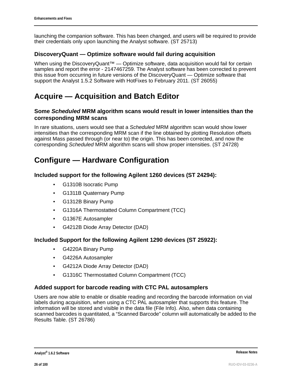launching the companion software. This has been changed, and users will be required to provide their credentials only upon launching the Analyst software. (ST 25713)

# **DiscoveryQuant — Optimize software would fail during acquisition**

When using the DiscoveryQuant<sup>™</sup> — Optimize software, data acquisition would fail for certain samples and report the error - 2147467259. The Analyst software has been corrected to prevent this issue from occurring in future versions of the DiscoveryQuant — Optimize software that support the Analyst 1.5.2 Software with HotFixes to February 2011. (ST 26055)

# <span id="page-25-0"></span>**Acquire — Acquisition and Batch Editor**

# **Some** *Scheduled* **MRM algorithm scans would result in lower intensities than the corresponding MRM scans**

In rare situations, users would see that a *Scheduled* MRM algorithm scan would show lower intensities than the corresponding MRM scan if the line obtained by plotting Resolution offsets against Mass passed through (or near to) the origin. This has been corrected, and now the corresponding *Scheduled* MRM algorithm scans will show proper intensities. (ST 24728)

# <span id="page-25-1"></span>**Configure — Hardware Configuration**

# **Included support for the following Agilent 1260 devices (ST 24294):**

- G1310B Isocratic Pump
- G1311B Quaternary Pump
- G1312B Binary Pump
- G1316A Thermostatted Column Compartment (TCC)
- G1367E Autosampler
- G4212B Diode Array Detector (DAD)

# **Included Support for the following Agilent 1290 devices (ST 25922):**

- G4220A Binary Pump
- G4226A Autosampler
- G4212A Diode Array Detector (DAD)
- G1316C Thermostatted Column Compartment (TCC)

# **Added support for barcode reading with CTC PAL autosamplers**

Users are now able to enable or disable reading and recording the barcode information on vial labels during acquisition, when using a CTC PAL autosampler that supports this feature. The information will be stored and visible in the data file (File Info). Also, when data containing scanned barcodes is quantitated, a "Scanned Barcode" column will automatically be added to the Results Table. (ST 26786)

**Analyst® 1.6.2 Software Release Notes**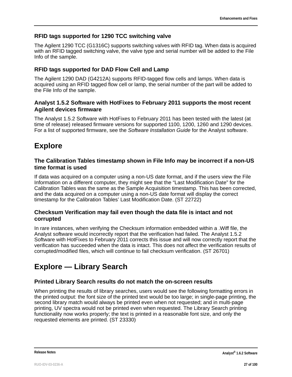# **RFID tags supported for 1290 TCC switching valve**

The Agilent 1290 TCC (G1316C) supports switching valves with RFID tag. When data is acquired with an RFID tagged switching valve, the valve type and serial number will be added to the File Info of the sample.

# **RFID tags supported for DAD Flow Cell and Lamp**

The Agilent 1290 DAD (G4212A) supports RFID-tagged flow cells and lamps. When data is acquired using an RFID tagged flow cell or lamp, the serial number of the part will be added to the File Info of the sample.

# **Analyst 1.5.2 Software with HotFixes to February 2011 supports the most recent Agilent devices firmware**

The Analyst 1.5.2 Software with HotFixes to February 2011 has been tested with the latest (at time of release) released firmware versions for supported 1100, 1200, 1260 and 1290 devices. For a list of supported firmware, see the *Software Installation Guide* for the Analyst software.

# <span id="page-26-0"></span>**Explore**

# **The Calibration Tables timestamp shown in File Info may be incorrect if a non-US time format is used**

If data was acquired on a computer using a non-US date format, and if the users view the File Information on a different computer, they might see that the "Last Modification Date" for the Calibration Tables was the same as the Sample Acquisition timestamp. This has been corrected, and the data acquired on a computer using a non-US date format will display the correct timestamp for the Calibration Tables' Last Modification Date. (ST 22722)

# **Checksum Verification may fail even though the data file is intact and not corrupted**

In rare instances, when verifying the Checksum information embedded within a .Wiff file, the Analyst software would incorrectly report that the verification had failed. The Analyst 1.5.2 Software with HotFixes to February 2011 corrects this issue and will now correctly report that the verification has succeeded when the data is intact. This does not affect the verification results of corrupted/modified files, which will continue to fail checksum verification. (ST 26701)

# <span id="page-26-1"></span>**Explore — Library Search**

# **Printed Library Search results do not match the on-screen results**

When printing the results of library searches, users would see the following formatting errors in the printed output: the font size of the printed text would be too large; in single-page printing, the second library match would always be printed even when not requested; and in multi-page printing, UV spectra would not be printed even when requested. The Library Search printing functionality now works properly; the text is printed in a reasonable font size, and only the requested elements are printed. (ST 23330)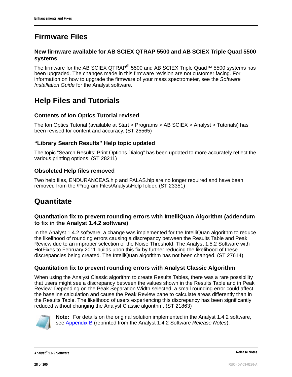# <span id="page-27-0"></span>**Firmware Files**

# **New firmware available for AB SCIEX QTRAP 5500 and AB SCIEX Triple Quad 5500 systems**

The firmware for the AB SCIEX QTRAP<sup>®</sup> 5500 and AB SCIEX Triple Quad<sup>™</sup> 5500 systems has been upgraded. The changes made in this firmware revision are not customer facing. For information on how to upgrade the firmware of your mass spectrometer, see the *Software Installation Guide* for the Analyst software.

# <span id="page-27-1"></span>**Help Files and Tutorials**

# **Contents of Ion Optics Tutorial revised**

The Ion Optics Tutorial (available at Start > Programs > AB SCIEX > Analyst > Tutorials) has been revised for content and accuracy. (ST 25565)

# **"Library Search Results" Help topic updated**

The topic "Search Results: Print Options Dialog" has been updated to more accurately reflect the various printing options. (ST 28211)

# **Obsoleted Help files removed**

Two help files, ENDURANCEAS.hlp and PALAS.hlp are no longer required and have been removed from the \Program Files\Analyst\Help folder. (ST 23351)

# <span id="page-27-2"></span>**Quantitate**

# **Quantitation fix to prevent rounding errors with IntelliQuan Algorithm (addendum to fix in the Analyst 1.4.2 software)**

In the Analyst 1.4.2 software, a change was implemented for the IntelliQuan algorithm to reduce the likelihood of rounding errors causing a discrepancy between the Results Table and Peak Review due to an improper selection of the Noise Threshold. The Analyst 1.5.2 Software with HotFixes to February 2011 builds upon this fix by further reducing the likelihood of these discrepancies being created. The IntelliQuan algorithm has not been changed. (ST 27614)

# **Quantitation fix to prevent rounding errors with Analyst Classic Algorithm**

When using the Analyst Classic algorithm to create Results Tables, there was a rare possibility that users might see a discrepancy between the values shown in the Results Table and in Peak Review. Depending on the Peak Separation Width selected, a small rounding error could affect the baseline calculation and cause the Peak Review pane to calculate areas differently than in the Results Table. The likelihood of users experiencing this discrepancy has been significantly reduced without changing the Analyst Classic algorithm. (ST 21863)



**Note:** For details on the original solution implemented in the Analyst 1.4.2 software, see [Appendix B](#page-98-3) (reprinted from the Analyst 1.4.2 Software *Release Notes*).

**Analyst® 1.6.2 Software Release Notes**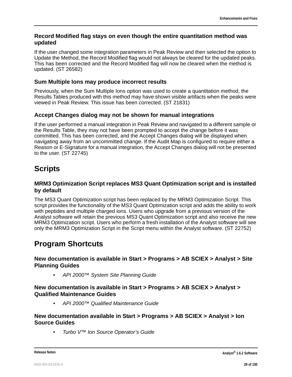# **Record Modified flag stays on even though the entire quantitation method was updated**

If the user changed some integration parameters in Peak Review and then selected the option to Update the Method, the Record Modified flag would not always be cleared for the updated peaks. This has been corrected and the Record Modified flag will now be cleared when the method is updated. (ST 26582)

# **Sum Multiple Ions may produce incorrect results**

Previously, when the Sum Multiple Ions option was used to create a quantitation method, the Results Tables produced with this method may have shown visible artifacts when the peaks were viewed in Peak Review. This issue has been corrected. (ST 21831)

# **Accept Changes dialog may not be shown for manual integrations**

If the user performed a manual integration in Peak Review and navigated to a different sample or the Results Table, they may not have been prompted to accept the change before it was committed. This has been corrected, and the Accept Changes dialog will be displayed when navigating away from an uncommitted change. If the Audit Map is configured to require either a Reason or E-Signature for a manual integration, the Accept Changes dialog will not be presented to the user. (ST 22745)

# <span id="page-28-0"></span>**Scripts**

# **MRM3 Optimization Script replaces MS3 Quant Optimization script and is installed by default**

The MS3 Quant Optimization script has been replaced by the MRM3 Optimization Script. This script provides the functionality of the MS3 Quant Optimization script and adds the ability to work with peptides and multiple charged ions. Users who upgrade from a previous version of the Analyst software will retain the previous MS3 Quant Optimization script and also receive the new MRM3 Optimization script. Users who perform a fresh installation of the Analyst software will see only the MRM3 Optimization Script in the Script menu within the Analyst software. (ST 22752)

# <span id="page-28-1"></span>**Program Shortcuts**

# **New documentation is available in Start > Programs > AB SCIEX > Analyst > Site Planning Guides**

• *API 2000™ System Site Planning Guide*

# **New documentation is available in Start > Programs > AB SCIEX > Analyst > Qualified Maintenance Guides**

*• API 2000™ Qualified Maintenance Guide*

# **New documentation available in Start > Programs > AB SCIEX > Analyst > Ion Source Guides**

• *Turbo V™ Ion Source Operator's Guide*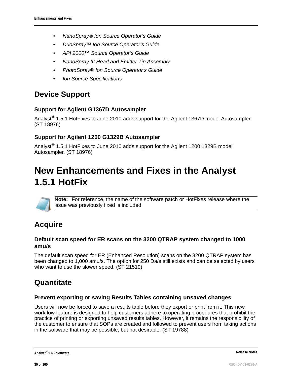- *NanoSpray® Ion Source Operator's Guide*
- *DuoSpray™ Ion Source Operator's Guide*
- *API 2000™ Source Operator's Guide*
- *NanoSpray III Head and Emitter Tip Assembly*
- *PhotoSpray® Ion Source Operator's Guide*
- *Ion Source Specifications*

# <span id="page-29-0"></span>**Device Support**

# **Support for Agilent G1367D Autosampler**

Analyst<sup>®</sup> 1.5.1 HotFixes to June 2010 adds support for the Agilent 1367D model Autosampler. (ST 18976)

# **Support for Agilent 1200 G1329B Autosampler**

Analyst<sup>®</sup> 1.5.1 HotFixes to June 2010 adds support for the Agilent 1200 1329B model Autosampler. (ST 18976)

# <span id="page-29-1"></span>**New Enhancements and Fixes in the Analyst 1.5.1 HotFix**

**Note:** For reference, the name of the software patch or HotFixes release where the issue was previously fixed is included.

# <span id="page-29-2"></span>**Acquire**

# **Default scan speed for ER scans on the 3200 QTRAP system changed to 1000 amu/s**

The default scan speed for ER (Enhanced Resolution) scans on the 3200 QTRAP system has been changed to 1,000 amu/s. The option for 250 Da/s still exists and can be selected by users who want to use the slower speed. (ST 21519)

# <span id="page-29-3"></span>**Quantitate**

# **Prevent exporting or saving Results Tables containing unsaved changes**

Users will now be forced to save a results table before they export or print from it. This new workflow feature is designed to help customers adhere to operating procedures that prohibit the practice of printing or exporting unsaved results tables. However, it remains the responsibility of the customer to ensure that SOPs are created and followed to prevent users from taking actions in the software that may be possible, but not desirable. (ST 19788)

```
Analyst® 1.6.2 Software Release Notes
```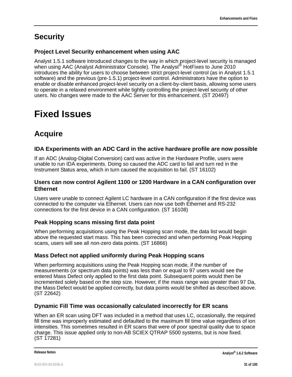# <span id="page-30-0"></span>**Security**

# **Project Level Security enhancement when using AAC**

Analyst 1.5.1 software introduced changes to the way in which project-level security is managed when using AAC (Analyst Administrator Console). The Analyst<sup>®</sup> HotFixes to June 2010 introduces the ability for users to choose between strict project-level control (as in Analyst 1.5.1 software) and the previous (pre-1.5.1) project-level control. Administrators have the option to enable or disable enhanced project-level security on a client-by-client basis, allowing some users to operate in a relaxed environment while tightly controlling the project-level security of other users. No changes were made to the AAC Server for this enhancement. (ST 20497)

# <span id="page-30-1"></span>**Fixed Issues**

# <span id="page-30-2"></span>**Acquire**

# **IDA Experiments with an ADC Card in the active hardware profile are now possible**

If an ADC (Analog-Digital Conversion) card was active in the Hardware Profile, users were unable to run IDA experiments. Doing so caused the ADC card to fail and turn red in the Instrument Status area, which in turn caused the acquisition to fail. (ST 16102)

# **Users can now control Agilent 1100 or 1200 Hardware in a CAN configuration over Ethernet**

Users were unable to connect Agilent LC hardware in a CAN configuration if the first device was connected to the computer via Ethernet. Users can now use both Ethernet and RS-232 connections for the first device in a CAN configuration. (ST 16108)

# **Peak Hopping scans missing first data point**

When performing acquisitions using the Peak Hopping scan mode, the data list would begin above the requested start mass. This has been corrected and when performing Peak Hopping scans, users will see all non-zero data points. (ST 16866)

# **Mass Defect not applied uniformly during Peak Hopping scans**

When performing acquisitions using the Peak Hopping scan mode, if the number of measurements (or spectrum data points) was less than or equal to 97 users would see the entered Mass Defect only applied to the first data point. Subsequent points would then be incremented solely based on the step size. However, if the mass range was greater than 97 Da, the Mass Defect would be applied correctly, but data points would be shifted as described above. (ST 22642)

# **Dynamic Fill Time was occasionally calculated incorrectly for ER scans**

When an ER scan using DFT was included in a method that uses LC, occasionally, the required fill time was improperly estimated and defaulted to the maximum fill time value regardless of ion intensities. This sometimes resulted in ER scans that were of poor spectral quality due to space charge. This issue applied only to non-AB SCIEX QTRAP 5500 systems, but is now fixed. (ST 17281)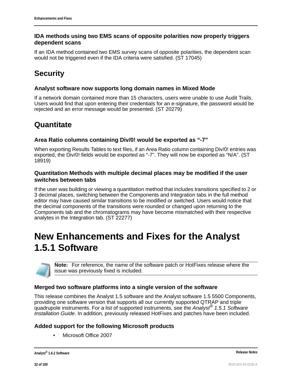# **IDA methods using two EMS scans of opposite polarities now properly triggers dependent scans**

If an IDA method contained two EMS survey scans of opposite polarities, the dependent scan would not be triggered even if the IDA criteria were satisfied. (ST 17045)

# <span id="page-31-0"></span>**Security**

# **Analyst software now supports long domain names in Mixed Mode**

If a network domain contained more than 15 characters, users were unable to use Audit Trails. Users would find that upon entering their credentials for an e-signature, the password would be rejected and an error message would be presented. (ST 20279)

# <span id="page-31-1"></span>**Quantitate**

# **Area Ratio columns containing Div/0! would be exported as "-7"**

When exporting Results Tables to text files, if an Area Ratio column containing Div/0! entries was exported, the Div/0! fields would be exported as "-7". They will now be exported as "N/A". (ST 18919)

# **Quantitation Methods with multiple decimal places may be modified if the user switches between tabs**

If the user was building or viewing a quantitation method that includes transitions specified to 2 or 3 decimal places, switching between the Components and Integration tabs in the full method editor may have caused similar transitions to be modified or switched. Users would notice that the decimal components of the transitions were rounded or changed upon returning to the Components tab and the chromatograms may have become mismatched with their respective analytes in the Integration tab. (ST 22277)

# <span id="page-31-2"></span>**New Enhancements and Fixes for the Analyst 1.5.1 Software**

**Note:** For reference, the name of the software patch or HotFixes release where the issue was previously fixed is included.

# **Merged two software platforms into a single version of the software**

This release combines the Analyst 1.5 software and the Analyst software 1.5 5500 Components, providing one software version that supports all our currently supported QTRAP and triple quadrupole instruments. For a list of supported instruments, see the *Analyst® 1.5.1 Software Installation Guide*. In addition, previously released HotFixes and patches have been included.

# **Added support for the following Microsoft products**

• Microsoft Office 2007

**Analyst® 1.6.2 Software Release Notes**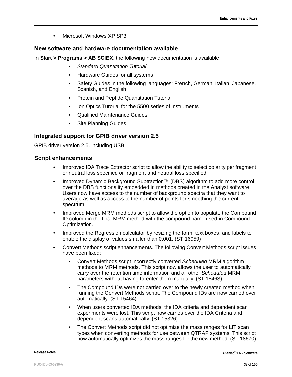• Microsoft Windows XP SP3

# **New software and hardware documentation available**

In **Start > Programs > AB SCIEX**, the following new documentation is available:

- *Standard Quantitation Tutorial*
- Hardware Guides for all systems
- Safety Guides in the following languages: French, German, Italian, Japanese, Spanish, and English
- Protein and Peptide Quantitation Tutorial
- Ion Optics Tutorial for the 5500 series of instruments
- Qualified Maintenance Guides
- Site Planning Guides

# **Integrated support for GPIB driver version 2.5**

GPIB driver version 2.5, including USB.

#### **Script enhancements**

- Improved IDA Trace Extractor script to allow the ability to select polarity per fragment or neutral loss specified or fragment and neutral loss specified.
- Improved Dynamic Background Subtraction™ (DBS) algorithm to add more control over the DBS functionality embedded in methods created in the Analyst software. Users now have access to the number of background spectra that they want to average as well as access to the number of points for smoothing the current spectrum.
- Improved Merge MRM methods script to allow the option to populate the Compound ID column in the final MRM method with the compound name used in Compound Optimization.
- Improved the Regression calculator by resizing the form, text boxes, and labels to enable the display of values smaller than 0.001. (ST 16959)
- Convert Methods script enhancements. The following Convert Methods script issues have been fixed:
	- Convert Methods script incorrectly converted *Scheduled* MRM algorithm methods to MRM methods. This script now allows the user to automatically carry over the retention time information and all other *Scheduled* MRM parameters without having to enter them manually. (ST 15463)
	- The Compound IDs were not carried over to the newly created method when running the Convert Methods script. The Compound IDs are now carried over automatically. (ST 15464)
	- When users converted IDA methods, the IDA criteria and dependent scan experiments were lost. This script now carries over the IDA Criteria and dependent scans automatically. (ST 15326)
	- The Convert Methods script did not optimize the mass ranges for LIT scan types when converting methods for use between QTRAP systems. This script now automatically optimizes the mass ranges for the new method. (ST 18670)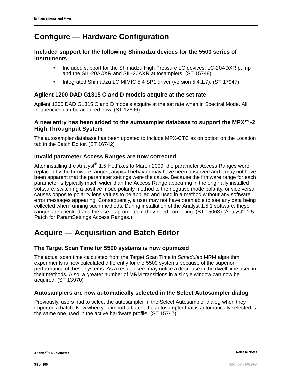# <span id="page-33-0"></span>**Configure — Hardware Configuration**

# **Included support for the following Shimadzu devices for the 5500 series of instruments**

- Included support for the Shimadzu High Pressure LC devices: LC-20ADXR pump and the SIL-20ACXR and SIL-20AXR autosamplers. (ST 15748)
- Integrated Shimadzu LC MIMIC 5.4 SP1 driver (version 5.4.1.7). (ST 17947)

# **Agilent 1200 DAD G1315 C and D models acquire at the set rate**

Agilent 1200 DAD G1315 C and D models acquire at the set rate when in Spectral Mode. All frequencies can be acquired now. (ST 12696)

# **A new entry has been added to the autosampler database to support the MPX™-2 High Throughput System**

The autosampler database has been updated to include MPX-CTC as on option on the Location tab in the Batch Editor. (ST 16742)

# **Invalid parameter Access Ranges are now corrected**

After installing the Analyst<sup>®</sup> 1.5 HotFixes to March 2009, the parameter Access Ranges were replaced by the firmware ranges, atypical behavior may have been observed and it may not have been apparent that the parameter settings were the cause. Because the firmware range for each parameter is typically much wider than the Access Range appearing in the originally installed software, switching a positive mode polarity method to the negative mode polarity, or vice versa, causes opposite polarity lens values to be applied and used in a method without any software error messages appearing. Consequently, a user may not have been able to see any data being collected when running such methods. During installation of the Analyst 1.5.1 software, these ranges are checked and the user is prompted if they need correcting. (ST 15063) (Analyst<sup>®</sup> 1.5 Patch for ParamSettings Access Ranges.)

# <span id="page-33-1"></span>**Acquire — Acquisition and Batch Editor**

# **The Target Scan Time for 5500 systems is now optimized**

The actual scan time calculated from the Target Scan Time in *Scheduled* MRM algorithm experiments is now calculated differently for the 5500 systems because of the superior performance of these systems. As a result, users may notice a decrease in the dwell time used in their methods. Also, a greater number of MRM transitions in a single window can now be acquired. (ST 13970)

# **Autosamplers are now automatically selected in the Select Autosampler dialog**

Previously, users had to select the autosampler in the Select Autosampler dialog when they imported a batch. Now when you import a batch, the autosampler that is automatically selected is the same one used in the active hardware profile. (ST 15747)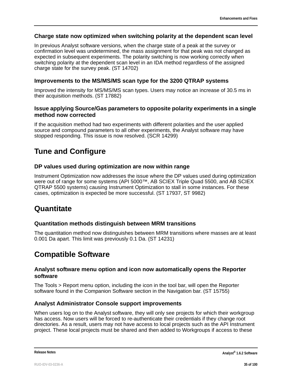# **Charge state now optimized when switching polarity at the dependent scan level**

In previous Analyst software versions, when the charge state of a peak at the survey or confirmation level was undetermined, the mass assignment for that peak was not changed as expected in subsequent experiments. The polarity switching is now working correctly when switching polarity at the dependent scan level in an IDA method regardless of the assigned charge state for the survey peak. (ST 14702)

# **Improvements to the MS/MS/MS scan type for the 3200 QTRAP systems**

Improved the intensity for MS/MS/MS scan types. Users may notice an increase of 30.5 ms in their acquisition methods. (ST 17882)

# **Issue applying Source/Gas parameters to opposite polarity experiments in a single method now corrected**

If the acquisition method had two experiments with different polarities and the user applied source and compound parameters to all other experiments, the Analyst software may have stopped responding. This issue is now resolved. (SCR 14299)

# <span id="page-34-0"></span>**Tune and Configure**

# **DP values used during optimization are now within range**

Instrument Optimization now addresses the issue where the DP values used during optimization were out of range for some systems (API 5000™, AB SCIEX Triple Quad 5500, and AB SCIEX QTRAP 5500 systems) causing Instrument Optimization to stall in some instances. For these cases, optimization is expected be more successful. (ST 17937, ST 9982)

# <span id="page-34-1"></span>**Quantitate**

# **Quantitation methods distinguish between MRM transitions**

The quantitation method now distinguishes between MRM transitions where masses are at least 0.001 Da apart. This limit was previously 0.1 Da. (ST 14231)

# <span id="page-34-2"></span>**Compatible Software**

# **Analyst software menu option and icon now automatically opens the Reporter software**

The Tools > Report menu option, including the icon in the tool bar, will open the Reporter software found in the Companion Software section in the Navigation bar. (ST 15755)

# **Analyst Administrator Console support improvements**

When users log on to the Analyst software, they will only see projects for which their workgroup has access. Now users will be forced to re-authenticate their credentials if they change root directories. As a result, users may not have access to local projects such as the API Instrument project. These local projects must be shared and then added to Workgroups if access to these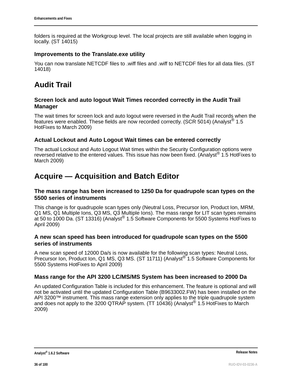folders is required at the Workgroup level. The local projects are still available when logging in locally. (ST 14015)

# **Improvements to the Translate.exe utility**

You can now translate NETCDF files to .wiff files and .wiff to NETCDF files for all data files. (ST 14018)

# <span id="page-35-0"></span>**Audit Trail**

# **Screen lock and auto logout Wait Times recorded correctly in the Audit Trail Manager**

The wait times for screen lock and auto logout were reversed in the Audit Trail records when the features were enabled. These fields are now recorded correctly. (SCR 5014) (Analyst<sup>®</sup> 1.5 HotFixes to March 2009)

# **Actual Lockout and Auto Logout Wait times can be entered correctly**

The actual Lockout and Auto Logout Wait times within the Security Configuration options were reversed relative to the entered values. This issue has now been fixed. (Analyst<sup>®</sup> 1.5 HotFixes to March 2009)

# <span id="page-35-1"></span>**Acquire — Acquisition and Batch Editor**

# **The mass range has been increased to 1250 Da for quadrupole scan types on the 5500 series of instruments**

This change is for quadrupole scan types only (Neutral Loss, Precursor Ion, Product Ion, MRM, Q1 MS, Q1 Multiple Ions, Q3 MS, Q3 Multiple Ions). The mass range for LIT scan types remains at 50 to 1000 Da. (ST 13316) (Analyst® 1.5 Software Components for 5500 Systems HotFixes to April 2009)

# **A new scan speed has been introduced for quadrupole scan types on the 5500 series of instruments**

A new scan speed of 12000 Da/s is now available for the following scan types: Neutral Loss, Precursor Ion, Product Ion, Q1 MS, Q3 MS. (ST 11711) (Analyst<sup>®</sup> 1.5 Software Components for 5500 Systems HotFixes to April 2009)

# **Mass range for the API 3200 LC/MS/MS System has been increased to 2000 Da**

An updated Configuration Table is included for this enhancement. The feature is optional and will not be activated until the updated Configuration Table (B9633002.FW) has been installed on the API 3200™ instrument. This mass range extension only applies to the triple quadrupole system and does not apply to the 3200 QTRAP system. (TT 10436) (Analyst<sup>®</sup> 1.5 HotFixes to March 2009)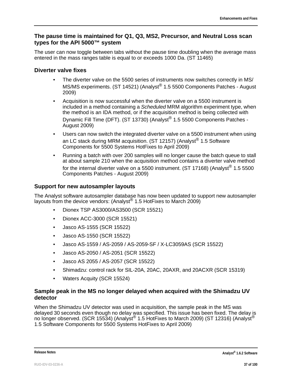## **The pause time is maintained for Q1, Q3, MS2, Precursor, and Neutral Loss scan types for the API 5000™ system**

The user can now toggle between tabs without the pause time doubling when the average mass entered in the mass ranges table is equal to or exceeds 1000 Da. (ST 11465)

# **Diverter valve fixes**

- The diverter valve on the 5500 series of instruments now switches correctly in MS/ MS/MS experiments. (ST 14521) (Analyst<sup>®</sup> 1.5 5500 Components Patches - August 2009)
- Acquisition is now successful when the diverter valve on a 5500 instrument is included in a method containing a *Scheduled* MRM algorithm experiment type, when the method is an IDA method, or if the acquisition method is being collected with Dynamic Fill Time (DFT). (ST 13730) (Analyst® 1.5 5500 Components Patches - August 2009)
- Users can now switch the integrated diverter valve on a 5500 instrument when using an LC stack during MRM acquisition. (ST 12157) (Analyst® 1.5 Software Components for 5500 Systems HotFixes to April 2009)
- Running a batch with over 200 samples will no longer cause the batch queue to stall at about sample 210 when the acquisition method contains a diverter valve method for the internal diverter valve on a 5500 instrument. (ST 17168) (Analyst<sup>®</sup> 1.5 5500 Components Patches - August 2009)

# **Support for new autosampler layouts**

The Analyst software autosampler database has now been updated to support new autosampler layouts from the device vendors: (Analyst $\mathcal{B}$  1.5 HotFixes to March 2009)

- Dionex TSP AS3000/AS3500 (SCR 15521)
- Dionex ACC-3000 (SCR 15521)
- Jasco AS-1555 (SCR 15522)
- Jasco AS-1550 (SCR 15522)
- Jasco AS-1559 / AS-2059 / AS-2059-SF / X-LC3059AS (SCR 15522)
- Jasco AS-2050 / AS-2051 (SCR 15522)
- Jasco AS 2055 / AS-2057 (SCR 15522)
- Shimadzu: control rack for SIL-20A, 20AC, 20AXR, and 20ACXR (SCR 15319)
- Waters Acquity (SCR 15524)

# **Sample peak in the MS no longer delayed when acquired with the Shimadzu UV detector**

When the Shimadzu UV detector was used in acquisition, the sample peak in the MS was delayed 30 seconds even though no delay was specified. This issue has been fixed. The delay is no longer observed. (SCR 15534) (Analyst<sup>®</sup> 1.5 HotFixes to March 2009) (ST 12316) (Analyst<sup>®</sup> 1.5 Software Components for 5500 Systems HotFixes to April 2009)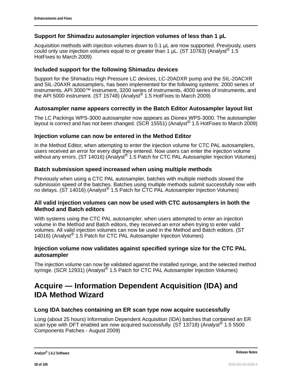# **Support for Shimadzu autosampler injection volumes of less than 1 µL**

Acquisition methods with injection volumes down to 0.1 µL are now supported. Previously, users could only use injection volumes equal to or greater than 1  $\mu$ L. (ST 10763) (Analyst<sup>®</sup> 1.5 HotFixes to March 2009)

#### **Included support for the following Shimadzu devices**

Support for the Shimadzu High Pressure LC devices, LC-20ADXR pump and the SIL-20ACXR and SIL-20AXR autosamplers, has been implemented for the following systems: 2000 series of instruments, API 3000™ instrument, 3200 series of instruments, 4000 series of instruments, and the API 5000 instrument. (ST 15748) (Analyst $^{\circledR}$  1.5 HotFixes to March 2009)

#### **Autosampler name appears correctly in the Batch Editor Autosampler layout list**

The LC Packings WPS-3000 autosampler now appears as Dionex WPS-3000. The autosampler layout is correct and has not been changed. (SCR 15551) (Analyst<sup>®</sup> 1.5 HotFixes to March 2009)

#### **Injection volume can now be entered in the Method Editor**

In the Method Editor, when attempting to enter the injection volume for CTC PAL autosamplers, users received an error for every digit they entered. Now users can enter the injection volume without any errors. (ST 14016) (Analyst<sup>®</sup> 1.5 Patch for CTC PAL Autosampler Injection Volumes)

#### **Batch submission speed increased when using multiple methods**

Previously when using a CTC PAL autosampler, batches with multiple methods slowed the submission speed of the batches. Batches using multiple methods submit successfully now with no delays. (ST 14016) (Analyst<sup>®</sup> 1.5 Patch for CTC PAL Autosampler Injection Volumes)

## **All valid injection volumes can now be used with CTC autosamplers in both the Method and Batch editors**

With systems using the CTC PAL autosampler, when users attempted to enter an injection volume in the Method and Batch editors, they received an error when trying to enter valid volumes. All valid injection volumes can now be used in the Method and Batch editors. (ST 14016) (Analyst<sup>®</sup> 1.5 Patch for CTC PAL Autosampler Injection Volumes)

#### **Injection volume now validates against specified syringe size for the CTC PAL autosampler**

The injection volume can now be validated against the installed syringe, and the selected method syringe. (SCR 12931) (Analyst<sup>®</sup> 1.5 Patch for CTC PAL Autosampler Injection Volumes)

# **Acquire — Information Dependent Acquisition (IDA) and IDA Method Wizard**

#### **Long IDA batches containing an ER scan type now acquire successfully**

Long (about 25 hours) Information Dependent Acquisition (IDA) batches that contained an ER scan type with DFT enabled are now acquired successfully. (ST 13718) (Analyst<sup>®</sup> 1.5 5500 Components Patches - August 2009)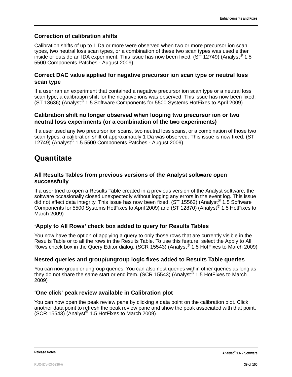# **Correction of calibration shifts**

Calibration shifts of up to 1 Da or more were observed when two or more precursor ion scan types, two neutral loss scan types, or a combination of these two scan types was used either inside or outside an IDA experiment. This issue has now been fixed. (ST 12749) (Analyst<sup>®</sup> 1.5 5500 Components Patches - August 2009)

# **Correct DAC value applied for negative precursor ion scan type or neutral loss scan type**

If a user ran an experiment that contained a negative precursor ion scan type or a neutral loss scan type, a calibration shift for the negative ions was observed. This issue has now been fixed.  $(ST 13636)$  (Analyst<sup>®</sup> 1.5 Software Components for 5500 Systems HotFixes to April 2009)

## **Calibration shift no longer observed when looping two precursor ion or two neutral loss experiments (or a combination of the two experiments)**

If a user used any two precursor ion scans, two neutral loss scans, or a combination of those two scan types, a calibration shift of approximately 1 Da was observed. This issue is now fixed. (ST 12749) (Analyst® 1.5 5500 Components Patches - August 2009)

# **Quantitate**

# **All Results Tables from previous versions of the Analyst software open successfully**

If a user tried to open a Results Table created in a previous version of the Analyst software, the software occasionally closed unexpectedly without logging any errors in the event log. This issue did not affect data integrity. This issue has now been fixed. (ST 15562) (Analyst<sup>®</sup> 1.5 Software Components for 5500 Systems HotFixes to April 2009) and (ST 12870) (Analyst® 1.5 HotFixes to March 2009)

# **'Apply to All Rows' check box added to query for Results Tables**

You now have the option of applying a query to only those rows that are currently visible in the Results Table or to all the rows in the Results Table. To use this feature, select the Apply to All Rows check box in the Query Editor dialog. (SCR 15543) (Analyst® 1.5 HotFixes to March 2009)

# **Nested queries and group/ungroup logic fixes added to Results Table queries**

You can now group or ungroup queries. You can also nest queries within other queries as long as they do not share the same start or end item. (SCR 15543) (Analyst® 1.5 HotFixes to March 2009)

# **'One click' peak review available in Calibration plot**

You can now open the peak review pane by clicking a data point on the calibration plot. Click another data point to refresh the peak review pane and show the peak associated with that point. (SCR 15543) (Analyst® 1.5 HotFixes to March 2009)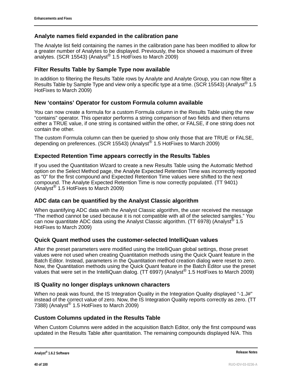## **Analyte names field expanded in the calibration pane**

The Analyte list field containing the names in the calibration pane has been modified to allow for a greater number of Analytes to be displayed. Previously, the box showed a maximum of three analytes. (SCR 15543) (Analyst® 1.5 HotFixes to March 2009)

#### **Filter Results Table by Sample Type now available**

In addition to filtering the Results Table rows by Analyte and Analyte Group, you can now filter a Results Table by Sample Type and view only a specific type at a time. (SCR 15543) (Analyst<sup>®</sup> 1.5 HotFixes to March 2009)

#### **New 'contains' Operator for custom Formula column available**

You can now create a formula for a custom Formula column in the Results Table using the new "contains" operator. This operator performs a string comparison of two fields and then returns either a TRUE value, if one string is contained within the other, or FALSE, if one string does not contain the other.

The custom Formula column can then be queried to show only those that are TRUE or FALSE, depending on preferences. (SCR 15543) (Analyst<sup>®</sup> 1.5 HotFixes to March 2009)

#### **Expected Retention Time appears correctly in the Results Tables**

If you used the Quantitation Wizard to create a new Results Table using the Automatic Method option on the Select Method page, the Analyte Expected Retention Time was incorrectly reported as "0" for the first compound and Expected Retention Time values were shifted to the next compound. The Analyte Expected Retention Time is now correctly populated. (TT 9401) (Analyst<sup>®</sup> 1.5 HotFixes to March 2009)

#### **ADC data can be quantified by the Analyst Classic algorithm**

When quantifying ADC data with the Analyst Classic algorithm, the user received the message "The method cannot be used because it is not compatible with all of the selected samples." You can now quantitate ADC data using the Analyst Classic algorithm. (TT 6978) (Analyst<sup>®</sup> 1.5 HotFixes to March 2009)

#### **Quick Quant method uses the customer-selected IntelliQuan values**

After the preset parameters were modified using the IntelliQuan global settings, those preset values were not used when creating Quantitation methods using the Quick Quant feature in the Batch Editor. Instead, parameters in the Quantitation method creation dialog were reset to zero. Now, the Quantitation methods using the Quick Quant feature in the Batch Editor use the preset values that were set in the IntelliQuan dialog. (TT 6997) (Analyst<sup>®</sup> 1.5 HotFixes to March 2009)

#### **IS Quality no longer displays unknown characters**

When no peak was found, the IS Integration Quality in the Integration Quality displayed "-1.J#" instead of the correct value of zero. Now, the IS Integration Quality reports correctly as zero. (TT  $\overline{7388}$ ) (Analyst<sup>®</sup> 1.5 HotFixes to March 2009)

#### **Custom Columns updated in the Results Table**

When Custom Columns were added in the acquisition Batch Editor, only the first compound was updated in the Results Table after quantitation. The remaining compounds displayed N/A. This

```
Analyst® 1.6.2 Software Release Notes
```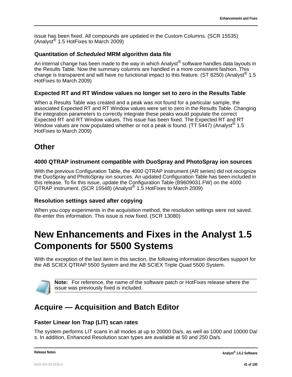issue has been fixed. All compounds are updated in the Custom Columns. (SCR 15535) (Analyst<sup>®</sup> 1.5 HotFixes to March 2009)

#### **Quantitation of** *Scheduled* **MRM algorithm data file**

An internal change has been made to the way in which Analyst<sup>®</sup> software handles data layouts in the Results Table. Now the summary columns are handled in a more consistent fashion. This change is transparent and will have no functional impact to this feature. (ST 8250) (Analyst<sup>®</sup> 1.5 HotFixes to March 2009)

#### **Expected RT and RT Window values no longer set to zero in the Results Table**

When a Results Table was created and a peak was not found for a particular sample, the associated Expected RT and RT Window values were set to zero in the Results Table. Changing the integration parameters to correctly integrate these peaks would populate the correct Expected RT and RT Window values. This issue has been fixed. The Expected RT and RT Window values are now populated whether or not a peak is found. (TT 5447) (Analyst<sup>®</sup> 1.5 HotFixes to March 2009)

# **Other**

#### **4000 QTRAP instrument compatible with DuoSpray and PhotoSpray ion sources**

With the previous Configuration Table, the 4000 QTRAP instrument (AR series) did not recognize the DuoSpray and PhotoSpray ion sources. An updated Configuration Table has been included in this release. To fix this issue, update the Configuration Table (B9609031.FW) on the 4000 QTRAP instrument. (SCR 15548) (Analyst® 1.5 HotFixes to March 2009)

#### **Resolution settings saved after copying**

When you copy experiments in the acquisition method, the resolution settings were not saved. Re-enter this information. This issue is now fixed. (SCR 13080)

# **New Enhancements and Fixes in the Analyst 1.5 Components for 5500 Systems**

With the exception of the last item in this section, the following information describes support for the AB SCIEX QTRAP 5500 System and the AB SCIEX Triple Quad 5500 System.

**Note:** For reference, the name of the software patch or HotFixes release where the issue was previously fixed is included.

# **Acquire — Acquisition and Batch Editor**

#### **Faster Linear Ion Trap (LIT) scan rates**

The system performs LIT scans in all modes at up to 20000 Da/s, as well as 1000 and 10000 Da/ s. In addition, Enhanced Resolution scan types are available at 50 and 250 Da/s.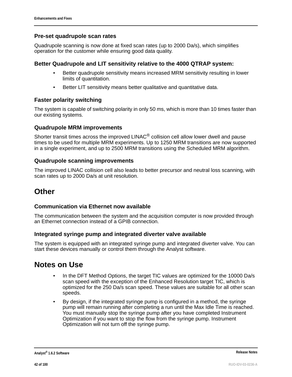#### **Pre-set quadrupole scan rates**

Quadrupole scanning is now done at fixed scan rates (up to 2000 Da/s), which simplifies operation for the customer while ensuring good data quality.

#### **Better Quadrupole and LIT sensitivity relative to the 4000 QTRAP system:**

- Better quadrupole sensitivity means increased MRM sensitivity resulting in lower limits of quantitation.
- Better LIT sensitivity means better qualitative and quantitative data.

#### **Faster polarity switching**

The system is capable of switching polarity in only 50 ms, which is more than 10 times faster than our existing systems.

#### **Quadrupole MRM improvements**

Shorter transit times across the improved LINAC<sup>®</sup> collision cell allow lower dwell and pause times to be used for multiple MRM experiments. Up to 1250 MRM transitions are now supported in a single experiment, and up to 2500 MRM transitions using the Scheduled MRM algorithm.

## **Quadrupole scanning improvements**

The improved LINAC collision cell also leads to better precursor and neutral loss scanning, with scan rates up to 2000 Da/s at unit resolution.

# **Other**

#### **Communication via Ethernet now available**

The communication between the system and the acquisition computer is now provided through an Ethernet connection instead of a GPIB connection.

#### **Integrated syringe pump and integrated diverter valve available**

The system is equipped with an integrated syringe pump and integrated diverter valve. You can start these devices manually or control them through the Analyst software.

# **Notes on Use**

- In the DFT Method Options, the target TIC values are optimized for the 10000 Da/s scan speed with the exception of the Enhanced Resolution target TIC, which is optimized for the 250 Da/s scan speed. These values are suitable for all other scan speeds.
- By design, if the integrated syringe pump is configured in a method, the syringe pump will remain running after completing a run until the Max Idle Time is reached. You must manually stop the syringe pump after you have completed Instrument Optimization if you want to stop the flow from the syringe pump. Instrument Optimization will not turn off the syringe pump.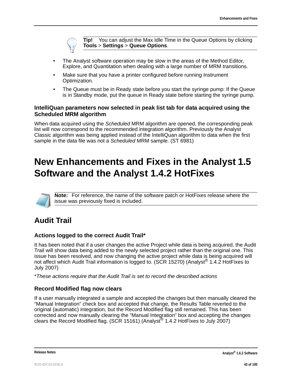

**Tip!** You can adjust the Max Idle Time in the Queue Options by clicking **Tools** > **Settings** > **Queue Options**.

- The Analyst software operation may be slow in the areas of the Method Editor, Explore, and Quantitation when dealing with a large number of MRM transitions.
- Make sure that you have a printer configured before running Instrument Optimization.
- The Queue must be in Ready state before you start the syringe pump: If the Queue is in Standby mode, put the queue in Ready state before starting the syringe pump.

# **IntelliQuan parameters now selected in peak list tab for data acquired using the Scheduled MRM algorithm**

When data acquired using the *Scheduled* MRM algorithm are opened, the corresponding peak list will now correspond to the recommended integration algorithm. Previously the Analyst Classic algorithm was being applied instead of the IntelliQuan algorithm to data when the first sample in the data file was not a *Scheduled* MRM sample. (ST 6981)

# **New Enhancements and Fixes in the Analyst 1.5 Software and the Analyst 1.4.2 HotFixes**

**Note:** For reference, the name of the software patch or HotFixes release where the issue was previously fixed is included.

# **Audit Trail**

# **Actions logged to the correct Audit Trail\***

It has been noted that if a user changes the active Project while data is being acquired, the Audit Trail will show data being added to the newly selected project rather than the original one. This issue has been resolved, and now changing the active project while data is being acquired will not affect which Audit Trail information is logged to. (SCR 15270) (Analyst<sup>®</sup> 1.4.2 HotFixes to July 2007)

\**These actions require that the Audit Trail is set to record the described actions*

# **Record Modified flag now clears**

If a user manually integrated a sample and accepted the changes but then manually cleared the "Manual Integration" check box and accepted that change, the Results Table reverted to the original (automatic) integration, but the Record Modified flag still remained. This has been corrected and now manually clearing the "Manual Integration" box and accepting the changes clears the Record Modified flag. (SCR 15161) (Analyst<sup>®</sup> 1.4.2 HotFixes to July 2007)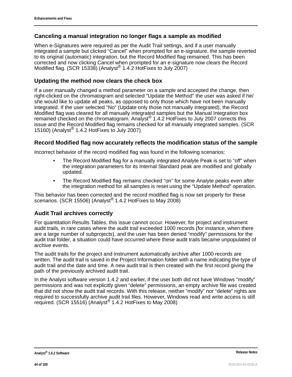# **Canceling a manual integration no longer flags a sample as modified**

When e-Signatures were required as per the Audit Trail settings, and if a user manually integrated a sample but clicked "Cancel" when prompted for an e-signature, the sample reverted to its original (automatic) integration, but the Record Modified flag remained. This has been corrected and now clicking Cancel when prompted for an e-signature now clears the Record Modified flag. (SCR 15338) (Analyst® 1.4.2 HotFixes to July 2007)

#### **Updating the method now clears the check box**

If a user manually changed a method parameter on a sample and accepted the change, then right-clicked on the chromatogram and selected "Update the Method" the user was asked if he/ she would like to update all peaks, as opposed to only those which have not been manually integrated. If the user selected "No" (Update only those not manually integrated), the Record Modified flag was cleared for all manually integrated samples but the Manual Integration box remained checked on the chromatogram. Analyst® 1.4.2 HotFixes to July 2007 corrects this issue and the Record Modified flag remains checked for all manually integrated samples. (SCR 15160) (Analyst<sup>®</sup> 1.4.2 HotFixes to July 2007)

#### **Record Modified flag now accurately reflects the modification status of the sample**

Incorrect behavior of the record modified flag was found in the following scenarios:

- The Record Modified flag for a manually integrated Analyte Peak is set to "off" when the integration parameters for its Internal Standard peak are modified and globally updated.
- The Record Modified flag remains checked "on" for some Analyte peaks even after the integration method for all samples is reset using the "Update Method" operation.

This behavior has been corrected and the record modified flag is now set properly for these scenarios. (SCR 15506) (Analyst<sup>®</sup> 1.4.2 HotFixes to May 2008)

#### **Audit Trail archives correctly**

For quantitation Results Tables, this issue cannot occur. However, for project and instrument audit trails, in rare cases where the audit trail exceeded 1000 records (for instance, when there are a large number of subprojects), and the user has been denied "modify" permissions for the audit trail folder, a situation could have occurred where these audit trails became unpopulated of archive events.

The audit trails for the project and instrument automatically archive after 1000 records are written. The audit trail is saved in the Project Information folder with a name indicating the type of audit trail and the date and time. A new audit trail is then created with the first record giving the path of the previously archived audit trail.

In the Analyst software version 1.4.2 and earlier, if the user both did not have Windows "modify" permissions and was not explicitly given "delete" permissions, an empty archive file was created that did not show the audit trail records. With this release, neither "modify" nor "delete" rights are required to successfully archive audit trail files. However, Windows read and write access is still required. (SCR 15516) (Analyst® 1.4.2 HotFixes to May 2008)

**Analyst® 1.6.2 Software Release Notes**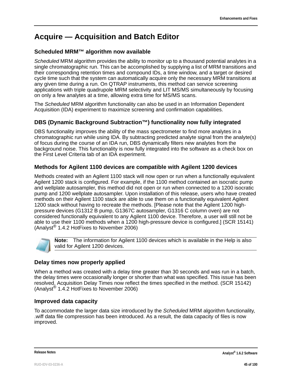# **Acquire — Acquisition and Batch Editor**

# **Scheduled MRM™ algorithm now available**

*Scheduled* MRM algorithm provides the ability to monitor up to a thousand potential analytes in a single chromatographic run. This can be accomplished by supplying a list of MRM transitions and their corresponding retention times and compound IDs, a time window, and a target or desired cycle time such that the system can automatically acquire only the necessary MRM transitions at any given time during a run. On QTRAP instruments, this method can service screening applications with triple quadrupole MRM selectivity and LIT MS/MS simultaneously by focusing on only a few analytes at a time, allowing extra time for MS/MS scans.

The *Scheduled* MRM algorithm functionality can also be used in an Information Dependent Acquisition (IDA) experiment to maximize screening and confirmation capabilities.

# **DBS (Dynamic Background Subtraction™) functionality now fully integrated**

DBS functionality improves the ability of the mass spectrometer to find more analytes in a chromatographic run while using IDA. By subtracting predicted analyte signal from the analyte(s) of focus during the course of an IDA run, DBS dynamically filters new analytes from the background noise. This functionality is now fully integrated into the software as a check box on the First Level Criteria tab of an IDA experiment.

# **Methods for Agilent 1100 devices are compatible with Agilent 1200 devices**

Methods created with an Agilent 1100 stack will now open or run when a functionally equivalent Agilent 1200 stack is configured. For example, if the 1100 method contained an isocratic pump and wellplate autosampler, this method did not open or run when connected to a 1200 isocratic pump and 1200 wellplate autosampler. Upon installation of this release, users who have created methods on their Agilent 1100 stack are able to use them on a functionally equivalent Agilent 1200 stack without having to recreate the methods. [Please note that the Agilent 1200 highpressure devices (G1312 B pump, G1367C autosampler, G1316 C column oven) are not considered functionally equivalent to any Agilent 1100 device. Therefore, a user will still not be able to use their 1100 methods when a 1200 high-pressure device is configured.] (SCR 15141) (Analyst® 1.4.2 HotFixes to November 2006)



**Note:** The information for Agilent 1100 devices which is available in the Help is also valid for Agilent 1200 devices.

# **Delay times now properly applied**

When a method was created with a delay time greater than 30 seconds and was run in a batch, the delay times were occasionally longer or shorter than what was specified. This issue has been resolved. Acquisition Delay Times now reflect the times specified in the method. (SCR 15142) (Analyst® 1.4.2 HotFixes to November 2006)

#### **Improved data capacity**

To accommodate the larger data size introduced by the *Scheduled* MRM algorithm functionality, .wiff data file compression has been introduced. As a result, the data capacity of files is now improved.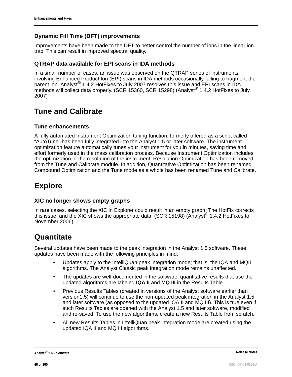# **Dynamic Fill Time (DFT) improvements**

Improvements have been made to the DFT to better control the number of ions in the linear ion trap. This can result in improved spectral quality.

# **QTRAP data available for EPI scans in IDA methods**

In a small number of cases, an issue was observed on the QTRAP series of instruments involving Enhanced Product Ion (EPI) scans in IDA methods occasionally failing to fragment the parent ion. Analyst<sup>®</sup> 1.4.2 HotFixes to July 2007 resolves this issue and EPI scans in IDA methods will collect data properly. (SCR 15360, SCR 15298) (Analyst<sup>®</sup> 1.4.2 HotFixes to July 2007)

# **Tune and Calibrate**

#### **Tune enhancements**

A fully automated Instrument Optimization tuning function, formerly offered as a script called "AutoTune" has been fully integrated into the Analyst 1.5 or later software. The instrument optimization feature automatically tunes your instrument for you in minutes, saving time and effort formerly used in the mass calibration process. Because Instrument Optimization includes the optimization of the resolution of the instrument, Resolution Optimization has been removed from the Tune and Calibrate module. In addition, Quantitative Optimization has been renamed Compound Optimization and the Tune mode as a whole has been renamed Tune and Calibrate.

# **Explore**

#### **XIC no longer shows empty graphs**

In rare cases, selecting the XIC in Explorer could result in an empty graph. The HotFix corrects this issue, and the XIC shows the appropriate data. (SCR 15198) (Analyst<sup>®</sup> 1.4.2 HotFixes to November 2006)

# **Quantitate**

Several updates have been made to the peak integration in the Analyst 1.5 software. These updates have been made with the following principles in mind:

- Updates apply to the IntelliQuan peak integration mode; that is, the IQA and MQII algorithms. The Analyst Classic peak integration mode remains unaffected.
- The updates are well-documented in the software; quantitative results that use the updated algorithms are labeled **IQA II** and **MQ III** in the Results Table.
- Previous Results Tables (created in versions of the Analyst software earlier than version1.5) will continue to use the non-updated peak integration in the Analyst 1.5 and later software (as opposed to the updated IQA II and MQ III). This is true even if such Results Tables are opened with the Analyst 1.5 and later software, modified and re-saved. To use the new algorithms, create a new Results Table from scratch.
- All new Results Tables in IntelliQuan peak integration mode are created using the updated IQA II and MQ III algorithms.

**Analyst® 1.6.2 Software Release Notes**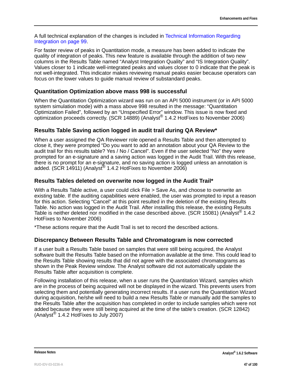A full technical explanation of the changes is included in [Technical Information Regarding](#page-98-0)  [Integration on page 99.](#page-98-0)

For faster review of peaks in Quantitation mode, a measure has been added to indicate the quality of integration of peaks. This new feature is available through the addition of two new columns in the Results Table named "Analyst Integration Quality" and "IS Integration Quality". Values closer to 1 indicate well-integrated peaks and values closer to 0 indicate that the peak is not well-integrated. This indicator makes reviewing manual peaks easier because operators can focus on the lower values to guide manual review of substandard peaks.

#### **Quantitation Optimization above mass 998 is successful**

When the Quantitation Optimization wizard was run on an API 5000 instrument (or in API 5000 system simulation mode) with a mass above 998 resulted in the message: "Quantitation Optimization Failed", followed by an "Unspecified Error" window. This issue is now fixed and optimization proceeds correctly. (SCR 14889) (Analyst® 1.4.2 HotFixes to November 2006)

#### **Results Table Saving action logged in audit trail during QA Review\***

When a user assigned the QA Reviewer role opened a Results Table and then attempted to close it, they were prompted "Do you want to add an annotation about your QA Review to the audit trail for this results table? Yes / No / Cancel". Even if the user selected "No" they were prompted for an e-signature and a saving action was logged in the Audit Trail. With this release, there is no prompt for an e-signature, and no saving action is logged unless an annotation is added. (SCR 14911) (Analyst<sup>®</sup> 1.4.2 HotFixes to November 2006)

#### **Results Tables deleted on overwrite now logged in the Audit Trail\***

With a Results Table active, a user could click File > Save As, and choose to overwrite an existing table. If the auditing capabilities were enabled, the user was prompted to input a reason for this action. Selecting "Cancel" at this point resulted in the deletion of the existing Results Table. No action was logged in the Audit Trail. After installing this release, the existing Results Table is neither deleted nor modified in the case described above. (SCR 15081) (Analyst<sup>®</sup> 1.4.2 HotFixes to November 2006)

\*These actions require that the Audit Trail is set to record the described actions.

#### **Discrepancy Between Results Table and Chromatogram is now corrected**

If a user built a Results Table based on samples that were still being acquired, the Analyst software built the Results Table based on the information available at the time. This could lead to the Results Table showing results that did not agree with the associated chromatograms as shown in the Peak Review window. The Analyst software did not automatically update the Results Table after acquisition is complete.

Following installation of this release, when a user runs the Quantitation Wizard, samples which are in the process of being acquired will not be displayed in the wizard. This prevents users from selecting them and potentially generating incorrect results. If a user runs the Quantitation Wizard during acquisition, he/she will need to build a new Results Table or manually add the samples to the Results Table after the acquisition has completed in order to include samples which were not added because they were still being acquired at the time of the table's creation. (SCR 12842) (Analyst<sup>®</sup> 1.4.2 Hot Fixes to July 2007)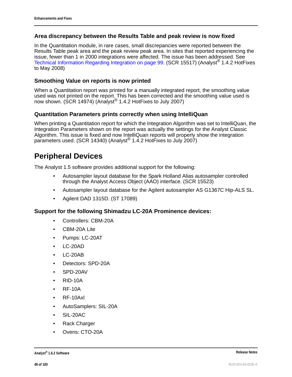# **Area discrepancy between the Results Table and peak review is now fixed**

In the Quantitation module, in rare cases, small discrepancies were reported between the Results Table peak area and the peak review peak area. In sites that reported experiencing the issue, fewer than 1 in 2000 integrations were affected. The issue has been addressed. See [Technical Information Regarding Integration on page 99](#page-98-0). (SCR 15517) (Analyst<sup>®</sup> 1.4.2 HotFixes to May 2008)

#### **Smoothing Value on reports is now printed**

When a Quantitation report was printed for a manually integrated report, the smoothing value used was not printed on the report. This has been corrected and the smoothing value used is now shown. (SCR 14974) (Analyst® 1.4.2 HotFixes to July 2007)

#### **Quantitation Parameters prints correctly when using IntelliQuan**

When printing a Quantitation report for which the Integration Algorithm was set to IntelliQuan, the Integration Parameters shown on the report was actually the settings for the Analyst Classic Algorithm. This issue is fixed and now IntelliQuan reports will properly show the integration parameters used. (SCR 14340) (Analyst<sup>®</sup> 1.4.2 HotFixes to July 2007)

# **Peripheral Devices**

The Analyst 1.5 software provides additional support for the following:

- Autosampler layout database for the Spark Holland Alias autosampler controlled through the Analyst Access Object (AAO) interface. (SCR 15523)
- Autosampler layout database for the Agilent autosampler AS G1367C Hip-ALS SL.
- Agilent DAD 1315D. (ST 17089)

#### **Support for the following Shimadzu LC-20A Prominence devices:**

- Controllers: CBM-20A
- CBM-20A Lite
- Pumps: LC-20AT
- LC-20AD
- $LC-20AB$
- Detectors: SPD-20A
- SPD-20AV
- RID-10A
- RF-10A
- RF-10Axl
- AutoSamplers: SIL-20A
- SIL-20AC
- Rack Charger
- Ovens: CTO-20A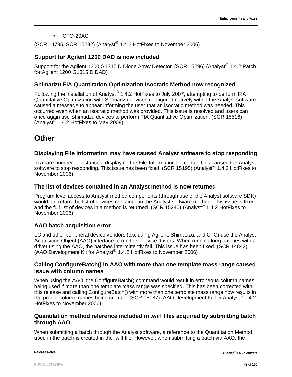# • CTO-20AC

(SCR 14795, SCR 15282) (Analyst® 1.4.2 HotFixes to November 2006)

# **Support for Agilent 1200 DAD is now included**

Support for the Agilent 1200 G1315 D Diode Array Detector. (SCR 15296) (Analyst® 1.4.2 Patch for Agilent 1200 G1315 D DAD)

#### **Shimadzu FIA Quantitation Optimization Isocratic Method now recognized**

Following the installation of Analyst<sup>®</sup> 1.4.2 HotFixes to July 2007, attempting to perform FIA Quantitative Optimization with Shimadzu devices configured natively within the Analyst software caused a message to appear informing the user that an isocratic method was needed. This occurred even when an isocratic method was provided. This issue is resolved and users can once again use Shimadzu devices to perform FIA Quantitative Optimization. (SCR 15516) (Analyst<sup>®</sup> 1.4.2 HotFixes to May 2008)

# **Other**

## **Displaying File Information may have caused Analyst software to stop responding**

In a rare number of instances, displaying the File Information for certain files caused the Analyst software to stop responding. This issue has been fixed. (SCR 15195) (Analyst® 1.4.2 HotFixes to November 2006)

## **The list of devices contained in an Analyst method is now returned**

Program level access to Analyst method components (through use of the Analyst software SDK) would not return the list of devices contained in the Analyst software method. This issue is fixed and the full list of devices in a method is returned. (SCR 15240) (Analyst<sup>®</sup> 1.4.2 HotFixes to November 2006)

# **AAO batch acquisition error**

LC and other peripheral device vendors (excluding Agilent, Shimadzu, and CTC) use the Analyst Acquisition Object (AAO) interface to run their device drivers. When running long batches with a driver using the AAO, the batches intermittently fail. This issue has been fixed. (SCR 14842) (AAO Development Kit for Analyst® 1.4.2 HotFixes to November 2006)

#### **Calling ConfigureBatch() in AAO with more than one template mass range caused issue with column names**

When using the AAO, the ConfigureBatch() command would result in erroneous column names being used if more than one template mass range was specified. This has been corrected with this release and calling ConfigureBatch() with more than one template mass range now results in the proper column names being created. (SCR 15187) (AAO Development Kit for Analyst<sup>®</sup> 1.4.2 HotFixes to November 2006)

#### **Quantitation method reference included in .wiff files acquired by submitting batch through AAO**

When submitting a batch through the Analyst software, a reference to the Quantitation Method used in the batch is created in the .wiff file. However, when submitting a batch via AAO, the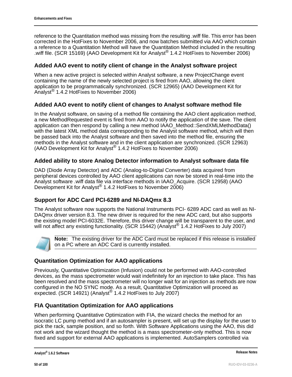reference to the Quantitation method was missing from the resulting .wiff file. This error has been corrected in the HotFixes to November 2006, and now batches submitted via AAO which contain a reference to a Quantitation Method will have the Quantitation Method included in the resulting .wiff file. (SCR 15169) (AAO Development Kit for Analyst® 1.4.2 HotFixes to November 2006)

# **Added AAO event to notify client of change in the Analyst software project**

When a new active project is selected within Analyst software, a new ProjectChange event containing the name of the newly selected project is fired from AAO, allowing the client application to be programmatically synchronized. (SCR 12965) (AAO Development Kit for Analyst<sup>®</sup> 1.4.2 HotFixes to November 2006)

# **Added AAO event to notify client of changes to Analyst software method file**

In the Analyst software, on saving of a method file containing the AAO client application method, a new MethodRequested event is fired from AAO to notify the application of the save. The client application can then respond by calling a new method IAAO\_Method::SendXMLMethodData() with the latest XML method data corresponding to the Analyst software method, which will then be passed back into the Analyst software and then saved into the method file, ensuring the methods in the Analyst software and in the client application are synchronized. (SCR 12963) (AAO Development Kit for Analyst® 1.4.2 HotFixes to November 2006)

# **Added ability to store Analog Detector information to Analyst software data file**

DAD (Diode Array Detector) and ADC (Analog-to-Digital Converter) data acquired from peripheral devices controlled by AAO client applications can now be stored in real-time into the Analyst software .wiff data file via interface methods in IAAO\_Acquire. (SCR 12958) (AAO Development Kit for Analyst<sup>®</sup> 1.4.2 HotFixes to November 2006)

# **Support for ADC Card PCI-6289 and NI-DAQmx 8.3**

The Analyst software now supports the National Instruments PCI- 6289 ADC card as well as NI-DAQmx driver version 8.3. The new driver is required for the new ADC card, but also supports the existing model PCI-6032E. Therefore, this driver change will be transparent to the user, and will not affect any existing functionality. (SCR 15442) (Analyst<sup>®</sup> 1.4.2 HotFixes to July 2007)



**Note:** The existing driver for the ADC Card must be replaced if this release is installed on a PC where an ADC Card is currently installed.

# **Quantitation Optimization for AAO applications**

Previously, Quantitative Optimization (Infusion) could not be performed with AAO-controlled devices, as the mass spectrometer would wait indefinitely for an injection to take place. This has been resolved and the mass spectrometer will no longer wait for an injection as methods are now configured in the NO SYNC mode. As a result, Quantitative Optimization will proceed as expected. (SCR 14921) (Analyst® 1.4.2 HotFixes to July 2007)

# **FIA Quantitation Optimization for AAO applications**

When performing Quantitative Optimization with FIA, the wizard checks the method for an isocratic LC pump method and if an autosampler is present, will set up the display for the user to pick the rack, sample position, and so forth. With Software Applications using the AAO, this did not work and the wizard thought the method is a mass spectrometer-only method. This is now fixed and support for external AAO applications is implemented. AutoSamplers controlled via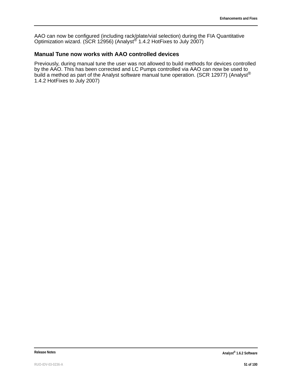AAO can now be configured (including rack/plate/vial selection) during the FIA Quantitative Optimization wizard. (SCR 12956) (Analyst<sup>®</sup> 1.4.2 HotFixes to July 2007)

#### **Manual Tune now works with AAO controlled devices**

Previously, during manual tune the user was not allowed to build methods for devices controlled by the AAO. This has been corrected and LC Pumps controlled via AAO can now be used to build a method as part of the Analyst software manual tune operation. (SCR 12977) (Analyst<sup>®</sup> 1.4.2 HotFixes to July 2007)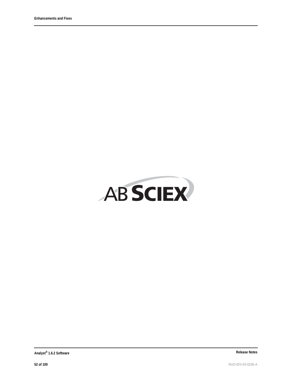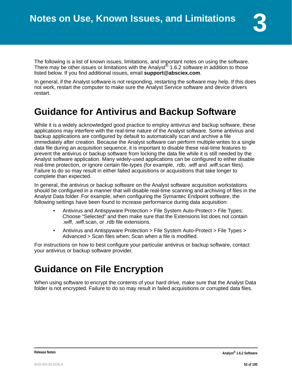

The following is a list of known issues, limitations, and important notes on using the software. There may be other issues or limitations with the Analyst<sup>®</sup> 1.6.2 software in addition to those listed below. If you find additional issues, email **support@absciex.com**.

In general, if the Analyst software is not responding, restarting the software may help. If this does not work, restart the computer to make sure the Analyst Service software and device drivers restart.

# **Guidance for Antivirus and Backup Software**

While it is a widely acknowledged good practice to employ antivirus and backup software, these applications may interfere with the real-time nature of the Analyst software. Some antivirus and backup applications are configured by default to automatically scan and archive a file immediately after creation. Because the Analyst software can perform multiple writes to a single data file during an acquisition sequence, it is important to disable these real-time features to prevent the antivirus or backup software from locking the data file while it is still needed by the Analyst software application. Many widely-used applications can be configured to either disable real-time protection, or ignore certain file-types (for example, .rdb, .wiff and .wiff.scan files). Failure to do so may result in either failed acquisitions or acquisitions that take longer to complete than expected.

In general, the antivirus or backup software on the Analyst software acquisition workstations should be configured in a manner that will disable real-time scanning and archiving of files in the Analyst Data folder. For example, when configuring the Symantec Endpoint software, the following settings have been found to increase performance during data acquisition:

- Antivirus and Antispyware Protection > File System Auto-Protect > File Types: Choose "Selected" and then make sure that the Extensions list does not contain .wiff, .wiff.scan, or .rdb file extensions.
- Antivirus and Antispyware Protection > File System Auto-Protect > File Types > Advanced > Scan files when: Scan when a file is modified.

For instructions on how to best configure your particular antivirus or backup software, contact your antivirus or backup software provider.

# **Guidance on File Encryption**

When using software to encrypt the contents of your hard drive, make sure that the Analyst Data folder is not encrypted. Failure to do so may result in failed acquisitions or corrupted data files.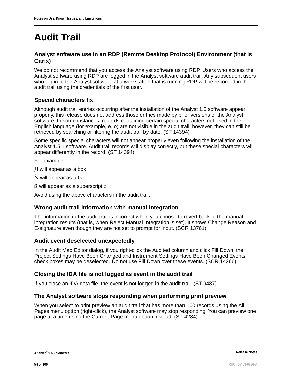# **Audit Trail**

# **Analyst software use in an RDP (Remote Desktop Protocol) Environment (that is Citrix)**

We do not recommend that you access the Analyst software using RDP. Users who access the Analyst software using RDP are logged in the Analyst software audit trail. Any subsequent users who log in to the Analyst software at a workstation that is running RDP will be recorded in the audit trail using the credentials of the first user.

# **Special characters fix**

Although audit trail entries occurring after the installation of the Analyst 1.5 software appear properly, this release does not address those entries made by prior versions of the Analyst software. In some instances, records containing certain special characters not used in the English language (for example, é, ö) are not visible in the audit trail; however, they can still be retrieved by searching or filtering the audit trail by date. (ST 14394)

Some specific special characters will not appear properly even following the installation of the Analyst 1.5.1 software. Audit trail records will display correctly, but these special characters will appear differently in the record. (ST 14394)

For example:

Д will appear as a box

Ň will appear as a G

ß will appear as a superscript z

Avoid using the above characters in the audit trail.

# **Wrong audit trail information with manual integration**

The information in the audit trail is incorrect when you choose to revert back to the manual integration results (that is, when Reject Manual Integration is set). It shows Change Reason and E-signature even though they are not set to prompt for input. (SCR 13761)

# **Audit event deselected unexpectedly**

In the Audit Map Editor dialog, if you right-click the Audited column and click Fill Down, the Project Settings Have Been Changed and Instrument Settings Have Been Changed Events check boxes may be deselected. Do not use Fill Down over these events. (SCR 14266)

# **Closing the IDA file is not logged as event in the audit trail**

If you close an IDA data file, the event is not logged in the audit trail. (ST 9487)

# **The Analyst software stops responding when performing print preview**

When you select to print preview an audit trail that has more than 100 records using the All Pages menu option (right-click), the Analyst software may stop responding. You can preview one page at a time using the Current Page menu option instead. (ST 4284)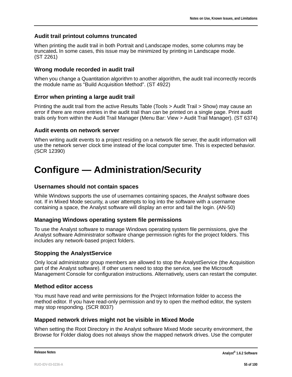# **Audit trail printout columns truncated**

When printing the audit trail in both Portrait and Landscape modes, some columns may be truncated**.** In some cases, this issue may be minimized by printing in Landscape mode. (ST 2261)

## **Wrong module recorded in audit trail**

When you change a Quantitation algorithm to another algorithm, the audit trail incorrectly records the module name as "Build Acquisition Method". (ST 4922)

## **Error when printing a large audit trail**

Printing the audit trail from the active Results Table (Tools > Audit Trail > Show) may cause an error if there are more entries in the audit trail than can be printed on a single page. Print audit trails only from within the Audit Trail Manager (Menu Bar: View > Audit Trail Manager). (ST 6374)

#### **Audit events on network server**

When writing audit events to a project residing on a network file server, the audit information will use the network server clock time instead of the local computer time. This is expected behavior. (SCR 12390)

# **Configure — Administration/Security**

#### **Usernames should not contain spaces**

While Windows supports the use of usernames containing spaces, the Analyst software does not. If in Mixed Mode security, a user attempts to log into the software with a username containing a space, the Analyst software will display an error and fail the login. (AN-50)

#### **Managing Windows operating system file permissions**

To use the Analyst software to manage Windows operating system file permissions, give the Analyst software Administrator software change permission rights for the project folders. This includes any network-based project folders.

#### **Stopping the AnalystService**

Only local administrator group members are allowed to stop the AnalystService (the Acquisition part of the Analyst software). If other users need to stop the service, see the Microsoft Management Console for configuration instructions. Alternatively, users can restart the computer.

#### **Method editor access**

You must have read and write permissions for the Project Information folder to access the method editor. If you have read-only permission and try to open the method editor, the system may stop responding. (SCR 8037)

#### **Mapped network drives might not be visible in Mixed Mode**

When setting the Root Directory in the Analyst software Mixed Mode security environment, the Browse for Folder dialog does not always show the mapped network drives. Use the computer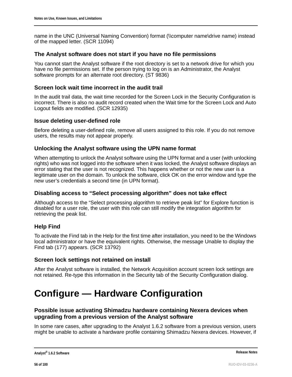name in the UNC (Universal Naming Convention) format (\\computer name\drive name) instead of the mapped letter. (SCR 11094)

#### **The Analyst software does not start if you have no file permissions**

You cannot start the Analyst software if the root directory is set to a network drive for which you have no file permissions set. If the person trying to log on is an Administrator, the Analyst software prompts for an alternate root directory. (ST 9836)

#### **Screen lock wait time incorrect in the audit trail**

In the audit trail data, the wait time recorded for the Screen Lock in the Security Configuration is incorrect. There is also no audit record created when the Wait time for the Screen Lock and Auto Logout fields are modified. (SCR 12935)

#### **Issue deleting user-defined role**

Before deleting a user-defined role, remove all users assigned to this role. If you do not remove users, the results may not appear properly.

#### **Unlocking the Analyst software using the UPN name format**

When attempting to unlock the Analyst software using the UPN format and a user (with unlocking rights) who was not logged into the software when it was locked, the Analyst software displays an error stating that the user is not recognized. This happens whether or not the new user is a legitimate user on the domain. To unlock the software, click OK on the error window and type the new user's credentials a second time (in UPN format).

#### **Disabling access to "Select processing algorithm" does not take effect**

Although access to the "Select processing algorithm to retrieve peak list" for Explore function is disabled for a user role, the user with this role can still modify the integration algorithm for retrieving the peak list.

#### **Help Find**

To activate the Find tab in the Help for the first time after installation, you need to be the Windows local administrator or have the equivalent rights. Otherwise, the message Unable to display the Find tab (177) appears. (SCR 13792)

#### **Screen lock settings not retained on install**

After the Analyst software is installed, the Network Acquisition account screen lock settings are not retained. Re-type this information in the Security tab of the Security Configuration dialog.

# **Configure — Hardware Configuration**

#### **Possible issue activating Shimadzu hardware containing Nexera devices when upgrading from a previous version of the Analyst software**

In some rare cases, after upgrading to the Analyst 1.6.2 software from a previous version, users might be unable to activate a hardware profile containing Shimadzu Nexera devices. However, if

```
Analyst® 1.6.2 Software Release Notes
```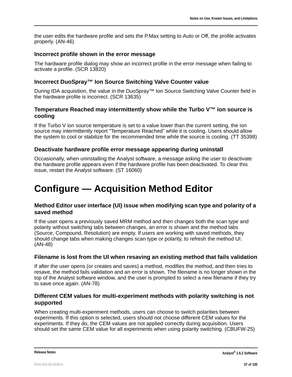the user edits the hardware profile and sets the P.Max setting to Auto or Off, the profile activates properly. (AN-46)

#### **Incorrect profile shown in the error message**

The hardware profile dialog may show an incorrect profile in the error message when failing to activate a profile. (SCR 13820)

# **Incorrect DuoSpray™ Ion Source Switching Valve Counter value**

During IDA acquisition, the value in the DuoSpray<sup>™</sup> Ion Source Switching Valve Counter field in the hardware profile is incorrect. (SCR 13635)

## **Temperature Reached may intermittently show while the Turbo V™ ion source is cooling**

If the Turbo V ion source temperature is set to a value lower than the current setting, the ion source may intermittently report "Temperature Reached" while it is cooling. Users should allow the system to cool or stabilize for the recommended time while the source is cooling. (TT 35398)

#### **Deactivate hardware profile error message appearing during uninstall**

Occasionally, when uninstalling the Analyst software, a message asking the user to deactivate the hardware profile appears even if the hardware profile has been deactivated. To clear this issue, restart the Analyst software. (ST 16060)

# **Configure — Acquisition Method Editor**

#### **Method Editor user interface (UI) issue when modifying scan type and polarity of a saved method**

If the user opens a previously saved MRM method and then changes both the scan type and polarity without switching tabs between changes, an error is shown and the method tabs (Source, Compound, Resolution) are empty. If users are working with saved methods, they should change tabs when making changes scan type or polarity, to refresh the method UI. (AN-48)

#### **Filename is lost from the UI when resaving an existing method that fails validation**

If after the user opens (or creates and saves) a method, modifies the method, and then tries to resave, the method fails validation and an error is shown. The filename is no longer shown in the top of the Analyst software window, and the user is prompted to select a new filename if they try to save once again. (AN-78)

#### **Different CEM values for multi-experiment methods with polarity switching is not supported**

When creating multi-experiment methods, users can choose to switch polarities between experiments. If this option is selected, users should not choose different CEM values for the experiments. If they do, the CEM values are not applied correctly during acquisition. Users should set the same CEM value for all experiments when using polarity switching. (CBUFW-25)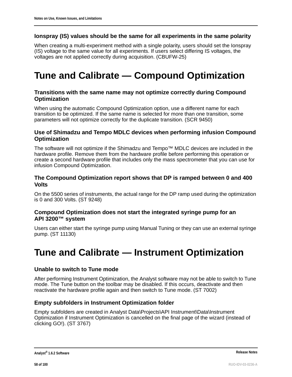# **Ionspray (IS) values should be the same for all experiments in the same polarity**

When creating a multi-experiment method with a single polarity, users should set the lonspray (IS) voltage to the same value for all experiments. If users select differing IS voltages, the voltages are not applied correctly during acquisition. (CBUFW-25)

# **Tune and Calibrate — Compound Optimization**

## **Transitions with the same name may not optimize correctly during Compound Optimization**

When using the automatic Compound Optimization option, use a different name for each transition to be optimized. If the same name is selected for more than one transition, some parameters will not optimize correctly for the duplicate transition. (SCR 9450)

#### **Use of Shimadzu and Tempo MDLC devices when performing infusion Compound Optimization**

The software will not optimize if the Shimadzu and Tempo™ MDLC devices are included in the hardware profile. Remove them from the hardware profile before performing this operation or create a second hardware profile that includes only the mass spectrometer that you can use for infusion Compound Optimization.

## **The Compound Optimization report shows that DP is ramped between 0 and 400 Volts**

On the 5500 series of instruments, the actual range for the DP ramp used during the optimization is 0 and 300 Volts. (ST 9248)

## **Compound Optimization does not start the integrated syringe pump for an API 3200™ system**

Users can either start the syringe pump using Manual Tuning or they can use an external syringe pump. (ST 11130)

# **Tune and Calibrate — Instrument Optimization**

# **Unable to switch to Tune mode**

After performing Instrument Optimization, the Analyst software may not be able to switch to Tune mode. The Tune button on the toolbar may be disabled. If this occurs, deactivate and then reactivate the hardware profile again and then switch to Tune mode. (ST 7002)

# **Empty subfolders in Instrument Optimization folder**

Empty subfolders are created in Analyst Data\Projects\API Instrument\Data\Instrument Optimization if Instrument Optimization is cancelled on the final page of the wizard (instead of clicking GO!). (ST 3767)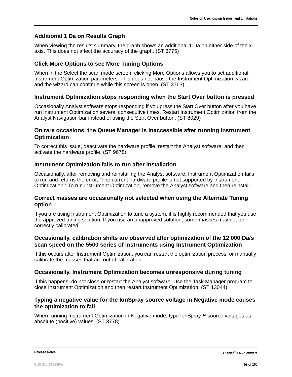# **Additional 1 Da on Results Graph**

When viewing the results summary, the graph shows an additional 1 Da on either side of the xaxis. This does not affect the accuracy of the graph. (ST 3775)

# **Click More Options to see More Tuning Options**

When in the Select the scan mode screen, clicking More Options allows you to set additional Instrument Optimization parameters. This does not pause the Instrument Optimization wizard and the wizard can continue while this screen is open. (ST 3763)

# **Instrument Optimization stops responding when the Start Over button is pressed**

Occasionally Analyst software stops responding if you press the Start Over button after you have run Instrument Optimization several consecutive times. Restart Instrument Optimization from the Analyst Navigation bar instead of using the Start Over button. (ST 8029)

#### **On rare occasions, the Queue Manager is inaccessible after running Instrument Optimization**

To correct this issue, deactivate the hardware profile, restart the Analyst software, and then activate the hardware profile. (ST 9678)

## **Instrument Optimization fails to run after installation**

Occasionally, after removing and reinstalling the Analyst software, Instrument Optimization fails to run and returns the error, "The current hardware profile is not supported by Instrument Optimization." To run Instrument Optimization, remove the Analyst software and then reinstall.

## **Correct masses are occasionally not selected when using the Alternate Tuning option**

If you are using Instrument Optimization to tune a system, it is highly recommended that you use the approved tuning solution. If you use an unapproved solution, some masses may not be correctly calibrated.

## **Occasionally, calibration shifts are observed after optimization of the 12 000 Da/s scan speed on the 5500 series of instruments using Instrument Optimization**

If this occurs after Instrument Optimization, you can restart the optimization process, or manually calibrate the masses that are out of calibration.

#### **Occasionally, Instrument Optimization becomes unresponsive during tuning**

If this happens, do not close or restart the Analyst software. Use the Task Manager program to close Instrument Optimization and then restart Instrument Optimization. (ST 13044)

## **Typing a negative value for the IonSpray source voltage in Negative mode causes the optimization to fail**

When running Instrument Optimization in Negative mode, type IonSpray™ source voltages as absolute (positive) values. (ST 3778)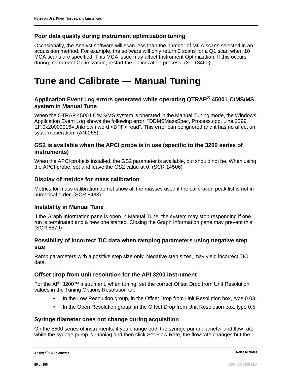# **Poor data quality during instrument optimization tuning**

Occasionally, the Analyst software will scan less than the number of MCA scans selected in an acquisition method. For example, the software will only return 3 scans for a Q1 scan when 10 MCA scans are specified. This MCA issue may affect Instrument Optimization. If this occurs during Instrument Optimization, restart the optimization process. (ST 13460)

# **Tune and Calibrate — Manual Tuning**

# **Application Event Log errors generated while operating QTRAP® 4500 LC/MS/MS system in Manual Tune**

When the QTRAP 4500 LC/MS/MS system is operated in the Manual Tuning mode, the Windows Application Event Log shows the following error: "DDMSMassSpec, Process.cpp, Line 2399, EF:0x20000016=Unknown word <DPF> read". This error can be ignored and it has no affect on system operation. (AN-265)

## **GS2 is available when the APCI probe is in use (specific to the 3200 series of instruments)**

When the APCI probe is installed, the GS2 parameter is available, but should not be. When using the APCI probe, set and leave the GS2 value at 0. (SCR 14506)

#### **Display of metrics for mass calibration**

Metrics for mass calibration do not show all the masses used if the calibration peak list is not in numerical order. (SCR 8483)

#### **Instability in Manual Tune**

If the Graph Information pane is open in Manual Tune, the system may stop responding if one run is terminated and a new one started. Closing the Graph Information pane may prevent this. (SCR 8879)

## **Possibility of incorrect TIC data when ramping parameters using negative step size**

Ramp parameters with a positive step size only. Negative step sizes, may yield incorrect TIC data.

#### **Offset drop from unit resolution for the API 3200 instrument**

For the API 3200™ instrument, when tuning, set the correct Offset Drop from Unit Resolution values in the Tuning Options Resolution tab.

- In the Low Resolution group, in the Offset Drop from Unit Resolution box, type 0.03.
- In the Open Resolution group, in the Offset Drop from Unit Resolution box, type 0.5.

#### **Syringe diameter does not change during acquisition**

On the 5500 series of instruments, if you change both the syringe pump diameter and flow rate while the syringe pump is running and then click Set Flow Rate, the flow rate changes but the

```
Analyst® 1.6.2 Software Release Notes
```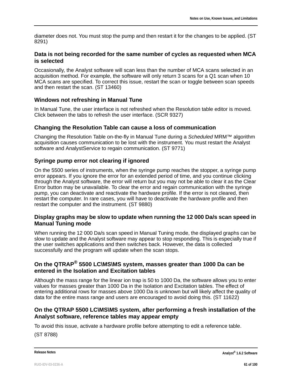diameter does not. You must stop the pump and then restart it for the changes to be applied. (ST 8291)

#### **Data is not being recorded for the same number of cycles as requested when MCA is selected**

Occasionally, the Analyst software will scan less than the number of MCA scans selected in an acquisition method. For example, the software will only return 3 scans for a Q1 scan when 10 MCA scans are specified. To correct this issue, restart the scan or toggle between scan speeds and then restart the scan. (ST 13460)

## **Windows not refreshing in Manual Tune**

In Manual Tune, the user interface is not refreshed when the Resolution table editor is moved. Click between the tabs to refresh the user interface. (SCR 9327)

## **Changing the Resolution Table can cause a loss of communication**

Changing the Resolution Table on-the-fly in Manual Tune during a *Scheduled* MRM™ algorithm acquisition causes communication to be lost with the instrument. You must restart the Analyst software and AnalystService to regain communication. (ST 9771)

# **Syringe pump error not clearing if ignored**

On the 5500 series of instruments, when the syringe pump reaches the stopper, a syringe pump error appears. If you ignore the error for an extended period of time, and you continue clicking through the Analyst software, the error will return but you may not be able to clear it as the Clear Error button may be unavailable. To clear the error and regain communication with the syringe pump, you can deactivate and reactivate the hardware profile. If the error is not cleared, then restart the computer. In rare cases, you will have to deactivate the hardware profile and then restart the computer and the instrument. (ST 9880)

## **Display graphs may be slow to update when running the 12 000 Da/s scan speed in Manual Tuning mode**

When running the 12 000 Da/s scan speed in Manual Tuning mode, the displayed graphs can be slow to update and the Analyst software may appear to stop responding. This is especially true if the user switches applications and then switches back. However, the data is collected successfully and the program will update when the scan stops.

# **On the QTRAP® 5500 LC\MS\MS system, masses greater than 1000 Da can be entered in the Isolation and Excitation tables**

Although the mass range for the linear ion trap is 50 to 1000 Da, the software allows you to enter values for masses greater than 1000 Da in the Isolation and Excitation tables. The effect of entering additional rows for masses above 1000 Da is unknown but will likely affect the quality of data for the entire mass range and users are encouraged to avoid doing this. (ST 11622)

## **On the QTRAP 5500 LC\MS\MS system, after performing a fresh installation of the Analyst software, reference tables may appear empty**

To avoid this issue, activate a hardware profile before attempting to edit a reference table.

(ST 8788)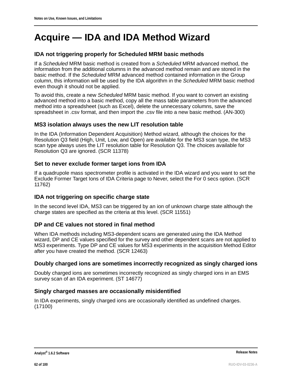# **Acquire — IDA and IDA Method Wizard**

# **IDA not triggering properly for Scheduled MRM basic methods**

If a *Scheduled* MRM basic method is created from a *Scheduled* MRM advanced method, the information from the additional columns in the advanced method remain and are stored in the basic method. If the *Scheduled* MRM advanced method contained information in the Group column, this information will be used by the IDA algorithm in the *Scheduled* MRM basic method even though it should not be applied.

To avoid this, create a new *Scheduled* MRM basic method. If you want to convert an existing advanced method into a basic method, copy all the mass table parameters from the advanced method into a spreadsheet (such as Excel), delete the unnecessary columns, save the spreadsheet in .csv format, and then import the .csv file into a new basic method. (AN-300)

# **MS3 isolation always uses the new LIT resolution table**

In the IDA (Information Dependent Acquisition) Method wizard, although the choices for the Resolution Q3 field (High, Unit, Low, and Open) are available for the MS3 scan type, the MS3 scan type always uses the LIT resolution table for Resolution Q3. The choices available for Resolution Q3 are ignored. (SCR 11378)

## **Set to never exclude former target ions from IDA**

If a quadrupole mass spectrometer profile is activated in the IDA wizard and you want to set the Exclude Former Target Ions of IDA Criteria page to Never, select the For 0 secs option. (SCR 11762)

#### **IDA not triggering on specific charge state**

In the second level IDA, MS3 can be triggered by an ion of unknown charge state although the charge states are specified as the criteria at this level. (SCR 11551)

# **DP and CE values not stored in final method**

When IDA methods including MS3-dependent scans are generated using the IDA Method wizard, DP and CE values specified for the survey and other dependent scans are not applied to MS3 experiments. Type DP and CE values for MS3 experiments in the acquisition Method Editor after you have created the method. (SCR 12463)

#### **Doubly charged ions are sometimes incorrectly recognized as singly charged ions**

Doubly charged ions are sometimes incorrectly recognized as singly charged ions in an EMS survey scan of an IDA experiment. (ST 14677)

#### **Singly charged masses are occasionally misidentified**

In IDA experiments, singly charged ions are occasionally identified as undefined charges. (17100)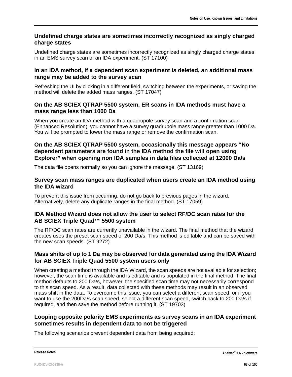# **Undefined charge states are sometimes incorrectly recognized as singly charged charge states**

Undefined charge states are sometimes incorrectly recognized as singly charged charge states in an EMS survey scan of an IDA experiment. (ST 17100)

## **In an IDA method, if a dependent scan experiment is deleted, an additional mass range may be added to the survey scan**

Refreshing the UI by clicking in a different field, switching between the experiments, or saving the method will delete the added mass ranges. (ST 17047)

# **On the AB SCIEX QTRAP 5500 system, ER scans in IDA methods must have a mass range less than 1000 Da**

When you create an IDA method with a quadrupole survey scan and a confirmation scan (Enhanced Resolution), you cannot have a survey quadrupole mass range greater than 1000 Da. You will be prompted to lower the mass range or remove the confirmation scan.

# **On the AB SCIEX QTRAP 5500 system, occasionally this message appears "No dependent parameters are found in the IDA method the file will open using Explorer" when opening non IDA samples in data files collected at 12000 Da/s**

The data file opens normally so you can ignore the message. (ST 13169)

## **Survey scan mass ranges are duplicated when users create an IDA method using the IDA wizard**

To prevent this issue from occurring, do not go back to previous pages in the wizard. Alternatively, delete any duplicate ranges in the final method. (ST 17059)

# **IDA Method Wizard does not allow the user to select RF/DC scan rates for the AB SCIEX Triple Quad™ 5500 system**

The RF/DC scan rates are currently unavailable in the wizard. The final method that the wizard creates uses the preset scan speed of 200 Da/s. This method is editable and can be saved with the new scan speeds. (ST 9272)

# **Mass shifts of up to 1 Da may be observed for data generated using the IDA Wizard for AB SCIEX Triple Quad 5500 system users only**

When creating a method through the IDA Wizard, the scan speeds are not available for selection; however, the scan time is available and is editable and is populated in the final method. The final method defaults to 200 Da/s, however, the specified scan time may not necessarily correspond to this scan speed. As a result, data collected with these methods may result in an observed mass shift in the data. To overcome this issue, you can select a different scan speed, or if you want to use the 200Da/s scan speed, select a different scan speed, switch back to 200 Da/s if required, and then save the method before running it. (ST 19703)

# **Looping opposite polarity EMS experiments as survey scans in an IDA experiment sometimes results in dependent data to not be triggered**

The following scenarios prevent dependent data from being acquired: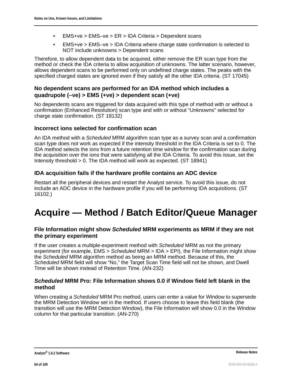- EMS+ve > EMS-ve > ER > IDA Criteria > Dependent scans
- EMS+ve > EMS–ve > IDA Criteria where charge state confirmation is selected to NOT include unknowns > Dependent scans

Therefore, to allow dependent data to be acquired, either remove the ER scan type from the method or check the IDA criteria to allow acquisition of unknowns. The latter scenario, however, allows dependent scans to be performed only on undefined charge states. The peaks with the specified charged states are ignored even if they satisfy all the other IDA criteria. (ST 17045)

# **No dependent scans are performed for an IDA method which includes a quadrupole (–ve) > EMS (+ve) > dependent scan (+ve)**

No dependents scans are triggered for data acquired with this type of method with or without a confirmation (Enhanced Resolution) scan type and with or without "Unknowns" selected for charge state confirmation. (ST 18132)

# **Incorrect ions selected for confirmation scan**

An IDA method with a *Scheduled* MRM algorithm scan type as a survey scan and a confirmation scan type does not work as expected if the intensity threshold in the IDA Criteria is set to 0. The IDA method selects the ions from a future retention time window for the confirmation scan during the acquisition over the ions that were satisfying all the IDA Criteria. To avoid this issue, set the Intensity threshold > 0. The IDA method will work as expected. (ST 18941)

# **IDA acquisition fails if the hardware profile contains an ADC device**

Restart all the peripheral devices and restart the Analyst service. To avoid this issue, do not include an ADC device in the hardware profile if you will be performing IDA acquisitions. (ST 16102.)

# **Acquire — Method / Batch Editor/Queue Manager**

## **File Information might show** *Scheduled* **MRM experiments as MRM if they are not the primary experiment**

If the user creates a multiple-experiment method with *Scheduled* MRM as not the primary experiment (for example, EMS > *Scheduled* MRM > IDA > EPI), the File Information might show the *Scheduled* MRM algorithm method as being an MRM method. Because of this, the *Scheduled* MRM field will show "No," the Target Scan Time field will not be shown, and Dwell Time will be shown instead of Retention Time. (AN-232)

## *Scheduled* **MRM Pro: File Information shows 0.0 if Window field left blank in the method**

When creating a *Scheduled* MRM Pro method, users can enter a value for Window to supersede the MRM Detection Window set in the method. If users choose to leave this field blank (the transition will use the MRM Detection Window), the File Information will show 0.0 in the Window column for that particular transition. (AN-270)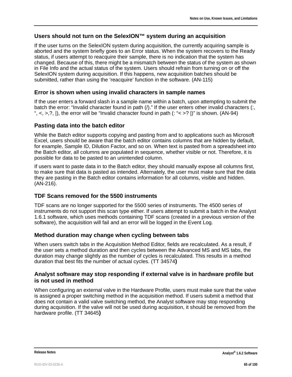# **Users should not turn on the SelexION™ system during an acquisition**

If the user turns on the SelexION system during acquisition, the currently acquiring sample is aborted and the system briefly goes to an Error status. When the system recovers to the Ready status, if users attempt to reacquire their sample, there is no indication that the system has changed. Because of this, there might be a mismatch between the status of the system as shown in File Info and the actual status of the system. Users should refrain from turning on or off the SelexION system during acquisition. If this happens, new acquisition batches should be submitted, rather than using the 'reacquire' function in the software. (AN-115)

# **Error is shown when using invalid characters in sample names**

If the user enters a forward slash in a sample name within a batch, upon attempting to submit the batch the error: "Invalid character found in path (/)." If the user enters other invalid characters (:, ", <, >,?, |), the error will be "Invalid character found in path (: "< >? |)" is shown. (AN-94)

# **Pasting data into the batch editor**

While the Batch editor supports copying and pasting from and to applications such as Microsoft Excel, users should be aware that the batch editor contains columns that are hidden by default, for example, Sample ID, Dilution Factor, and so on. When text is pasted from a spreadsheet into the Batch editor, all columns are populated in sequence, whether visible or not. Therefore, it is possible for data to be pasted to an unintended column.

If users want to paste data in to the Batch editor, they should manually expose all columns first, to make sure that data is pasted as intended. Alternately, the user must make sure that the data they are pasting in the Batch editor contains information for all columns, visible and hidden. (AN-216).

# **TDF Scans removed for the 5500 instruments**

TDF scans are no longer supported for the 5500 series of instruments. The 4500 series of instruments do not support this scan type either. If users attempt to submit a batch in the Analyst 1.6.1 software, which uses methods containing TDF scans (created in a previous version of the software), the acquisition will fail and an error will be logged in the Event Log.

# **Method duration may change when cycling between tabs**

When users switch tabs in the Acquisition Method Editor, fields are recalculated. As a result, if the user sets a method duration and then cycles between the Advanced MS and MS tabs, the duration may change slightly as the number of cycles is recalculated. This results in a method duration that best fits the number of actual cycles. (TT 34574**)**

## **Analyst software may stop responding if external valve is in hardware profile but is not used in method**

When configuring an external valve in the Hardware Profile, users must make sure that the valve is assigned a proper switching method in the acquisition method. If users submit a method that does not contain a valid valve switching method, the Analyst software may stop responding during acquisition. If the valve will not be used during acquisition, it should be removed from the hardware profile. (TT 34645**)**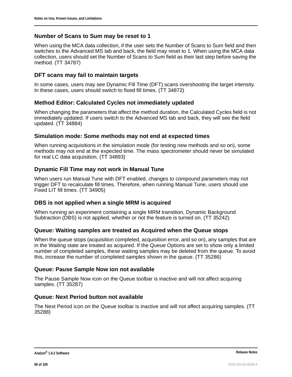# **Number of Scans to Sum may be reset to 1**

When using the MCA data collection, if the user sets the Number of Scans to Sum field and then switches to the Advanced MS tab and back, the field may reset to 1. When using the MCA data collection, users should set the Number of Scans to Sum field as their last step before saving the method. (TT 34787)

## **DFT scans may fail to maintain targets**

In some cases, users may see Dynamic Fill Time (DFT) scans overshooting the target intensity. In these cases, users should switch to fixed fill times. (TT 34872)

#### **Method Editor: Calculated Cycles not immediately updated**

When changing the parameters that affect the method duration, the Calculated Cycles field is not immediately updated. If users switch to the Advanced MS tab and back, they will see the field updated. (TT 34884)

#### **Simulation mode: Some methods may not end at expected times**

When running acquisitions in the simulation mode (for testing new methods and so on), some methods may not end at the expected time. The mass spectrometer should never be simulated for real LC data acquisition. (TT 34893)

## **Dynamic Fill Time may not work in Manual Tune**

When users run Manual Tune with DFT enabled, changes to compound parameters may not trigger DFT to recalculate fill times. Therefore, when running Manual Tune, users should use Fixed LIT fill times. (TT 34905)

#### **DBS is not applied when a single MRM is acquired**

When running an experiment containing a single MRM transition, Dynamic Background Subtraction (DBS) is not applied, whether or not the feature is turned on. (TT 35242)

#### **Queue: Waiting samples are treated as Acquired when the Queue stops**

When the queue stops (acquisition completed, acquisition error, and so on), any samples that are in the Waiting state are treated as acquired. If the Queue Options are set to show only a limited number of completed samples, these waiting samples may be deleted from the queue. To avoid this, increase the number of completed samples shown in the queue. (TT 35286)

#### **Queue: Pause Sample Now ion not available**

The Pause Sample Now icon on the Queue toolbar is inactive and will not affect acquiring samples. (TT 35287)

#### **Queue: Next Period button not available**

The Next Period icon on the Queue toolbar is inactive and will not affect acquiring samples. (TT 35288)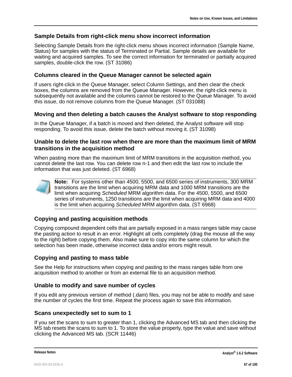# **Sample Details from right-click menu show incorrect information**

Selecting Sample Details from the right-click menu shows incorrect information (Sample Name, Status) for samples with the status of Terminated or Partial. Sample details are available for waiting and acquired samples. To see the correct information for terminated or partially acquired samples, double-click the row. (ST 31086)

# **Columns cleared in the Queue Manager cannot be selected again**

If users right-click in the Queue Manager, select Column Settings, and then clear the check boxes, the columns are removed from the Queue Manager. However, the right-click menu is subsequently not available and the columns cannot be restored to the Queue Manager. To avoid this issue, do not remove columns from the Queue Manager. (ST 031088)

## **Moving and then deleting a batch causes the Analyst software to stop responding**

In the Queue Manager, if a batch is moved and then deleted, the Analyst software will stop responding. To avoid this issue, delete the batch without moving it. (ST 31098)

#### **Unable to delete the last row when there are more than the maximum limit of MRM transitions in the acquisition method**

When pasting more than the maximum limit of MRM transitions in the acquisition method, you cannot delete the last row. You can delete row n-1 and then edit the last row to include the information that was just deleted. (ST 6968)



**Note:** For systems other than 4500, 5500, and 6500 series of instruments, 300 MRM transitions are the limit when acquiring MRM data and 1000 MRM transitions are the limit when acquiring *Scheduled* MRM algorithm data. For the 4500, 5500, and 6500 series of instruments, 1250 transitions are the limit when acquiring MRM data and 4000 is the limit when acquiring *Scheduled* MRM algorithm data. (ST 6968)

# **Copying and pasting acquisition methods**

Copying compound dependent cells that are partially exposed in a mass ranges table may cause the pasting action to result in an error. Highlight all cells completely (drag the mouse all the way to the right) before copying them. Also make sure to copy into the same column for which the selection has been made, otherwise incorrect data and/or errors might result.

# **Copying and pasting to mass table**

See the Help for instructions when copying and pasting to the mass ranges table from one acquisition method to another or from an external file to an acquisition method.

#### **Unable to modify and save number of cycles**

If you edit any previous version of method (.dam) files, you may not be able to modify and save the number of cycles the first time. Repeat the process again to save this information.

#### **Scans unexpectedly set to sum to 1**

If you set the scans to sum to greater than 1, clicking the Advanced MS tab and then clicking the MS tab resets the scans to sum to 1. To store the value properly, type the value and save without clicking the Advanced MS tab. (SCR 11446)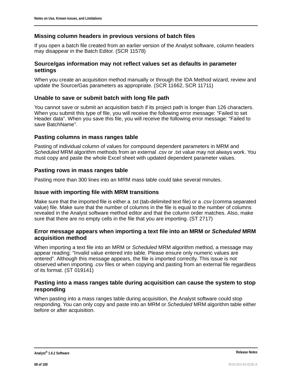# **Missing column headers in previous versions of batch files**

If you open a batch file created from an earlier version of the Analyst software, column headers may disappear in the Batch Editor. (SCR 11578)

#### **Source/gas information may not reflect values set as defaults in parameter settings**

When you create an acquisition method manually or through the IDA Method wizard, review and update the Source/Gas parameters as appropriate. (SCR 11662, SCR 11711)

#### **Unable to save or submit batch with long file path**

You cannot save or submit an acquisition batch if its project path is longer than 126 characters. When you submit this type of file, you will receive the following error message: "Failed to set Header data". When you save this file, you will receive the following error message: "Failed to save BatchName".

#### **Pasting columns in mass ranges table**

Pasting of individual column of values for compound dependent parameters in MRM and *Scheduled* MRM algorithm methods from an external .csv or .txt value may not always work. You must copy and paste the whole Excel sheet with updated dependent parameter values.

#### **Pasting rows in mass ranges table**

Pasting more than 300 lines into an MRM mass table could take several minutes.

#### **Issue with importing file with MRM transitions**

Make sure that the imported file is either a .txt (tab-delimited text file) or a .csv (comma separated value) file. Make sure that the number of columns in the file is equal to the number of columns revealed in the Analyst software method editor and that the column order matches. Also, make sure that there are no empty cells in the file that you are importing. (ST 2717)

## **Error message appears when importing a text file into an MRM or** *Scheduled* **MRM acquisition method**

When importing a text file into an MRM or *Scheduled* MRM algorithm method, a message may appear reading: "Invalid value entered into table. Please ensure only numeric values are entered". Although this message appears, the file is imported correctly. This issue is not observed when importing .csv files or when copying and pasting from an external file regardless of its format. (ST 019141)

#### **Pasting into a mass ranges table during acquisition can cause the system to stop responding**

When pasting into a mass ranges table during acquisition, the Analyst software could stop responding. You can only copy and paste into an MRM or *Scheduled* MRM algorithm table either before or after acquisition.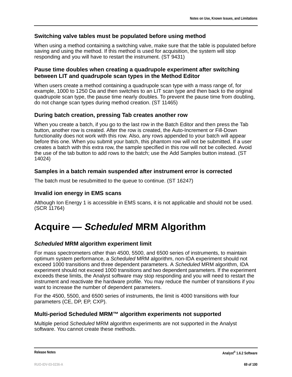# **Switching valve tables must be populated before using method**

When using a method containing a switching valve, make sure that the table is populated before saving and using the method. If this method is used for acquisition, the system will stop responding and you will have to restart the instrument. (ST 9431)

# **Pause time doubles when creating a quadrupole experiment after switching between LIT and quadrupole scan types in the Method Editor**

When users create a method containing a quadrupole scan type with a mass range of, for example, 1000 to 1250 Da and then switches to an LIT scan type and then back to the original quadrupole scan type, the pause time nearly doubles. To prevent the pause time from doubling, do not change scan types during method creation. (ST 11465)

# **During batch creation, pressing Tab creates another row**

When you create a batch, if you go to the last row in the Batch Editor and then press the Tab button, another row is created. After the row is created, the Auto-Increment or Fill-Down functionality does not work with this row. Also, any rows appended to your batch will appear before this one. When you submit your batch, this phantom row will not be submitted. If a user creates a batch with this extra row, the sample specified in this row will not be collected. Avoid the use of the tab button to add rows to the batch; use the Add Samples button instead. (ST 14024)

# **Samples in a batch remain suspended after instrument error is corrected**

The batch must be resubmitted to the queue to continue. (ST 16247)

# **Invalid ion energy in EMS scans**

Although Ion Energy 1 is accessible in EMS scans, it is not applicable and should not be used. (SCR 11764)

# **Acquire —** *Scheduled* **MRM Algorithm**

# *Scheduled* **MRM algorithm experiment limit**

For mass spectrometers other than 4500, 5500, and 6500 series of instruments, to maintain optimum system performance, a *Scheduled* MRM algorithm, non-IDA experiment should not exceed 1000 transitions and three dependent parameters. A *Scheduled* MRM algorithm, IDA experiment should not exceed 1000 transitions and two dependent parameters. If the experiment exceeds these limits, the Analyst software may stop responding and you will need to restart the instrument and reactivate the hardware profile. You may reduce the number of transitions if you want to increase the number of dependent parameters.

For the 4500, 5500, and 6500 series of instruments, the limit is 4000 transitions with four parameters (CE, DP, EP, CXP).

#### **Multi-period Scheduled MRM™ algorithm experiments not supported**

Multiple period *Scheduled* MRM algorithm experiments are not supported in the Analyst software. You cannot create these methods.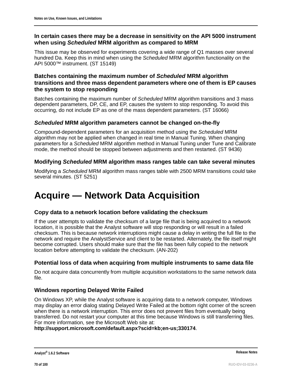# **In certain cases there may be a decrease in sensitivity on the API 5000 instrument when using** *Scheduled* **MRM algorithm as compared to MRM**

This issue may be observed for experiments covering a wide range of Q1 masses over several hundred Da. Keep this in mind when using the *Scheduled* MRM algorithm functionality on the API 5000™ instrument. (ST 15149)

# **Batches containing the maximum number of** *Scheduled* **MRM algorithm transitions and three mass dependent parameters where one of them is EP causes the system to stop responding**

Batches containing the maximum number of *Scheduled* MRM algorithm transitions and 3 mass dependent parameters, DP, CE, and EP, causes the system to stop responding. To avoid this occurring, do not include EP as one of the mass dependent parameters. (ST 16066)

# *Scheduled* **MRM algorithm parameters cannot be changed on-the-fly**

Compound-dependent parameters for an acquisition method using the *Scheduled* MRM algorithm may not be applied when changed in real time in Manual Tuning. When changing parameters for a *Scheduled* MRM algorithm method in Manual Tuning under Tune and Calibrate mode, the method should be stopped between adjustments and then restarted. (ST 9436)

# **Modifying** *Scheduled* **MRM algorithm mass ranges table can take several minutes**

Modifying a *Scheduled* MRM algorithm mass ranges table with 2500 MRM transitions could take several minutes. (ST 5251)

# **Acquire — Network Data Acquisition**

# **Copy data to a network location before validating the checksum**

If the user attempts to validate the checksum of a large file that is being acquired to a network location, it is possible that the Analyst software will stop responding or will result in a failed checksum. This is because network interruptions might cause a delay in writing the full file to the network and require the AnalystService and client to be restarted. Alternately, the file itself might become corrupted. Users should make sure that the file has been fully copied to the network location before attempting to validate the checksum. (AN-202)

# **Potential loss of data when acquiring from multiple instruments to same data file**

Do not acquire data concurrently from multiple acquisition workstations to the same network data file.

#### **Windows reporting Delayed Write Failed**

On Windows XP, while the Analyst software is acquiring data to a network computer, Windows may display an error dialog stating Delayed Write Failed at the bottom right corner of the screen when there is a network interruption. This error does not prevent files from eventually being transferred. Do not restart your computer at this time because Windows is still transferring files. For more information, see the Microsoft Web site at:

#### **http://support.microsoft.com/default.aspx?scid=kb;en-us;330174**.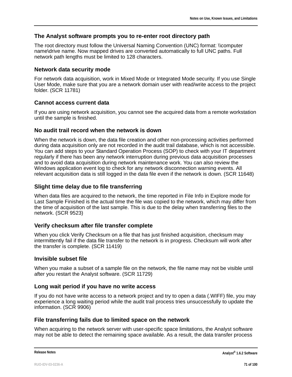# **The Analyst software prompts you to re-enter root directory path**

The root directory must follow the Universal Naming Convention (UNC) format: \\computer name\drive name. Now mapped drives are converted automatically to full UNC paths. Full network path lengths must be limited to 128 characters.

#### **Network data security mode**

For network data acquisition, work in Mixed Mode or Integrated Mode security. If you use Single User Mode, make sure that you are a network domain user with read/write access to the project folder. (SCR 11781)

#### **Cannot access current data**

If you are using network acquisition, you cannot see the acquired data from a remote workstation until the sample is finished.

#### **No audit trail record when the network is down**

When the network is down, the data file creation and other non-processing activities performed during data acquisition only are not recorded in the audit trail database, which is not accessible. You can add steps to your Standard Operation Process (SOP) to check with your IT department regularly if there has been any network interruption during previous data acquisition processes and to avoid data acquisition during network maintenance work. You can also review the Windows application event log to check for any network disconnection warning events. All relevant acquisition data is still logged in the data file even if the network is down. (SCR 11648)

#### **Slight time delay due to file transferring**

When data files are acquired to the network, the time reported in File Info in Explore mode for Last Sample Finished is the actual time the file was copied to the network, which may differ from the time of acquisition of the last sample. This is due to the delay when transferring files to the network. (SCR 9523)

#### **Verify checksum after file transfer complete**

When you click Verify Checksum on a file that has just finished acquisition, checksum may intermittently fail if the data file transfer to the network is in progress. Checksum will work after the transfer is complete. (SCR 11419)

#### **Invisible subset file**

When you make a subset of a sample file on the network, the file name may not be visible until after you restart the Analyst software. (SCR 11729)

#### **Long wait period if you have no write access**

If you do not have write access to a network project and try to open a data (.WIFF) file, you may experience a long waiting period while the audit trail process tries unsuccessfully to update the information. (SCR 9906)

#### **File transferring fails due to limited space on the network**

When acquiring to the network server with user-specific space limitations, the Analyst software may not be able to detect the remaining space available. As a result, the data transfer process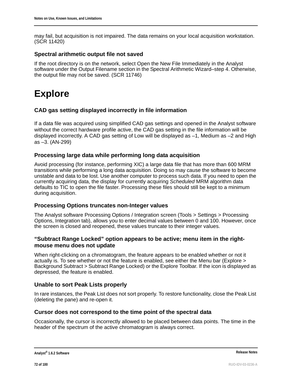may fail, but acquisition is not impaired. The data remains on your local acquisition workstation. (SCR 11420)

#### **Spectral arithmetic output file not saved**

If the root directory is on the network, select Open the New File Immediately in the Analyst software under the Output Filename section in the Spectral Arithmetic Wizard–step 4. Otherwise, the output file may not be saved. (SCR 11746)

# **Explore**

#### **CAD gas setting displayed incorrectly in file information**

If a data file was acquired using simplified CAD gas settings and opened in the Analyst software without the correct hardware profile active, the CAD gas setting in the file information will be displayed incorrectly. A CAD gas setting of Low will be displayed as –1, Medium as –2 and High as –3. (AN-299)

#### **Processing large data while performing long data acquisition**

Avoid processing (for instance, performing XIC) a large data file that has more than 600 MRM transitions while performing a long data acquisition. Doing so may cause the software to become unstable and data to be lost. Use another computer to process such data. If you need to open the currently acquiring data, the display for currently acquiring *Scheduled* MRM algorithm data defaults to TIC to open the file faster. Processing these files should still be kept to a minimum during acquisition.

#### **Processing Options truncates non-Integer values**

The Analyst software Processing Options / Integration screen (Tools > Settings > Processing Options, Integration tab), allows you to enter decimal values between 0 and 100. However, once the screen is closed and reopened, these values truncate to their integer values.

#### **"Subtract Range Locked" option appears to be active; menu item in the rightmouse menu does not update**

When right-clicking on a chromatogram, the feature appears to be enabled whether or not it actually is. To see whether or not the feature is enabled, see either the Menu bar (Explore > Background Subtract > Subtract Range Locked) or the Explore Toolbar. If the icon is displayed as depressed, the feature is enabled.

#### **Unable to sort Peak Lists properly**

In rare instances, the Peak List does not sort properly. To restore functionality, close the Peak List (deleting the pane) and re-open it.

#### **Cursor does not correspond to the time point of the spectral data**

Occasionally, the cursor is incorrectly allowed to be placed between data points. The time in the header of the spectrum of the active chromatogram is always correct.

```
Analyst® 1.6.2 Software Release Notes
```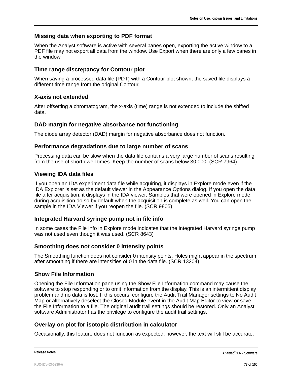## **Missing data when exporting to PDF format**

When the Analyst software is active with several panes open, exporting the active window to a PDF file may not export all data from the window. Use Export when there are only a few panes in the window.

## **Time range discrepancy for Contour plot**

When saving a processed data file (PDT) with a Contour plot shown, the saved file displays a different time range from the original Contour.

## **X-axis not extended**

After offsetting a chromatogram, the x-axis (time) range is not extended to include the shifted data.

## **DAD margin for negative absorbance not functioning**

The diode array detector (DAD) margin for negative absorbance does not function.

### **Performance degradations due to large number of scans**

Processing data can be slow when the data file contains a very large number of scans resulting from the use of short dwell times. Keep the number of scans below 30,000. (SCR 7964)

## **Viewing IDA data files**

If you open an IDA experiment data file while acquiring, it displays in Explore mode even if the IDA Explorer is set as the default viewer in the Appearance Options dialog. If you open the data file after acquisition, it displays in the IDA viewer. Samples that were opened in Explore mode during acquisition do so by default when the acquisition is complete as well. You can open the sample in the IDA Viewer if you reopen the file. (SCR 9805)

## **Integrated Harvard syringe pump not in file info**

In some cases the File Info in Explore mode indicates that the integrated Harvard syringe pump was not used even though it was used. (SCR 8643)

## **Smoothing does not consider 0 intensity points**

The Smoothing function does not consider 0 intensity points. Holes might appear in the spectrum after smoothing if there are intensities of 0 in the data file. (SCR 13204)

## **Show File Information**

Opening the File Information pane using the Show File Information command may cause the software to stop responding or to omit information from the display. This is an intermittent display problem and no data is lost. If this occurs, configure the Audit Trail Manager settings to No Audit Map or alternatively deselect the Closed Module event in the Audit Map Editor to view or save the File Information to a file. The original audit trail settings should be restored. Only an Analyst software Administrator has the privilege to configure the audit trail settings.

## **Overlay on plot for isotopic distribution in calculator**

Occasionally, this feature does not function as expected, however, the text will still be accurate.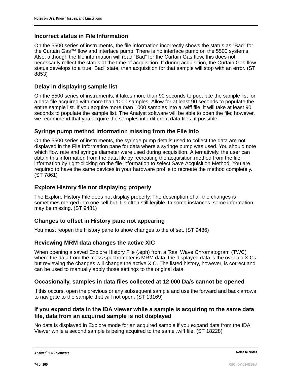#### **Incorrect status in File Information**

On the 5500 series of instruments, the file information incorrectly shows the status as "Bad" for the Curtain Gas™ flow and interface pump. There is no interface pump on the 5500 systems. Also, although the file information will read "Bad" for the Curtain Gas flow, this does not necessarily reflect the status at the time of acquisition. If during acquisition, the Curtain Gas flow status develops to a true "Bad" state, then acquisition for that sample will stop with an error. (ST 8853)

### **Delay in displaying sample list**

On the 5500 series of instruments, it takes more than 90 seconds to populate the sample list for a data file acquired with more than 1000 samples. Allow for at least 90 seconds to populate the entire sample list. If you acquire more than 1000 samples into a .wiff file, it will take at least 90 seconds to populate the sample list. The Analyst software will be able to open the file; however, we recommend that you acquire the samples into different data files, if possible.

### **Syringe pump method information missing from the File Info**

On the 5500 series of instruments, the syringe pump details used to collect the data are not displayed in the File Information pane for data where a syringe pump was used. You should note which flow rate and syringe diameter were used during acquisition. Alternatively, the user can obtain this information from the data file by recreating the acquisition method from the file information by right-clicking on the file information to select Save Acquisition Method. You are required to have the same devices in your hardware profile to recreate the method completely. (ST 7861)

## **Explore History file not displaying properly**

The Explore History File does not display properly. The description of all the changes is sometimes merged into one cell but it is often still legible. In some instances, some information may be missing. (ST 9481)

#### **Changes to offset in History pane not appearing**

You must reopen the History pane to show changes to the offset. (ST 9486)

#### **Reviewing MRM data changes the active XIC**

When opening a saved Explore History File (.eph) from a Total Wave Chromatogram (TWC) where the data from the mass spectrometer is MRM data, the displayed data is the overlaid XICs but reviewing the changes will change the active XIC. The listed history, however, is correct and can be used to manually apply those settings to the original data.

#### **Occasionally, samples in data files collected at 12 000 Da/s cannot be opened**

If this occurs, open the previous or any subsequent sample and use the forward and back arrows to navigate to the sample that will not open. (ST 13169)

### **If you expand data in the IDA viewer while a sample is acquiring to the same data file, data from an acquired sample is not displayed**

No data is displayed in Explore mode for an acquired sample if you expand data from the IDA Viewer while a second sample is being acquired to the same .wiff file. (ST 18228)

```
Analyst® 1.6.2 Software Release Notes
```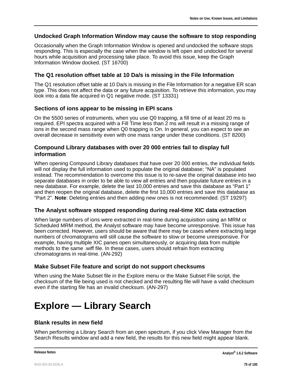## **Undocked Graph Information Window may cause the software to stop responding**

Occasionally when the Graph Information Window is opened and undocked the software stops responding. This is especially the case when the window is left open and undocked for several hours while acquisition and processing take place. To avoid this issue, keep the Graph Information Window docked. (ST 16700)

### **The Q1 resolution offset table at 10 Da/s is missing in the File Information**

The Q1 resolution offset table at 10 Da/s is missing in the File Information for a negative ER scan type. This does not affect the data or any future acquisition. To retrieve this information, you may look into a data file acquired in Q1 negative mode. (ST 13331)

#### **Sections of ions appear to be missing in EPI scans**

On the 5500 series of instruments, when you use Q0 trapping, a fill time of at least 20 ms is required. EPI spectra acquired with a Fill Time less than 2 ms will result in a missing range of ions in the second mass range when Q0 trapping is On. In general, you can expect to see an overall decrease in sensitivity even with one mass range under these conditions. (ST 8200)

#### **Compound Library databases with over 20 000 entries fail to display full information**

When opening Compound Library databases that have over 20 000 entries, the individual fields will not display the full information used to populate the original database; "NA" is populated instead. The recommendation to overcome this issue is to re-save the original database into two separate databases in order to be able to view all entries and then populate future entries in a new database. For example, delete the last 10,000 entries and save this database as "Part 1" and then reopen the original database, delete the first 10,000 entries and save this database as "Part 2". **Note**: Deleting entries and then adding new ones is not recommended. (ST 19297)

#### **The Analyst software stopped responding during real-time XIC data extraction**

When large numbers of ions were extracted in real-time during acquisition using an MRM or Scheduled MRM method, the Analyst software may have become unresponsive. This issue has been corrected. However, users should be aware that there may be cases where extracting large numbers of chromatograms will still cause the software to slow or become unresponsive. For example, having multiple XIC panes open simultaneously, or acquiring data from multiple methods to the same .wiff file. In these cases, users should refrain from extracting chromatograms in real-time. (AN-292)

## **Make Subset File feature and script do not support checksums**

When using the Make Subset file in the Explore menu or the Make Subset File script, the checksum of the file being used is not checked and the resulting file will have a valid checksum even if the starting file has an invalid checksum. (AN-297)

# **Explore — Library Search**

#### **Blank results in new field**

When performing a Library Search from an open spectrum, if you click View Manager from the Search Results window and add a new field, the results for this new field might appear blank.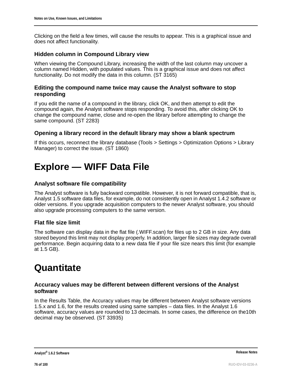Clicking on the field a few times, will cause the results to appear. This is a graphical issue and does not affect functionality.

#### **Hidden column in Compound Library view**

When viewing the Compound Library, increasing the width of the last column may uncover a column named Hidden, with populated values. This is a graphical issue and does not affect functionality. Do not modify the data in this column. (ST 3165)

#### **Editing the compound name twice may cause the Analyst software to stop responding**

If you edit the name of a compound in the library, click OK, and then attempt to edit the compound again, the Analyst software stops responding. To avoid this, after clicking OK to change the compound name, close and re-open the library before attempting to change the same compound. (ST 2283)

#### **Opening a library record in the default library may show a blank spectrum**

If this occurs, reconnect the library database (Tools > Settings > Optimization Options > Library Manager) to correct the issue. (ST 1860)

## **Explore — WIFF Data File**

#### **Analyst software file compatibility**

The Analyst software is fully backward compatible. However, it is not forward compatible, that is, Analyst 1.5 software data files, for example, do not consistently open in Analyst 1.4.2 software or older versions. If you upgrade acquisition computers to the newer Analyst software, you should also upgrade processing computers to the same version.

#### **Flat file size limit**

The software can display data in the flat file (.WIFF.scan) for files up to 2 GB in size. Any data stored beyond this limit may not display properly. In addition, larger file sizes may degrade overall performance. Begin acquiring data to a new data file if your file size nears this limit (for example at 1.5 GB).

## **Quantitate**

#### **Accuracy values may be different between different versions of the Analyst software**

In the Results Table, the Accuracy values may be different between Analyst software versions 1.5.x and 1.6, for the results created using same samples – data files. In the Analyst 1.6 software, accuracy values are rounded to 13 decimals. In some cases, the difference on the10th decimal may be observed. (ST 33935)

**Analyst® 1.6.2 Software Release Notes**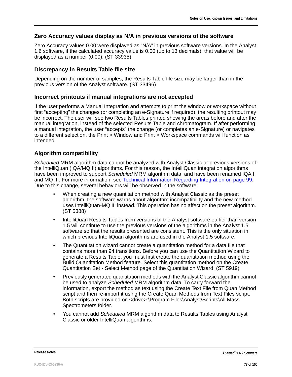## **Zero Accuracy values display as N/A in previous versions of the software**

Zero Accuracy values 0.00 were displayed as "N/A" in previous software versions. In the Analyst 1.6 software, if the calculated accuracy value is 0.00 (up to 13 decimals), that value will be displayed as a number (0.00). (ST 33935)

## **Discrepancy in Results Table file size**

Depending on the number of samples, the Results Table file size may be larger than in the previous version of the Analyst software. (ST 33496)

### **Incorrect printouts if manual integrations are not accepted**

If the user performs a Manual Integration and attempts to print the window or workspace without first "accepting" the changes (or completing an e-Signature if required), the resulting printout may be incorrect. The user will see two Results Tables printed showing the areas before and after the manual integration, instead of the selected Results Table and chromatogram. If after performing a manual integration, the user "accepts" the change (or completes an e-Signature) or navigates to a different selection, the Print > Window and Print > Workspace commands will function as intended.

## **Algorithm compatibility**

*Scheduled* MRM algorithm data cannot be analyzed with Analyst Classic or previous versions of the IntelliQuan (IQA/MQ II) algorithms. For this reason, the IntelliQuan integration algorithms have been improved to support *Scheduled* MRM algorithm data, and have been renamed IQA II and MQ III. For more information, see [Technical Information Regarding Integration on page 99.](#page-98-0) Due to this change, several behaviors will be observed in the software:

- When creating a new quantitation method with Analyst Classic as the preset algorithm, the software warns about algorithm incompatibility and the new method uses IntelliQuan-MQ III instead. This operation has no affect on the preset algorithm. (ST 5388)
- IntelliQuan Results Tables from versions of the Analyst software earlier than version 1.5 will continue to use the previous versions of the algorithms in the Analyst 1.5 software so that the results presented are consistent. This is the only situation in which previous IntelliQuan algorithms are used in the Analyst 1.5 software.
- The Quantitation wizard cannot create a quantitation method for a data file that contains more than 94 transitions. Before you can use the Quantitation Wizard to generate a Results Table, you must first create the quantitation method using the Build Quantitation Method feature. Select this quantitation method on the Create Quantitation Set - Select Method page of the Quantitation Wizard. (ST 5919)
- Previously generated quantitation methods with the Analyst Classic algorithm cannot be used to analyze *Scheduled* MRM algorithm data. To carry forward the information, export the method as text using the Create Text File from Quan Method script and then re-import it using the Create Quan Methods from Text Files script. Both scripts are provided on <drive>:\Program Files\Analyst\Scripts\All Mass Spectrometers folder.
- You cannot add *Scheduled* MRM algorithm data to Results Tables using Analyst Classic or older IntelliQuan algorithms.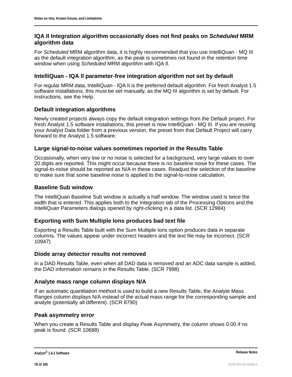### **IQA II Integration algorithm occasionally does not find peaks on** *Scheduled* **MRM algorithm data**

For *Scheduled* MRM algorithm data, it is highly recommended that you use IntelliQuan - MQ III as the default integration algorithm, as the peak is sometimes not found in the retention time window when using *Scheduled* MRM algorithm with IQA ll.

### **IntelliQuan - IQA ll parameter-free integration algorithm not set by default**

For regular MRM data, IntelliQuan - IQA II is the preferred default algorithm. For fresh Analyst 1.5 software installations, this must be set manually, as the MQ III algorithm is set by default. For instructions, see the Help.

### **Default integration algorithms**

Newly created projects always copy the default integration settings from the Default project. For fresh Analyst 1.5 software installations, this preset is now IntelliQuan - MQ III. If you are reusing your Analyst Data folder from a previous version, the preset from that Default Project will carry forward to the Analyst 1.5 software.

#### **Large signal-to-noise values sometimes reported in the Results Table**

Occasionally, when very low or no noise is selected for a background, very large values to over 20 digits are reported. This might occur because there is no baseline noise for these cases. The signal-to-noise should be reported as N/A in these cases. Readjust the selection of the baseline to make sure that some baseline noise is applied to the signal-to-noise calculation.

#### **Baseline Sub window**

The IntelliQuan Baseline Sub window is actually a half window. The window used is twice the width that is entered. This applies both to the Integration tab of the Processing Options and the IntelliQuan Parameters dialogs opened by right-clicking in a data list. (SCR 12984)

#### **Exporting with Sum Multiple Ions produces bad text file**

Exporting a Results Table built with the Sum Multiple Ions option produces data in separate columns. The values appear under incorrect headers and the text file may be incorrect. (SCR 10947)

#### **Diode array detector results not removed**

In a DAD Results Table, even when all DAD data is removed and an ADC data sample is added, the DAD information remains in the Results Table. (SCR 7998)

#### **Analyte mass range column displays N/A**

If an automatic quantitation method is used to build a new Results Table, the Analyte Mass Ranges column displays N/A instead of the actual mass range for the corresponding sample and analyte (potentially all different). (SCR 8790)

#### **Peak asymmetry error**

When you create a Results Table and display Peak Asymmetry, the column shows 0.00 if no peak is found. (SCR 10688)

**Analyst® 1.6.2 Software Release Notes**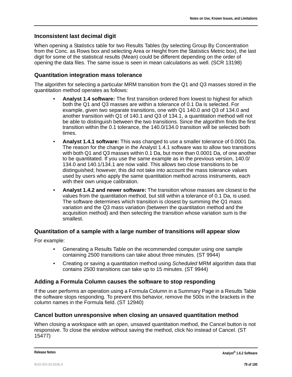### **Inconsistent last decimal digit**

When opening a Statistics table for two Results Tables (by selecting Group By Concentration from the Conc. as Rows box and selecting Area or Height from the Statistics Metric box), the last digit for some of the statistical results (Mean) could be different depending on the order of opening the data files. The same issue is seen in mean calculations as well. (SCR 13198)

#### **Quantitation integration mass tolerance**

The algorithm for selecting a particular MRM transition from the Q1 and Q3 masses stored in the quantitation method operates as follows:

- **Analyst 1.4 software:** The first transition ordered from lowest to highest for which both the Q1 and Q3 masses are within a tolerance of 0.1 Da is selected. For example, given two separate transitions, one with Q1 140.0 and Q3 of 134.0 and another transition with Q1 of 140.1 and Q3 of 134.1, a quantitation method will not be able to distinguish between the two transitions. Since the algorithm finds the first transition within the 0.1 tolerance, the 140.0/134.0 transition will be selected both times.
- **Analyst 1.4.1 software:** This was changed to use a smaller tolerance of 0.0001 Da. The reason for the change in the Analyst 1.4.1 software was to allow two transitions with both Q1 and Q3 masses within 0.1 Da, but more than 0.0001 Da, of one another to be quantitated. If you use the same example as in the previous version, 140.0/ 134.0 and 140.1/134.1 are now valid. This allows two close transitions to be distinguished; however, this did not take into account the mass tolerance values used by users who apply the same quantitation method across instruments, each with their own unique calibration.
- **Analyst 1.4.2 and newer software:** The transition whose masses are closest to the values from the quantitation method, but still within a tolerance of 0.1 Da, is used. The software determines which transition is closest by summing the Q1 mass variation and the Q3 mass variation (between the quantitation method and the acquisition method) and then selecting the transition whose variation sum is the smallest.

## **Quantitation of a sample with a large number of transitions will appear slow**

For example:

- Generating a Results Table on the recommended computer using one sample containing 2500 transitions can take about three minutes. (ST 9944)
- Creating or saving a quantitation method using *Scheduled* MRM algorithm data that contains 2500 transitions can take up to 15 minutes. (ST 9944)

## **Adding a Formula Column causes the software to stop responding**

If the user performs an operation using a Formula Column in a Summary Page in a Results Table the software stops responding. To prevent this behavior, remove the 500s in the brackets in the column names in the Formula field. (ST 12940)

#### **Cancel button unresponsive when closing an unsaved quantitation method**

When closing a workspace with an open, unsaved quantitation method, the Cancel button is not responsive. To close the window without saving the method, click No instead of Cancel. (ST 15477)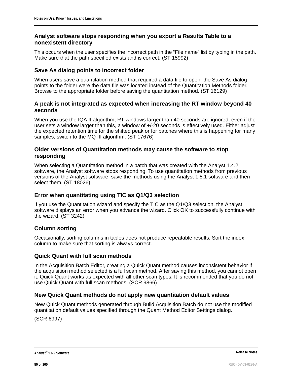#### **Analyst software stops responding when you export a Results Table to a nonexistent directory**

This occurs when the user specifies the incorrect path in the "File name" list by typing in the path. Make sure that the path specified exists and is correct. (ST 15992)

### **Save As dialog points to incorrect folder**

When users save a quantitation method that required a data file to open, the Save As dialog points to the folder were the data file was located instead of the Quantitation Methods folder. Browse to the appropriate folder before saving the quantitation method. (ST 16129)

#### **A peak is not integrated as expected when increasing the RT window beyond 40 seconds**

When you use the IQA II algorithm, RT windows larger than 40 seconds are ignored; even if the user sets a window larger than this, a window of +/-20 seconds is effectively used. Either adjust the expected retention time for the shifted peak or for batches where this is happening for many samples, switch to the MQ III algorithm. (ST 17676)

#### **Older versions of Quantitation methods may cause the software to stop responding**

When selecting a Quantitation method in a batch that was created with the Analyst 1.4.2 software, the Analyst software stops responding. To use quantitation methods from previous versions of the Analyst software, save the methods using the Analyst 1.5.1 software and then select them. (ST 18026)

#### **Error when quantitating using TIC as Q1/Q3 selection**

If you use the Quantitation wizard and specify the TIC as the Q1/Q3 selection, the Analyst software displays an error when you advance the wizard. Click OK to successfully continue with the wizard. (ST 3242)

#### **Column sorting**

Occasionally, sorting columns in tables does not produce repeatable results. Sort the index column to make sure that sorting is always correct.

#### **Quick Quant with full scan methods**

In the Acquisition Batch Editor, creating a Quick Quant method causes inconsistent behavior if the acquisition method selected is a full scan method. After saving this method, you cannot open it. Quick Quant works as expected with all other scan types. It is recommended that you do not use Quick Quant with full scan methods. (SCR 9866)

#### **New Quick Quant methods do not apply new quantitation default values**

New Quick Quant methods generated through Build Acquisition Batch do not use the modified quantitation default values specified through the Quant Method Editor Settings dialog.

(SCR 6997)

**Analyst® 1.6.2 Software Release Notes**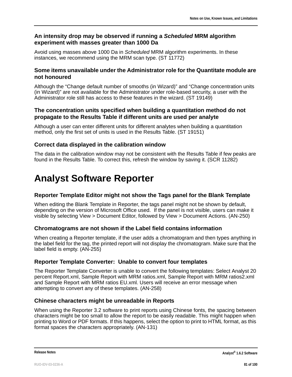### **An intensity drop may be observed if running a** *Scheduled* **MRM algorithm experiment with masses greater than 1000 Da**

Avoid using masses above 1000 Da in *Scheduled* MRM algorithm experiments. In these instances, we recommend using the MRM scan type. (ST 11772)

### **Some items unavailable under the Administrator role for the Quantitate module are not honoured**

Although the "Change default number of smooths (in Wizard)" and "Change concentration units (in Wizard)" are not available for the Administrator under role-based security, a user with the Administrator role still has access to these features in the wizard. (ST 19149)

### **The concentration units specified when building a quantitation method do not propagate to the Results Table if different units are used per analyte**

Although a user can enter different units for different analytes when building a quantitation method, only the first set of units is used in the Results Table. (ST 19151)

## **Correct data displayed in the calibration window**

The data in the calibration window may not be consistent with the Results Table if few peaks are found in the Results Table. To correct this, refresh the window by saving it. (SCR 11282)

# **Analyst Software Reporter**

## **Reporter Template Editor might not show the Tags panel for the Blank Template**

When editing the Blank Template in Reporter, the tags panel might not be shown by default, depending on the version of Microsoft Office used. If the panel is not visible, users can make it visible by selecting View > Document Editor, followed by View > Document Actions. (AN-250)

## **Chromatograms are not shown if the Label field contains information**

When creating a Reporter template, if the user adds a chromatogram and then types anything in the label field for the tag, the printed report will not display the chromatogram. Make sure that the label field is empty. (AN-255)

## **Reporter Template Converter: Unable to convert four templates**

The Reporter Template Converter is unable to convert the following templates: Select Analyst 20 percent Report.xml, Sample Report with MRM ratios.xml, Sample Report with MRM ratios2.xml and Sample Report with MRM ratios EU.xml. Users will receive an error message when attempting to convert any of these templates. (AN-258)

## **Chinese characters might be unreadable in Reports**

When using the Reporter 3.2 software to print reports using Chinese fonts, the spacing between characters might be too small to allow the report to be easily readable. This might happen when printing to Word or PDF formats. If this happens, select the option to print to HTML format, as this format spaces the characters appropriately. (AN-131)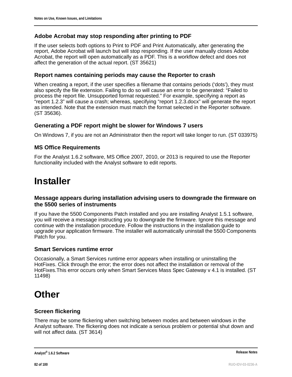## **Adobe Acrobat may stop responding after printing to PDF**

If the user selects both options to Print to PDF and Print Automatically, after generating the report, Adobe Acrobat will launch but will stop responding. If the user manually closes Adobe Acrobat, the report will open automatically as a PDF. This is a workflow defect and does not affect the generation of the actual report. (ST 35621)

#### **Report names containing periods may cause the Reporter to crash**

When creating a report, if the user specifies a filename that contains periods ('dots'), they must also specify the file extension. Failing to do so will cause an error to be generated: "Failed to process the report file. Unsupported format requested." For example, specifying a report as "report 1.2.3" will cause a crash; whereas, specifying "report 1.2.3.docx" will generate the report as intended. Note that the extension must match the format selected in the Reporter software. (ST 35636).

#### **Generating a PDF report might be slower for Windows 7 users**

On Windows 7, if you are not an Administrator then the report will take longer to run. (ST 033975)

#### **MS Office Requirements**

For the Analyst 1.6.2 software, MS Office 2007, 2010, or 2013 is required to use the Reporter functionality included with the Analyst software to edit reports.

## **Installer**

#### **Message appears during installation advising users to downgrade the firmware on the 5500 series of instruments**

If you have the 5500 Components Patch installed and you are installing Analyst 1.5.1 software, you will receive a message instructing you to downgrade the firmware. Ignore this message and continue with the installation procedure. Follow the instructions in the installation guide to upgrade your application firmware. The installer will automatically uninstall the 5500 Components Patch for you.

#### **Smart Services runtime error**

Occasionally, a Smart Services runtime error appears when installing or uninstalling the HotFixes. Click through the error; the error does not affect the installation or removal of the HotFixes.This error occurs only when Smart Services Mass Spec Gateway v 4.1 is installed. (ST 11498)

## **Other**

#### **Screen flickering**

There may be some flickering when switching between modes and between windows in the Analyst software. The flickering does not indicate a serious problem or potential shut down and will not affect data. (ST 3614)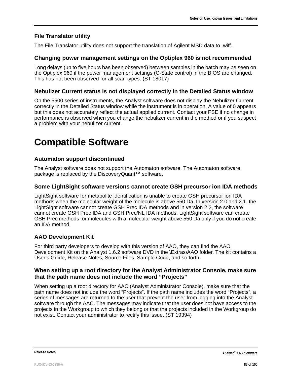## **File Translator utility**

The File Translator utility does not support the translation of Agilent MSD data to .wiff.

### **Changing power management settings on the Optiplex 960 is not recommended**

Long delays (up to five hours has been observed) between samples in the batch may be seen on the Optiplex 960 if the power management settings (C-State control) in the BIOS are changed. This has not been observed for all scan types. (ST 18017)

### **Nebulizer Current status is not displayed correctly in the Detailed Status window**

On the 5500 series of instruments, the Analyst software does not display the Nebulizer Current correctly in the Detailed Status window while the instrument is in operation. A value of 0 appears but this does not accurately reflect the actual applied current. Contact your FSE if no change in performance is observed when you change the nebulizer current in the method or if you suspect a problem with your nebulizer current.

# **Compatible Software**

## **Automaton support discontinued**

The Analyst software does not support the Automaton software. The Automaton software package is replaced by the DiscoveryQuant™ software.

### **Some LightSight software versions cannot create GSH precursor ion IDA methods**

LightSight software for metabolite identification is unable to create GSH precursor ion IDA methods when the molecular weight of the molecule is above 550 Da. In version 2.0 and 2.1, the LightSight software cannot create GSH Prec IDA methods and in version 2.2, the software cannot create GSH Prec IDA and GSH Prec/NL IDA methods. LightSight software can create GSH Prec methods for molecules with a molecular weight above 550 Da only if you do not create an IDA method.

## **AAO Development Kit**

For third party developers to develop with this version of AAO, they can find the AAO Development Kit on the Analyst 1.6.2 software DVD in the \Extras\AAO folder. The kit contains a User's Guide, Release Notes, Source Files, Sample Code, and so forth.

#### **When setting up a root directory for the Analyst Administrator Console, make sure that the path name does not include the word "Projects"**

When setting up a root directory for AAC (Analyst Administrator Console), make sure that the path name does not include the word "Projects". If the path name includes the word "Projects", a series of messages are returned to the user that prevent the user from logging into the Analyst software through the AAC. The messages may indicate that the user does not have access to the projects in the Workgroup to which they belong or that the projects included in the Workgroup do not exist. Contact your administrator to rectify this issue. (ST 19394)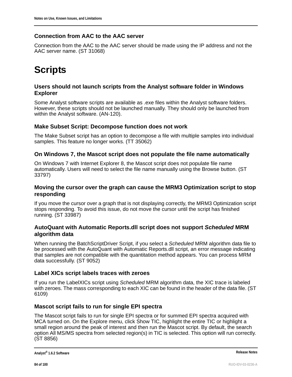## **Connection from AAC to the AAC server**

Connection from the AAC to the AAC server should be made using the IP address and not the AAC server name. (ST 31068)

# **Scripts**

#### **Users should not launch scripts from the Analyst software folder in Windows Explorer**

Some Analyst software scripts are available as .exe files within the Analyst software folders. However, these scripts should not be launched manually. They should only be launched from within the Analyst software. (AN-120).

#### **Make Subset Script: Decompose function does not work**

The Make Subset script has an option to decompose a file with multiple samples into individual samples. This feature no longer works. (TT 35062)

#### **On Windows 7, the Mascot script does not populate the file name automatically**

On Windows 7 with Internet Explorer 8, the Mascot script does not populate file name automatically. Users will need to select the file name manually using the Browse button. (ST 33797)

#### **Moving the cursor over the graph can cause the MRM3 Optimization script to stop responding**

If you move the cursor over a graph that is not displaying correctly, the MRM3 Optimization script stops responding. To avoid this issue, do not move the cursor until the script has finished running. (ST 33987)

#### **AutoQuant with Automatic Reports.dll script does not support** *Scheduled* **MRM algorithm data**

When running the BatchScriptDriver Script, if you select a *Scheduled* MRM algorithm data file to be processed with the AutoQuant with Automatic Reports.dll script, an error message indicating that samples are not compatible with the quantitation method appears. You can process MRM data successfully. (ST 9052)

#### **Label XICs script labels traces with zeroes**

If you run the LabelXICs script using *Scheduled* MRM algorithm data, the XIC trace is labeled with zeroes. The mass corresponding to each XIC can be found in the header of the data file. (ST 6109)

#### **Mascot script fails to run for single EPI spectra**

The Mascot script fails to run for single EPI spectra or for summed EPI spectra acquired with MCA turned on. On the Explore menu, click Show TIC, highlight the entire TIC or highlight a small region around the peak of interest and then run the Mascot script. By default, the search option All MS/MS spectra from selected region(s) in TIC is selected. This option will run correctly. (ST 8856)

```
Analyst® 1.6.2 Software Release Notes
```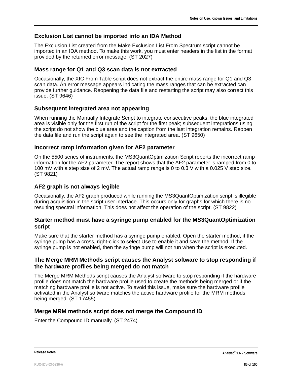## **Exclusion List cannot be imported into an IDA Method**

The Exclusion List created from the Make Exclusion List From Spectrum script cannot be imported in an IDA method. To make this work, you must enter headers in the list in the format provided by the returned error message. (ST 2027)

### **Mass range for Q1 and Q3 scan data is not extracted**

Occasionally, the XIC From Table script does not extract the entire mass range for Q1 and Q3 scan data. An error message appears indicating the mass ranges that can be extracted can provide further guidance. Reopening the data file and restarting the script may also correct this issue. (ST 9646)

### **Subsequent integrated area not appearing**

When running the Manually Integrate Script to integrate consecutive peaks, the blue integrated area is visible only for the first run of the script for the first peak; subsequent integrations using the script do not show the blue area and the caption from the last integration remains. Reopen the data file and run the script again to see the integrated area. (ST 9650)

#### **Incorrect ramp information given for AF2 parameter**

On the 5500 series of instruments, the MS3QuantOptimization Script reports the incorrect ramp information for the AF2 parameter. The report shows that the AF2 parameter is ramped from 0 to 100 mV with a step size of 2 mV. The actual ramp range is 0 to 0.3 V with a 0.025 V step size. (ST 9821)

## **AF2 graph is not always legible**

Occasionally, the AF2 graph produced while running the MS3QuantOptimization script is illegible during acquisition in the script user interface. This occurs only for graphs for which there is no resulting spectral information. This does not affect the operation of the script. (ST 9822)

### **Starter method must have a syringe pump enabled for the MS3QuantOptimization script**

Make sure that the starter method has a syringe pump enabled. Open the starter method, if the syringe pump has a cross, right-click to select Use to enable it and save the method. If the syringe pump is not enabled, then the syringe pump will not run when the script is executed.

### **The Merge MRM Methods script causes the Analyst software to stop responding if the hardware profiles being merged do not match**

The Merge MRM Methods script causes the Analyst software to stop responding if the hardware profile does not match the hardware profile used to create the methods being merged or if the matching hardware profile is not active. To avoid this issue, make sure the hardware profile activated in the Analyst software matches the active hardware profile for the MRM methods being merged. (ST 17455)

## **Merge MRM methods script does not merge the Compound ID**

Enter the Compound ID manually. (ST 2474)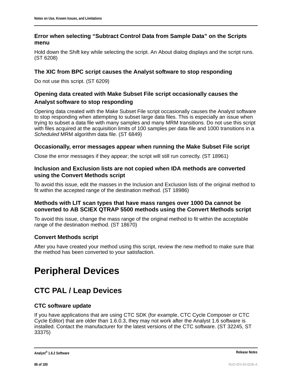## **Error when selecting "Subtract Control Data from Sample Data" on the Scripts menu**

Hold down the Shift key while selecting the script. An About dialog displays and the script runs. (ST 6208)

## **The XIC from BPC script causes the Analyst software to stop responding**

Do not use this script. (ST 6209)

## **Opening data created with Make Subset File script occasionally causes the Analyst software to stop responding**

Opening data created with the Make Subset File script occasionally causes the Analyst software to stop responding when attempting to subset large data files. This is especially an issue when trying to subset a data file with many samples and many MRM transitions. Do not use this script with files acquired at the acquisition limits of 100 samples per data file and 1000 transitions in a *Scheduled* MRM algorithm data file. (ST 6849)

### **Occasionally, error messages appear when running the Make Subset File script**

Close the error messages if they appear; the script will still run correctly. (ST 18961)

#### **Inclusion and Exclusion lists are not copied when IDA methods are converted using the Convert Methods script**

To avoid this issue, edit the masses in the Inclusion and Exclusion lists of the original method to fit within the accepted range of the destination method. (ST 18986)

### **Methods with LIT scan types that have mass ranges over 1000 Da cannot be converted to AB SCIEX QTRAP 5500 methods using the Convert Methods script**

To avoid this issue, change the mass range of the original method to fit within the acceptable range of the destination method. (ST 18670)

## **Convert Methods script**

After you have created your method using this script, review the new method to make sure that the method has been converted to your satisfaction.

# **Peripheral Devices**

## **CTC PAL / Leap Devices**

#### **CTC software update**

If you have applications that are using CTC SDK (for example, CTC Cycle Composer or CTC Cycle Editor) that are older than 1.6.0.3, they may not work after the Analyst 1.6 software is installed. Contact the manufacturer for the latest versions of the CTC software. (ST 32245, ST 33375)

```
Analyst® 1.6.2 Software Release Notes
```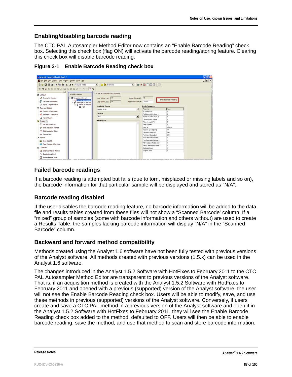## **Enabling/disabling barcode reading**

The CTC PAL Autosampler Method Editor now contains an "Enable Barcode Reading" check box. Selecting this check box (flag ON) will activate the barcode reading/storing feature. Clearing this check box will disable barcode reading.



**Figure 3-1 Enable Barcode Reading check box**

## **Failed barcode readings**

If a barcode reading is attempted but fails (due to torn, misplaced or missing labels and so on), the barcode information for that particular sample will be displayed and stored as "N/A".

## **Barcode reading disabled**

If the user disables the barcode reading feature, no barcode information will be added to the data file and results tables created from these files will not show a "Scanned Barcode' column. If a "mixed" group of samples (some with barcode information and others without) are used to create a Results Table, the samples lacking barcode information will display "N/A" in the "Scanned Barcode" column.

## **Backward and forward method compatibility**

Methods created using the Analyst 1.6 software have not been fully tested with previous versions of the Analyst software. All methods created with previous versions (1.5.x) can be used in the Analyst 1.6 software.

The changes introduced in the Analyst 1.5.2 Software with HotFixes to February 2011 to the CTC PAL Autosampler Method Editor are transparent to previous versions of the Analyst software. That is, if an acquisition method is created with the Analyst 1.5.2 Software with HotFixes to February 2011 and opened with a previous (supported) version of the Analyst software, the user will not see the Enable Barcode Reading check box. Users will be able to modify, save, and use these methods in previous (supported) versions of the Analyst software. Conversely, if users create and save a CTC PAL method in a previous version of the Analyst software and open it in the Analyst 1.5.2 Software with HotFixes to February 2011, they will see the Enable Barcode Reading check box added to the method, defaulted to OFF. Users will then be able to enable barcode reading, save the method, and use that method to scan and store barcode information.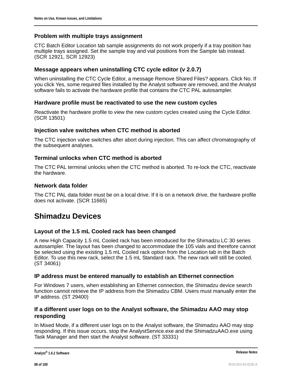## **Problem with multiple trays assignment**

CTC Batch Editor Location tab sample assignments do not work properly if a tray position has multiple trays assigned. Set the sample tray and vial positions from the Sample tab instead. (SCR 12921, SCR 12923)

### **Message appears when uninstalling CTC cycle editor (v 2.0.7)**

When uninstalling the CTC Cycle Editor, a message Remove Shared Files? appears. Click No. If you click Yes, some required files installed by the Analyst software are removed, and the Analyst software fails to activate the hardware profile that contains the CTC PAL autosampler.

#### **Hardware profile must be reactivated to use the new custom cycles**

Reactivate the hardware profile to view the new custom cycles created using the Cycle Editor. (SCR 13501)

#### **Injection valve switches when CTC method is aborted**

The CTC injection valve switches after abort during injection. This can affect chromatography of the subsequent analyses.

#### **Terminal unlocks when CTC method is aborted**

The CTC PAL terminal unlocks when the CTC method is aborted. To re-lock the CTC, reactivate the hardware.

#### **Network data folder**

The CTC PAL data folder must be on a local drive. If it is on a network drive, the hardware profile does not activate. (SCR 11665)

## **Shimadzu Devices**

#### **Layout of the 1.5 mL Cooled rack has been changed**

A new High Capacity 1.5 mL Cooled rack has been introduced for the Shimadzu LC 30 series autosampler. The layout has been changed to accommodate the 105 vials and therefore cannot be selected using the existing 1.5 mL Cooled rack option from the Location tab in the Batch Editor. To use this new rack, select the 1.5 mL Standard rack. The new rack will still be cooled. (ST 34061)

#### **IP address must be entered manually to establish an Ethernet connection**

For Windows 7 users, when establishing an Ethernet connection, the Shimadzu device search function cannot retrieve the IP address from the Shimadzu CBM. Users must manually enter the IP address. (ST 29400)

### **If a different user logs on to the Analyst software, the Shimadzu AAO may stop responding**

In Mixed Mode, if a different user logs on to the Analyst software, the Shimadzu AAO may stop responding. If this issue occurs, stop the AnalystService.exe and the ShimadzuAAO.exe using Task Manager and then start the Analyst software. (ST 33331)

```
Analyst® 1.6.2 Software Release Notes
```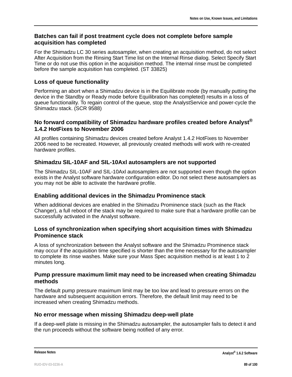### **Batches can fail if post treatment cycle does not complete before sample acquisition has completed**

For the Shimadzu LC 30 series autosampler, when creating an acquisition method, do not select After Acquisition from the Rinsing Start Time list on the Internal Rinse dialog. Select Specify Start Time or do not use this option in the acquisition method. The internal rinse must be completed before the sample acquisition has completed. (ST 33825)

## **Loss of queue functionality**

Performing an abort when a Shimadzu device is in the Equilibrate mode (by manually putting the device in the Standby or Ready mode before Equilibration has completed) results in a loss of queue functionality. To regain control of the queue, stop the AnalystService and power-cycle the Shimadzu stack. (SCR 9588)

## **No forward compatibility of Shimadzu hardware profiles created before Analyst® 1.4.2 HotFixes to November 2006**

All profiles containing Shimadzu devices created before Analyst 1.4.2 HotFixes to November 2006 need to be recreated. However, all previously created methods will work with re-created hardware profiles.

## **Shimadzu SIL-10AF and SIL-10Axl autosamplers are not supported**

The Shimadzu SIL-10AF and SIL-10Axl autosamplers are not supported even though the option exists in the Analyst software hardware configuration editor. Do not select these autosamplers as you may not be able to activate the hardware profile.

## **Enabling additional devices in the Shimadzu Prominence stack**

When additional devices are enabled in the Shimadzu Prominence stack (such as the Rack Changer), a full reboot of the stack may be required to make sure that a hardware profile can be successfully activated in the Analyst software.

## **Loss of synchronization when specifying short acquisition times with Shimadzu Prominence stack**

A loss of synchronization between the Analyst software and the Shimadzu Prominence stack may occur if the acquisition time specified is shorter than the time necessary for the autosampler to complete its rinse washes. Make sure your Mass Spec acquisition method is at least 1 to 2 minutes long.

#### **Pump pressure maximum limit may need to be increased when creating Shimadzu methods**

The default pump pressure maximum limit may be too low and lead to pressure errors on the hardware and subsequent acquisition errors. Therefore, the default limit may need to be increased when creating Shimadzu methods.

#### **No error message when missing Shimadzu deep-well plate**

If a deep-well plate is missing in the Shimadzu autosampler, the autosampler fails to detect it and the run proceeds without the software being notified of any error.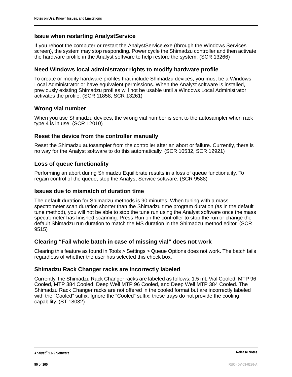### **Issue when restarting AnalystService**

If you reboot the computer or restart the AnalystService.exe (through the Windows Services screen), the system may stop responding. Power cycle the Shimadzu controller and then activate the hardware profile in the Analyst software to help restore the system. (SCR 13266)

#### **Need Windows local administrator rights to modify hardware profile**

To create or modify hardware profiles that include Shimadzu devices, you must be a Windows Local Administrator or have equivalent permissions. When the Analyst software is installed, previously existing Shimadzu profiles will not be usable until a Windows Local Administrator activates the profile. (SCR 11858, SCR 13261)

#### **Wrong vial number**

When you use Shimadzu devices, the wrong vial number is sent to the autosampler when rack type 4 is in use. (SCR 12010)

#### **Reset the device from the controller manually**

Reset the Shimadzu autosampler from the controller after an abort or failure. Currently, there is no way for the Analyst software to do this automatically. (SCR 10532, SCR 12921)

#### **Loss of queue functionality**

Performing an abort during Shimadzu Equilibrate results in a loss of queue functionality. To regain control of the queue, stop the Analyst Service software. (SCR 9588)

#### **Issues due to mismatch of duration time**

The default duration for Shimadzu methods is 90 minutes. When tuning with a mass spectrometer scan duration shorter than the Shimadzu time program duration (as in the default tune method), you will not be able to stop the tune run using the Analyst software once the mass spectrometer has finished scanning. Press Run on the controller to stop the run or change the default Shimadzu run duration to match the MS duration in the Shimadzu method editor. (SCR 9515)

#### **Clearing "Fail whole batch in case of missing vial" does not work**

Clearing this feature as found in Tools > Settings > Queue Options does not work. The batch fails regardless of whether the user has selected this check box.

#### **Shimadzu Rack Changer racks are incorrectly labeled**

Currently, the Shimadzu Rack Changer racks are labeled as follows: 1.5 mL Vial Cooled, MTP 96 Cooled, MTP 384 Cooled, Deep Well MTP 96 Cooled, and Deep Well MTP 384 Cooled. The Shimadzu Rack Changer racks are not offered in the cooled format but are incorrectly labeled with the "Cooled" suffix. Ignore the "Cooled" suffix; these trays do not provide the cooling capability. (ST 18032)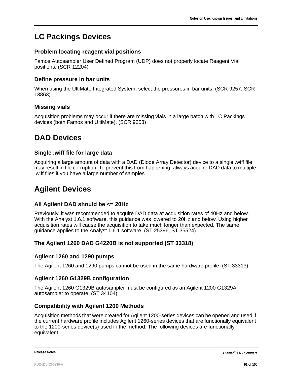## **LC Packings Devices**

## **Problem locating reagent vial positions**

Famos Autosampler User Defined Program (UDP) does not properly locate Reagent Vial positions. (SCR 12204)

## **Define pressure in bar units**

When using the UltiMate Integrated System, select the pressures in bar units. (SCR 9257, SCR 13863)

## **Missing vials**

Acquisition problems may occur if there are missing vials in a large batch with LC Packings devices (both Famos and UltiMate). (SCR 9353)

## **DAD Devices**

## **Single .wiff file for large data**

Acquiring a large amount of data with a DAD (Diode Array Detector) device to a single .wiff file may result in file corruption. To prevent this from happening, always acquire DAD data to multiple .wiff files if you have a large number of samples.

## **Agilent Devices**

## **All Agilent DAD should be <= 20Hz**

Previously, it was recommended to acquire DAD data at acquisition rates of 40Hz and below. With the Analyst 1.6.1 software, this guidance was lowered to 20Hz and below. Using higher acquisition rates will cause the acquisition to take much longer than expected. The same guidance applies to the Analyst 1.6.1 software. (ST 25396, ST 35524)

## **The Agilent 1260 DAD G4220B is not supported (ST 33318)**

## **Agilent 1260 and 1290 pumps**

The Agilent 1260 and 1290 pumps cannot be used in the same hardware profile. (ST 33313)

## **Agilent 1260 G1329B configuration**

The Agilent 1260 G1329B autosampler must be configured as an Agilent 1200 G1329A autosampler to operate. (ST 34104)

## **Compatibility with Agilent 1200 Methods**

Acquisition methods that were created for Agilent 1200-series devices can be opened and used if the current hardware profile includes Agilent 1260-series devices that are functionally equivalent to the 1200-series device(s) used in the method. The following devices are functionally equivalent: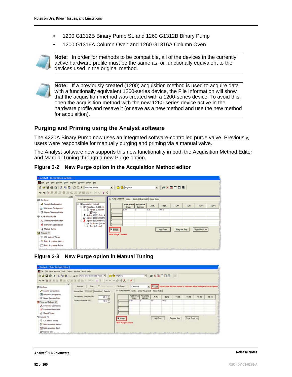- 1200 G1312B Binary Pump SL and 1260 G1312B Binary Pump
- 1200 G1316A Column Oven and 1260 G1316A Column Oven



**Note:** In order for methods to be compatible, all of the devices in the currently active hardware profile must be the same as, or functionally equivalent to the devices used in the original method.



**Note:** If a previously created (1200) acquisition method is used to acquire data with a functionally equivalent 1260-series device, the File Information will show that the acquisition method was created with a 1200-series device. To avoid this, open the acquisition method with the new 1260-series device active in the hardware profile and resave it (or save as a new method and use the new method for acquisition).

#### **Purging and Priming using the Analyst software**

The 4220A Binary Pump now uses an integrated software-controlled purge valve. Previously, users were responsible for manually purging and priming via a manual valve.

The Analyst software now supports this new functionality in both the Acquisition Method Editor and Manual Tuning through a new Purge option.

| Analyst - [Acquisition Method: ]                                                                                                           |                                                                                                                                         |                                                            |                                                                                                               |                              |       |          |             |             |               |              |
|--------------------------------------------------------------------------------------------------------------------------------------------|-----------------------------------------------------------------------------------------------------------------------------------------|------------------------------------------------------------|---------------------------------------------------------------------------------------------------------------|------------------------------|-------|----------|-------------|-------------|---------------|--------------|
| File Edit View Acquire Tools Explore Window Script Help                                                                                    |                                                                                                                                         |                                                            |                                                                                                               |                              |       |          |             |             |               |              |
| 省后日每日 * 4 的 201  Acquire Mode<br>D B MONew<br><b>JØXDED</b> ⊞                                                                              |                                                                                                                                         |                                                            |                                                                                                               |                              |       |          |             |             |               |              |
| ***后丞昌岳●岳昭岳至回岳←网☆Tヾ                                                                                                                        |                                                                                                                                         |                                                            |                                                                                                               |                              |       |          |             |             |               |              |
| $\mathbb{E}[\mathbf{x}]$<br><b>RB</b> Configure                                                                                            | Acquisition method                                                                                                                      | LC Pump Gradient   Limits   Limits (Advanced)   Micro Mode |                                                                                                               |                              |       |          |             |             |               |              |
| Security Configuration                                                                                                                     | <b>E-RI Acquisition Method</b><br>S-@ Mass Spec 0.000 min                                                                               |                                                            | <b>Total Time</b><br>(min)                                                                                    | <b>Flow Rate</b><br>(pl/min) | A (%) | B(5)     | <b>TE#1</b> | <b>TE#2</b> | TE#3          | <b>TE #4</b> |
| Hardware Configuration<br>X Report Template Editor<br>伸 Tune and Calibrate<br>- A Compound Optimization<br>A Instrument Optimization       | e & Period 0.000 min<br><b>第 +Q1</b><br>Agient 1290 Infinity A<br>Ay Agilent 1290 G4212A I<br>Agient 1290 Binary Pu<br>* Run (0.0 mins) | 3<br>$\overline{4}$<br>$\overline{\phantom{a}}$            | 0.00                                                                                                          |                              | 0.0   | 100.0    |             |             |               |              |
| <b>Kanual Tuning</b><br><sup>in</sup> d Acquire (1)<br>V IDA Method Wizard<br>Build Acquisition Method<br><b>F</b> Build Acquisition Batch |                                                                                                                                         | $\triangledown$ Purge<br><b>New Purge Control</b>          | de la demonstració de la debaración de la cada de destructura en la debaración de la debaración de la casa en |                              |       | Add Step | Remove Step |             | Show Graph >> |              |

#### **Figure 3-2 New Purge option in the Acquisition Method editor**

**Figure 3-3 New Purge option in Manual Tuning**



**Analyst® 1.6.2 Software Release Notes**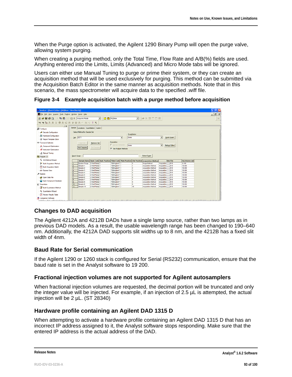When the Purge option is activated, the Agilent 1290 Binary Pump will open the purge valve, allowing system purging.

When creating a purging method, only the Total Time, Flow Rate and A/B(%) fields are used. Anything entered into the Limits, Limits (Advanced) and Micro Mode tabs will be ignored.

Users can either use Manual Tuning to purge or prime their system, or they can create an acquisition method that will be used exclusively for purging. This method can be submitted via the Acquisition Batch Editor in the same manner as acquisition methods. Note that in this scenario, the mass spectrometer will acquire data to the specified .wiff file.

**Figure 3-4 Example acquisition batch with a purge method before acquisition**

| Analyst - [Batch Editor: [MQNew - New Batch]]          |                         |                                            |                   |                                                                                                |       |    |                           |                                                |                 | $\Box$ e $\mathbf{x}$ |
|--------------------------------------------------------|-------------------------|--------------------------------------------|-------------------|------------------------------------------------------------------------------------------------|-------|----|---------------------------|------------------------------------------------|-----------------|-----------------------|
| Ele Edit View Acquire Tools Explore Window Script Help |                         |                                            |                   |                                                                                                |       |    |                           |                                                |                 | $ B$ $\times$         |
| 首は日毎凡 ※ 4 歳 2 Ω± Acquire Mode                          |                         |                                            |                   | D B MONew                                                                                      |       |    | ◘ ◎ ◎ ◎ □ □ ⊞             |                                                |                 | a.                    |
| MMたる三品●县山县至南县←河乡工长                                     |                         |                                            |                   |                                                                                                |       |    |                           |                                                |                 |                       |
| <b>x</b>                                               |                         |                                            |                   |                                                                                                |       |    |                           |                                                |                 |                       |
| <b>All Configure</b>                                   |                         | Sample   Locations   Quantitation   Submit |                   |                                                                                                |       |    |                           |                                                |                 |                       |
| Security Configuration                                 |                         | Select Method for Sample Set               |                   |                                                                                                |       |    |                           |                                                |                 |                       |
| Hardware Configuration                                 | Quantitation            |                                            |                   |                                                                                                |       |    |                           |                                                |                 |                       |
|                                                        |                         | Set: SET1                                  |                   | ▼                                                                                              | none  |    |                           | $\overline{\phantom{0}}$<br><b>Quick Quart</b> |                 |                       |
| X Report Template Editor                               |                         |                                            |                   |                                                                                                |       |    |                           |                                                |                 |                       |
| <sup>018</sup> Tune and Calibrate                      |                         | Add Set                                    | <b>Remove Set</b> | Acquisition                                                                                    |       |    |                           |                                                |                 |                       |
| - A Compound Optimization                              |                         |                                            |                   | Use as Template                                                                                | Inone |    |                           | Method Editor<br>$\mathbf{r}$                  |                 |                       |
| A Instrument Optimization                              |                         | <b>Add Samples</b>                         | Del Samples       | V Use Multiple Methods                                                                         |       |    |                           |                                                |                 |                       |
| R Manual Tuning                                        |                         |                                            |                   |                                                                                                |       |    |                           |                                                |                 |                       |
| Fig. Acquire (1)                                       | Batch Script:           |                                            |                   |                                                                                                |       |    | Select Script             |                                                |                 |                       |
| V: IDA Method Wizard                                   |                         |                                            |                   | Sample Name Rack Code Rack Position Plate Code Plate Position Vial Position Acquisition Method |       |    |                           | <b>Data File</b>                               | Inj.Volume (µl) |                       |
| <b>B</b> Build Acquisition Method                      |                         | <b>System Purge</b>                        | 2 Well Plates 1   | "384Agilent" 1                                                                                 |       | ١o | <b>Purge Method</b>       | Acquisition 1 2010                             | 0.100           |                       |
|                                                        | $\overline{2}$          | Sample 1                                   | 2 Well Plates 1   | "384Agilent" 1                                                                                 |       | l. | <b>Acquisition Method</b> | Acquisition 1 2010                             | 10,000          |                       |
| <b>D</b> Build Acquisition Batch                       | $\overline{\mathbf{3}}$ | Sample 2                                   | 2 Well Plates 1   | "384Agilent" 1                                                                                 |       | 2  | <b>Acquisition Method</b> | Acquisition 1_2010                             | 10,000          |                       |
| 27 Express View                                        | 4                       | Sample 3                                   | 2 Well Plates 1   | *384Agilent* 1                                                                                 |       | 13 | <b>Acquisition Method</b> | Acquisition 1 2010                             | 10.000          |                       |
|                                                        | 5                       | Sample 4                                   | 2 Well Plates 1   | "384Agilent" 1                                                                                 |       | l4 | <b>Acquisition Method</b> | Acquisition_1_2010                             | 10,000          |                       |
| <b>R</b> Explore                                       | 6                       | Sample 5                                   | 2 Well Plates 1   | "384Agilent" 1                                                                                 |       | 5  | <b>Acquisition Method</b> | Acquisition_1_2010                             | 10.000          |                       |
| Call Open Data File                                    | 7                       | Sample 6                                   | 2 Well Plates 1   | *384Agilent* 1                                                                                 |       | 16 | <b>Acquisition Method</b> | Acquisition 1_2010                             | 10,000          |                       |
|                                                        | 8                       | Sample 7                                   | 2 Well Plates 1   | "384Agilent" 1                                                                                 |       | 17 | <b>Acquisition Method</b> | Acquisition_1_2010                             | 10.000          |                       |
| Coen Compound Database                                 | g.                      | Sample 8                                   | 2 Well Plates 1   | *384Agilent* 1                                                                                 |       | 8  | <b>Acquisition Method</b> | Acquisition 1_2010                             | 10,000          |                       |
| <b>Z</b> Quantitate                                    | 10                      | Sample 9                                   | 2 Well Plates 1   | "384Agilent" 1                                                                                 |       | l9 | <b>Acquisition Method</b> | Acquisition 1 2010                             | 10.000          |                       |
| <b>EV</b> Build Quantitation Method                    | 11                      | Sample 10                                  | 2 Well Plates 1   | "384Agilent" 1                                                                                 |       | 10 | <b>Acquisition Method</b> | Acquisition 1 2010                             | 10.000          |                       |
| Cuantitation Wizard                                    |                         |                                            |                   |                                                                                                |       |    |                           |                                                |                 |                       |
|                                                        |                         |                                            |                   |                                                                                                |       |    |                           |                                                |                 |                       |
| Review Results Table                                   |                         |                                            |                   |                                                                                                |       |    |                           |                                                |                 |                       |

## **Changes to DAD acquisition**

The Agilent 4212A and 4212B DADs have a single lamp source, rather than two lamps as in previous DAD models. As a result, the usable wavelength range has been changed to 190–640 nm. Additionally, the 4212A DAD supports slit widths up to 8 nm, and the 4212B has a fixed slit width of 4nm.

## **Baud Rate for Serial communication**

If the Agilent 1290 or 1260 stack is configured for Serial (RS232) communication, ensure that the baud rate is set in the Analyst software to 19 200.

## **Fractional injection volumes are not supported for Agilent autosamplers**

When fractional injection volumes are requested, the decimal portion will be truncated and only the integer value will be injected. For example, if an injection of 2.5 µL is attempted, the actual injection will be 2 µL. (ST 28340)

## **Hardware profile containing an Agilent DAD 1315 D**

When attempting to activate a hardware profile containing an Agilent DAD 1315 D that has an incorrect IP address assigned to it, the Analyst software stops responding. Make sure that the entered IP address is the actual address of the DAD.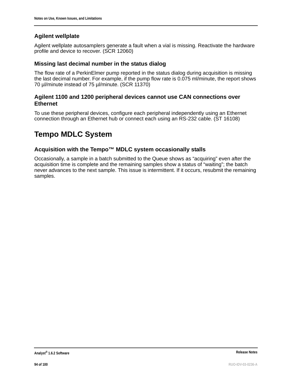## **Agilent wellplate**

Agilent wellplate autosamplers generate a fault when a vial is missing. Reactivate the hardware profile and device to recover. (SCR 12060)

### **Missing last decimal number in the status dialog**

The flow rate of a PerkinElmer pump reported in the status dialog during acquisition is missing the last decimal number. For example, if the pump flow rate is 0.075 ml/minute, the report shows 70 µl/minute instead of 75 µl/minute. (SCR 11370)

### **Agilent 1100 and 1200 peripheral devices cannot use CAN connections over Ethernet**

To use these peripheral devices, configure each peripheral independently using an Ethernet connection through an Ethernet hub or connect each using an RS-232 cable. (ST 16108)

## **Tempo MDLC System**

### **Acquisition with the Tempo™ MDLC system occasionally stalls**

Occasionally, a sample in a batch submitted to the Queue shows as "acquiring" even after the acquisition time is complete and the remaining samples show a status of "waiting"; the batch never advances to the next sample. This issue is intermittent. If it occurs, resubmit the remaining samples.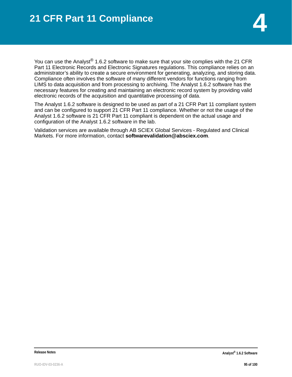

You can use the Analyst<sup>®</sup> 1.6.2 software to make sure that your site complies with the 21 CFR Part 11 Electronic Records and Electronic Signatures regulations. This compliance relies on an administrator's ability to create a secure environment for generating, analyzing, and storing data. Compliance often involves the software of many different vendors for functions ranging from LIMS to data acquisition and from processing to archiving. The Analyst 1.6.2 software has the necessary features for creating and maintaining an electronic record system by providing valid electronic records of the acquisition and quantitative processing of data.

The Analyst 1.6.2 software is designed to be used as part of a 21 CFR Part 11 compliant system and can be configured to support 21 CFR Part 11 compliance. Whether or not the usage of the Analyst 1.6.2 software is 21 CFR Part 11 compliant is dependent on the actual usage and configuration of the Analyst 1.6.2 software in the lab.

Validation services are available through AB SCIEX Global Services - Regulated and Clinical Markets. For more information, contact **softwarevalidation@absciex.com**.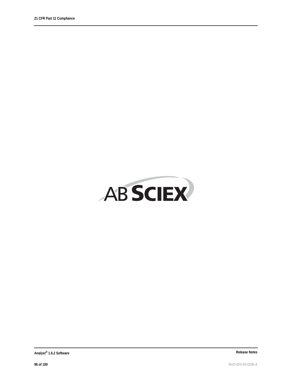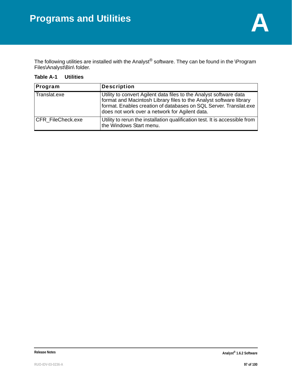

The following utilities are installed with the Analyst $^\circledR$  software. They can be found in the **\Program** Files\Analyst\Bin\ folder.

### **Table A-1 Utilities**

| Program                  | <b>Description</b>                                                                                                                                                                                                                                              |
|--------------------------|-----------------------------------------------------------------------------------------------------------------------------------------------------------------------------------------------------------------------------------------------------------------|
| Translat.exe             | Utility to convert Agilent data files to the Analyst software data<br>format and Macintosh Library files to the Analyst software library<br>format. Enables creation of databases on SQL Server. Translat.exe<br>does not work over a network for Agilent data. |
| <b>CFR FileCheck.exe</b> | Utility to rerun the installation qualification test. It is accessible from<br>the Windows Start menu.                                                                                                                                                          |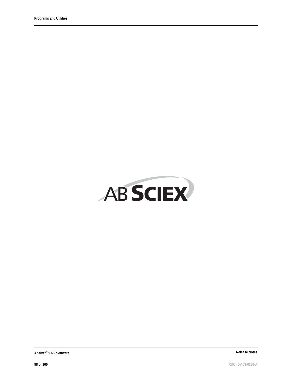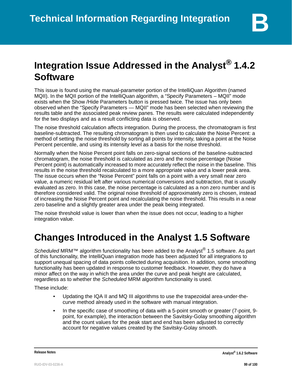# <span id="page-98-0"></span>**Integration Issue Addressed in the Analyst® 1.4.2 Software**

This issue is found using the manual-parameter portion of the IntelliQuan Algorithm (named MQII). In the MQII portion of the IntelliQuan algorithm, a "Specify Parameters – MQII" mode exists when the Show /Hide Parameters button is pressed twice. The issue has only been observed when the "Specify Parameters — MQII" mode has been selected when reviewing the results table and the associated peak review panes. The results were calculated independently for the two displays and as a result conflicting data is observed.

The noise threshold calculation affects integration. During the process, the chromatogram is first baseline-subtracted. The resulting chromatogram is then used to calculate the Noise Percent: a method of setting the noise threshold by sorting all points by intensity, taking a point at the Noise Percent percentile, and using its intensity level as a basis for the noise threshold.

Normally when the Noise Percent point falls on zero-signal sections of the baseline-subtracted chromatogram, the noise threshold is calculated as zero and the noise percentage (Noise Percent point) is automatically increased to more accurately reflect the noise in the baseline. This results in the noise threshold recalculated to a more appropriate value and a lower peak area. The issue occurs when the "Noise Percent" point falls on a point with a very small near zero value, a numeric residual left after various numerical conversions and subtraction, that is usually evaluated as zero. In this case, the noise percentage is calculated as a non zero number and is therefore considered valid. The original noise threshold of approximately zero is chosen, instead of increasing the Noise Percent point and recalculating the noise threshold. This results in a near zero baseline and a slightly greater area under the peak being integrated.

The noise threshold value is lower than when the issue does not occur, leading to a higher integration value.

# **Changes Introduced in the Analyst 1.5 Software**

Scheduled MRM<sup>™</sup> algorithm functionality has been added to the Analyst<sup>®</sup> 1.5 software. As part of this functionality, the IntelliQuan integration mode has been adjusted for all integrations to support unequal spacing of data points collected during acquisition. In addition, some smoothing functionality has been updated in response to customer feedback. However, they do have a minor affect on the way in which the area under the curve and peak height are calculated, regardless as to whether the *Scheduled* MRM algorithm functionality is used.

These include:

- Updating the IQA II and MQ III algorithms to use the trapezoidal area-under-thecurve method already used in the software with manual integration.
- In the specific case of smoothing of data with a 5-point smooth or greater (7-point, 9 point, for example), the interaction between the Savitsky-Golay smoothing algorithm and the count values for the peak start and end has been adjusted to correctly account for negative values created by the Savitsky-Golay smooth.